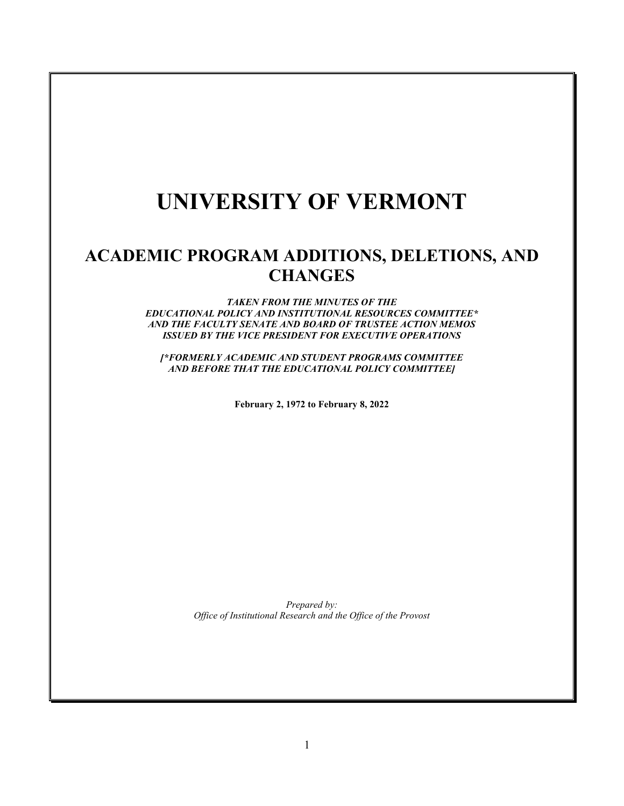# **UNIVERSITY OF VERMONT**

# **ACADEMIC PROGRAM ADDITIONS, DELETIONS, AND CHANGES**

*TAKEN FROM THE MINUTES OF THE EDUCATIONAL POLICY AND INSTITUTIONAL RESOURCES COMMITTEE\* AND THE FACULTY SENATE AND BOARD OF TRUSTEE ACTION MEMOS ISSUED BY THE VICE PRESIDENT FOR EXECUTIVE OPERATIONS*

*[\*FORMERLY ACADEMIC AND STUDENT PROGRAMS COMMITTEE AND BEFORE THAT THE EDUCATIONAL POLICY COMMITTEE]*

**February 2, 1972 to February 8, 2022**

*Prepared by: Office of Institutional Research and the Office of the Provost*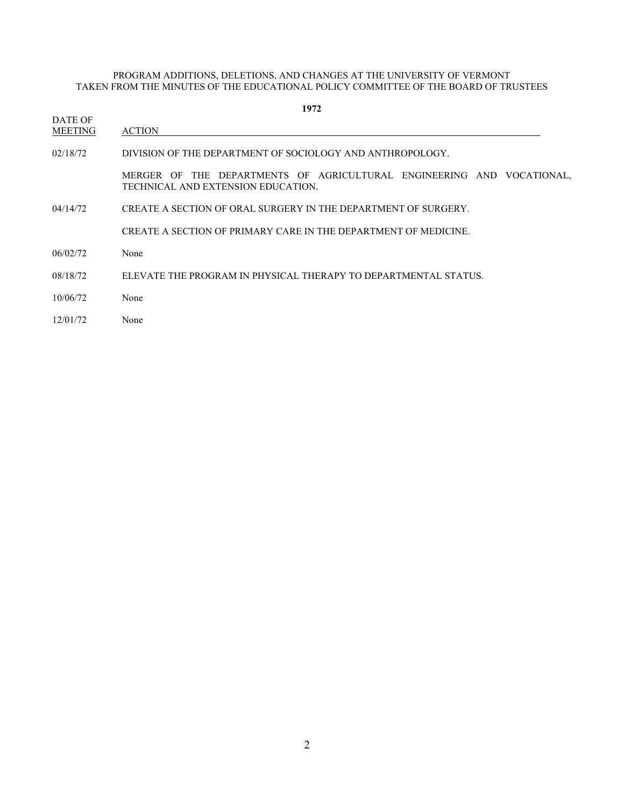|                                  | 1972                                                                                                        |
|----------------------------------|-------------------------------------------------------------------------------------------------------------|
| <b>DATE OF</b><br><b>MEETING</b> | <b>ACTION</b>                                                                                               |
| 02/18/72                         | DIVISION OF THE DEPARTMENT OF SOCIOLOGY AND ANTHROPOLOGY.                                                   |
|                                  | MERGER OF THE DEPARTMENTS OF AGRICULTURAL ENGINEERING AND VOCATIONAL,<br>TECHNICAL AND EXTENSION EDUCATION. |
| 04/14/72                         | CREATE A SECTION OF ORAL SURGERY IN THE DEPARTMENT OF SURGERY.                                              |
|                                  | CREATE A SECTION OF PRIMARY CARE IN THE DEPARTMENT OF MEDICINE.                                             |
| 06/02/72                         | None                                                                                                        |
| 08/18/72                         | ELEVATE THE PROGRAM IN PHYSICAL THERAPY TO DEPARTMENTAL STATUS.                                             |
| 10/06/72                         | None                                                                                                        |
| 12/01/72                         | None                                                                                                        |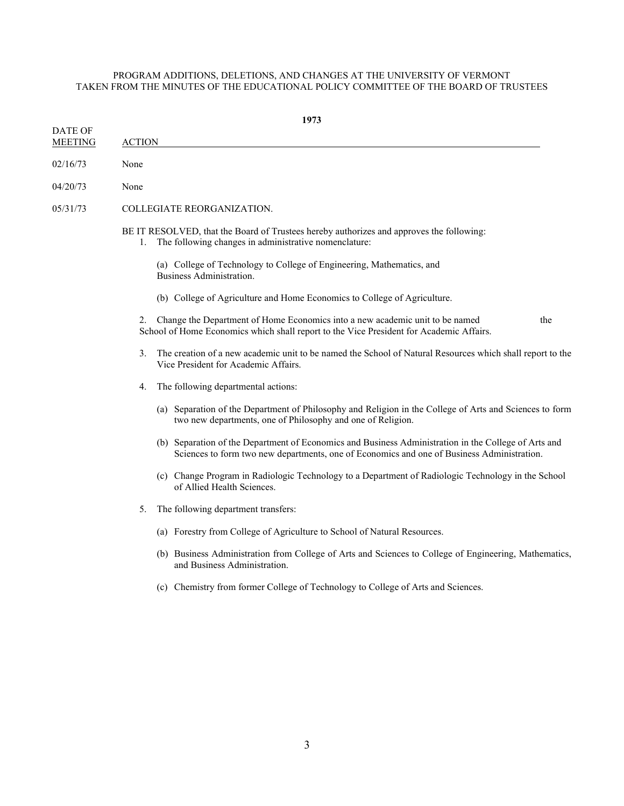| 1973                      |               |                                                                                                                                                                                                    |  |
|---------------------------|---------------|----------------------------------------------------------------------------------------------------------------------------------------------------------------------------------------------------|--|
| DATE OF<br><b>MEETING</b> | <b>ACTION</b> |                                                                                                                                                                                                    |  |
| 02/16/73                  | None          |                                                                                                                                                                                                    |  |
| 04/20/73                  | None          |                                                                                                                                                                                                    |  |
| 05/31/73                  |               | COLLEGIATE REORGANIZATION.                                                                                                                                                                         |  |
|                           |               | BE IT RESOLVED, that the Board of Trustees hereby authorizes and approves the following:<br>1. The following changes in administrative nomenclature:                                               |  |
|                           |               | (a) College of Technology to College of Engineering, Mathematics, and<br>Business Administration.                                                                                                  |  |
|                           |               | (b) College of Agriculture and Home Economics to College of Agriculture.                                                                                                                           |  |
|                           | 2.            | Change the Department of Home Economics into a new academic unit to be named<br>the<br>School of Home Economics which shall report to the Vice President for Academic Affairs.                     |  |
|                           | 3.            | The creation of a new academic unit to be named the School of Natural Resources which shall report to the<br>Vice President for Academic Affairs.                                                  |  |
|                           | 4.            | The following departmental actions:                                                                                                                                                                |  |
|                           |               | (a) Separation of the Department of Philosophy and Religion in the College of Arts and Sciences to form<br>two new departments, one of Philosophy and one of Religion.                             |  |
|                           |               | (b) Separation of the Department of Economics and Business Administration in the College of Arts and<br>Sciences to form two new departments, one of Economics and one of Business Administration. |  |
|                           |               | (c) Change Program in Radiologic Technology to a Department of Radiologic Technology in the School<br>of Allied Health Sciences.                                                                   |  |
|                           | 5.            | The following department transfers:                                                                                                                                                                |  |
|                           |               | (a) Forestry from College of Agriculture to School of Natural Resources.                                                                                                                           |  |
|                           |               | (b) Business Administration from College of Arts and Sciences to College of Engineering, Mathematics,<br>and Business Administration.                                                              |  |
|                           |               | (c) Chemistry from former College of Technology to College of Arts and Sciences.                                                                                                                   |  |
|                           |               |                                                                                                                                                                                                    |  |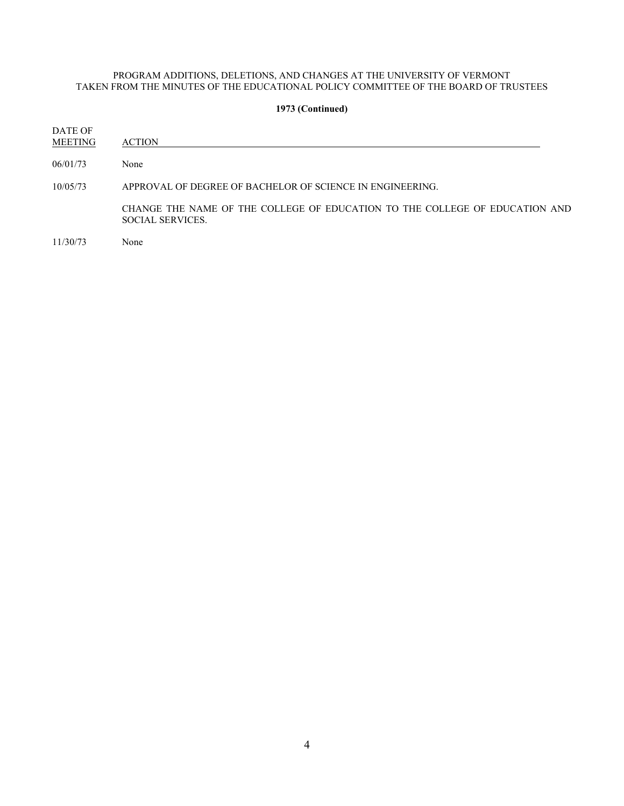### **1973 (Continued)**

DATE OF MEETING ACTION 06/01/73 None 10/05/73 APPROVAL OF DEGREE OF BACHELOR OF SCIENCE IN ENGINEERING.

CHANGE THE NAME OF THE COLLEGE OF EDUCATION TO THE COLLEGE OF EDUCATION AND SOCIAL SERVICES.

11/30/73 None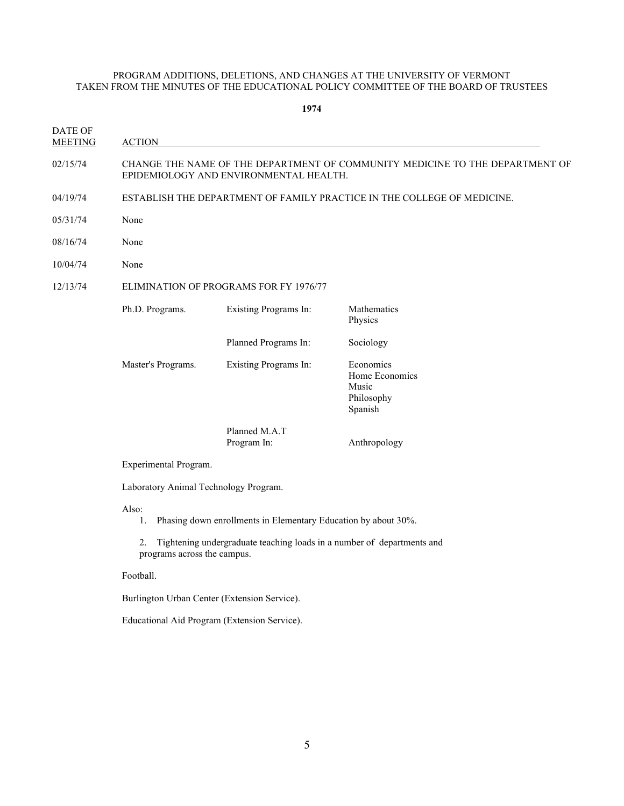| <b>DATE OF</b><br><b>MEETING</b> | <b>ACTION</b>                                                                                                          |                                        |                                                               |  |  |
|----------------------------------|------------------------------------------------------------------------------------------------------------------------|----------------------------------------|---------------------------------------------------------------|--|--|
| 02/15/74                         | CHANGE THE NAME OF THE DEPARTMENT OF COMMUNITY MEDICINE TO THE DEPARTMENT OF<br>EPIDEMIOLOGY AND ENVIRONMENTAL HEALTH. |                                        |                                                               |  |  |
| 04/19/74                         | ESTABLISH THE DEPARTMENT OF FAMILY PRACTICE IN THE COLLEGE OF MEDICINE.                                                |                                        |                                                               |  |  |
| 05/31/74                         | None                                                                                                                   |                                        |                                                               |  |  |
| 08/16/74                         | None                                                                                                                   |                                        |                                                               |  |  |
| 10/04/74                         | None                                                                                                                   |                                        |                                                               |  |  |
| 12/13/74                         |                                                                                                                        | ELIMINATION OF PROGRAMS FOR FY 1976/77 |                                                               |  |  |
|                                  | Ph.D. Programs.                                                                                                        | <b>Existing Programs In:</b>           | Mathematics<br>Physics                                        |  |  |
|                                  |                                                                                                                        | Planned Programs In:                   | Sociology                                                     |  |  |
|                                  | Master's Programs.                                                                                                     | Existing Programs In:                  | Economics<br>Home Economics<br>Music<br>Philosophy<br>Spanish |  |  |
|                                  |                                                                                                                        | Planned M.A.T<br>Program In:           | Anthropology                                                  |  |  |
|                                  | Experimental Program.                                                                                                  |                                        |                                                               |  |  |
|                                  | Laboratory Animal Technology Program.                                                                                  |                                        |                                                               |  |  |
|                                  | Also:<br>Phasing down enrollments in Elementary Education by about 30%.<br>1.                                          |                                        |                                                               |  |  |
|                                  | Tightening undergraduate teaching loads in a number of departments and<br>2.<br>programs across the campus.            |                                        |                                                               |  |  |
|                                  | Football.                                                                                                              |                                        |                                                               |  |  |
|                                  | Burlington Urban Center (Extension Service).                                                                           |                                        |                                                               |  |  |
|                                  | Educational Aid Program (Extension Service).                                                                           |                                        |                                                               |  |  |
|                                  |                                                                                                                        |                                        |                                                               |  |  |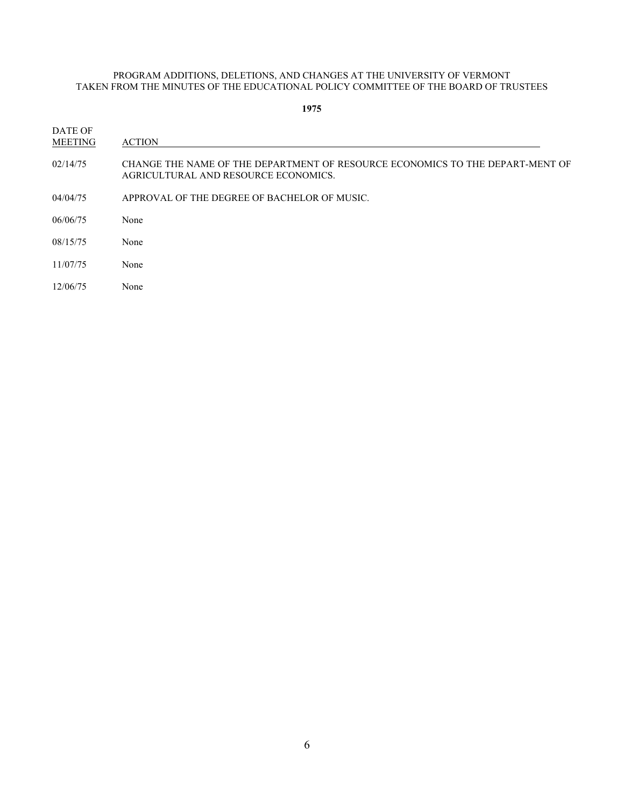| DATE OF<br><b>MEETING</b> | <b>ACTION</b>                                                                                                         |
|---------------------------|-----------------------------------------------------------------------------------------------------------------------|
| 02/14/75                  | CHANGE THE NAME OF THE DEPARTMENT OF RESOURCE ECONOMICS TO THE DEPART-MENT OF<br>AGRICULTURAL AND RESOURCE ECONOMICS. |
| 04/04/75                  | APPROVAL OF THE DEGREE OF BACHELOR OF MUSIC.                                                                          |
| 06/06/75                  | None                                                                                                                  |
| 08/15/75                  | None                                                                                                                  |
| 11/07/75                  | None                                                                                                                  |
| 12/06/75                  | None                                                                                                                  |
|                           |                                                                                                                       |
|                           |                                                                                                                       |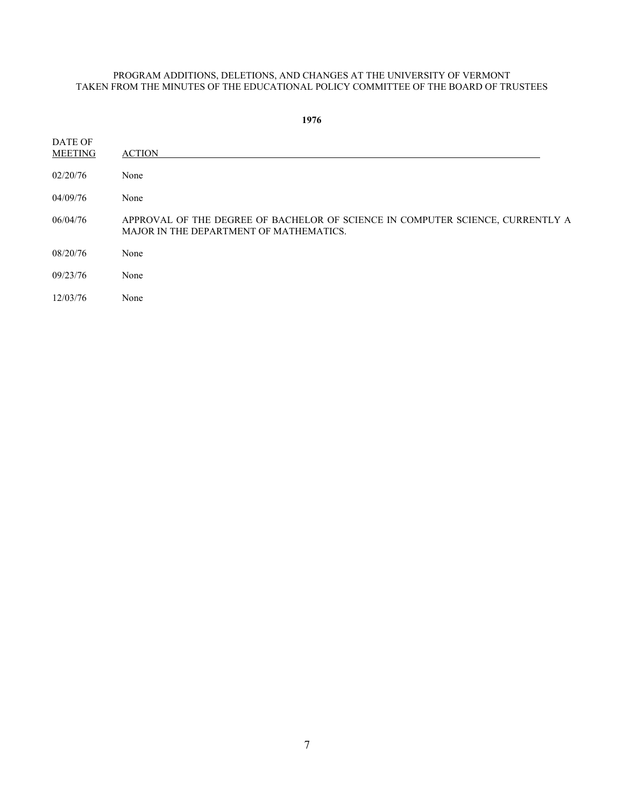| 1976                             |                                                                                                                           |  |
|----------------------------------|---------------------------------------------------------------------------------------------------------------------------|--|
| <b>DATE OF</b><br><b>MEETING</b> | <b>ACTION</b>                                                                                                             |  |
| 02/20/76                         | None                                                                                                                      |  |
| 04/09/76                         | None                                                                                                                      |  |
| 06/04/76                         | APPROVAL OF THE DEGREE OF BACHELOR OF SCIENCE IN COMPUTER SCIENCE, CURRENTLY A<br>MAJOR IN THE DEPARTMENT OF MATHEMATICS. |  |
| 08/20/76                         | None                                                                                                                      |  |
| 09/23/76                         | None                                                                                                                      |  |
| 12/03/76                         | None                                                                                                                      |  |
|                                  |                                                                                                                           |  |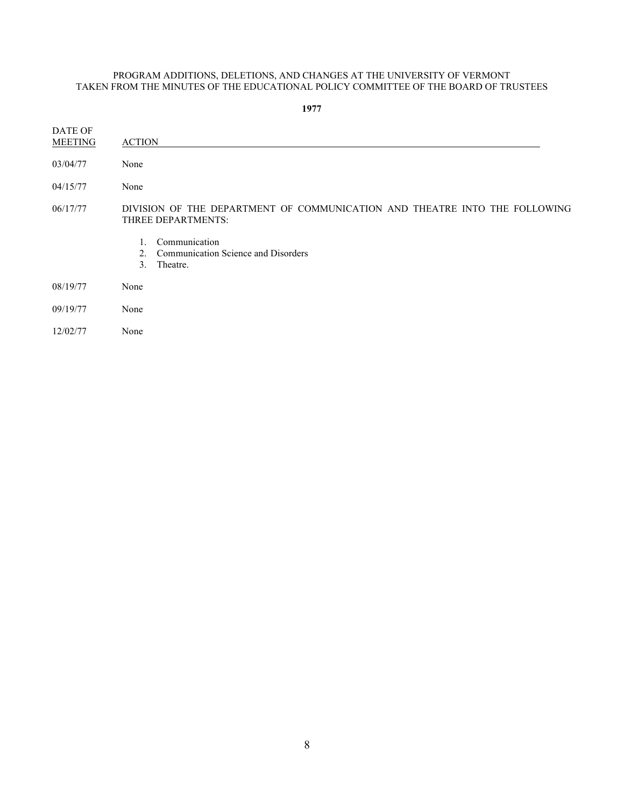| DATE OF<br><b>MEETING</b> | <b>ACTION</b>                                                                                    |  |
|---------------------------|--------------------------------------------------------------------------------------------------|--|
| 03/04/77                  | None                                                                                             |  |
| 04/15/77                  | None                                                                                             |  |
| 06/17/77                  | DIVISION OF THE DEPARTMENT OF COMMUNICATION AND THEATRE INTO THE FOLLOWING<br>THREE DEPARTMENTS: |  |
|                           | Communication<br>$1_{-}$<br>2. Communication Science and Disorders<br>3.<br>Theatre.             |  |
| 08/19/77                  | None                                                                                             |  |
| 09/19/77                  | None                                                                                             |  |
| 12/02/77                  | None                                                                                             |  |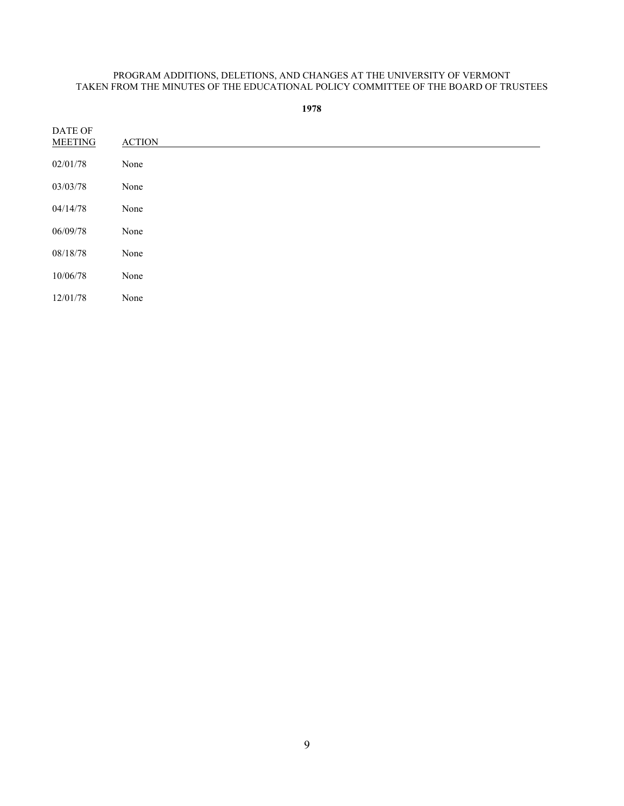| DATE OF<br><b>MEETING</b> | <b>ACTION</b> |
|---------------------------|---------------|
| 02/01/78                  | None          |
| 03/03/78                  | None          |
| 04/14/78                  | None          |
| 06/09/78                  | None          |
| 08/18/78                  | None          |
| 10/06/78                  | None          |
| 12/01/78                  | None          |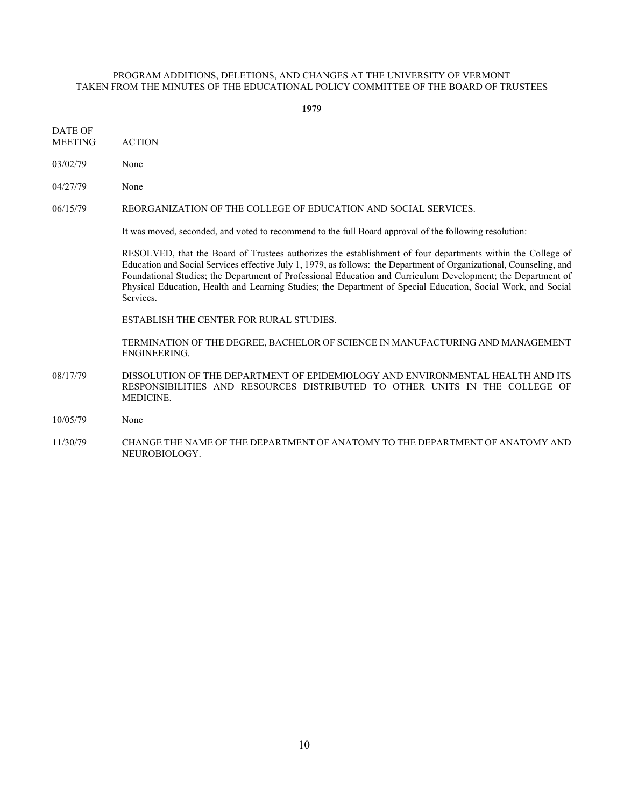- DATE OF MEETING ACTION 03/02/79 None 04/27/79 None 06/15/79 REORGANIZATION OF THE COLLEGE OF EDUCATION AND SOCIAL SERVICES. It was moved, seconded, and voted to recommend to the full Board approval of the following resolution: RESOLVED, that the Board of Trustees authorizes the establishment of four departments within the College of Education and Social Services effective July 1, 1979, as follows: the Department of Organizational, Counseling, and Foundational Studies; the Department of Professional Education and Curriculum Development; the Department of Physical Education, Health and Learning Studies; the Department of Special Education, Social Work, and Social Services. ESTABLISH THE CENTER FOR RURAL STUDIES. TERMINATION OF THE DEGREE, BACHELOR OF SCIENCE IN MANUFACTURING AND MANAGEMENT ENGINEERING. 08/17/79 DISSOLUTION OF THE DEPARTMENT OF EPIDEMIOLOGY AND ENVIRONMENTAL HEALTH AND ITS RESPONSIBILITIES AND RESOURCES DISTRIBUTED TO OTHER UNITS IN THE COLLEGE OF MEDICINE. 10/05/79 None
- 11/30/79 CHANGE THE NAME OF THE DEPARTMENT OF ANATOMY TO THE DEPARTMENT OF ANATOMY AND NEUROBIOLOGY.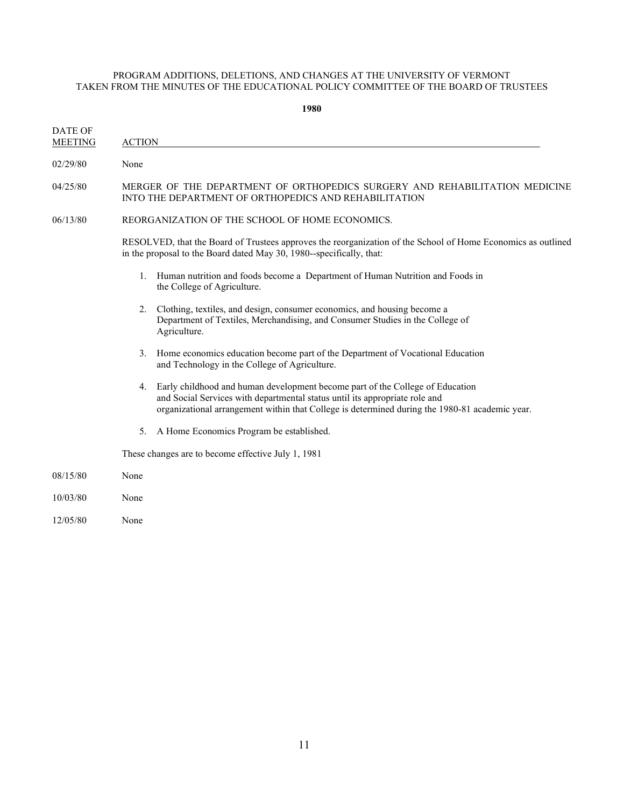**1980**

| <b>DATE OF</b><br><b>MEETING</b> | <b>ACTION</b>                                                                                                                                                                                                                                                     |  |  |
|----------------------------------|-------------------------------------------------------------------------------------------------------------------------------------------------------------------------------------------------------------------------------------------------------------------|--|--|
| 02/29/80                         | None                                                                                                                                                                                                                                                              |  |  |
| 04/25/80                         | MERGER OF THE DEPARTMENT OF ORTHOPEDICS SURGERY AND REHABILITATION MEDICINE<br>INTO THE DEPARTMENT OF ORTHOPEDICS AND REHABILITATION                                                                                                                              |  |  |
| 06/13/80                         | REORGANIZATION OF THE SCHOOL OF HOME ECONOMICS.                                                                                                                                                                                                                   |  |  |
|                                  | RESOLVED, that the Board of Trustees approves the reorganization of the School of Home Economics as outlined<br>in the proposal to the Board dated May 30, 1980--specifically, that:                                                                              |  |  |
|                                  | Human nutrition and foods become a Department of Human Nutrition and Foods in<br>1.<br>the College of Agriculture.                                                                                                                                                |  |  |
|                                  | Clothing, textiles, and design, consumer economics, and housing become a<br>2.<br>Department of Textiles, Merchandising, and Consumer Studies in the College of<br>Agriculture.                                                                                   |  |  |
|                                  | Home economics education become part of the Department of Vocational Education<br>3.<br>and Technology in the College of Agriculture.                                                                                                                             |  |  |
|                                  | 4. Early childhood and human development become part of the College of Education<br>and Social Services with departmental status until its appropriate role and<br>organizational arrangement within that College is determined during the 1980-81 academic year. |  |  |
|                                  | A Home Economics Program be established.<br>5.                                                                                                                                                                                                                    |  |  |
|                                  | These changes are to become effective July 1, 1981                                                                                                                                                                                                                |  |  |
| 08/15/80                         | None                                                                                                                                                                                                                                                              |  |  |
| 10/03/80                         | None                                                                                                                                                                                                                                                              |  |  |
|                                  |                                                                                                                                                                                                                                                                   |  |  |

12/05/80 None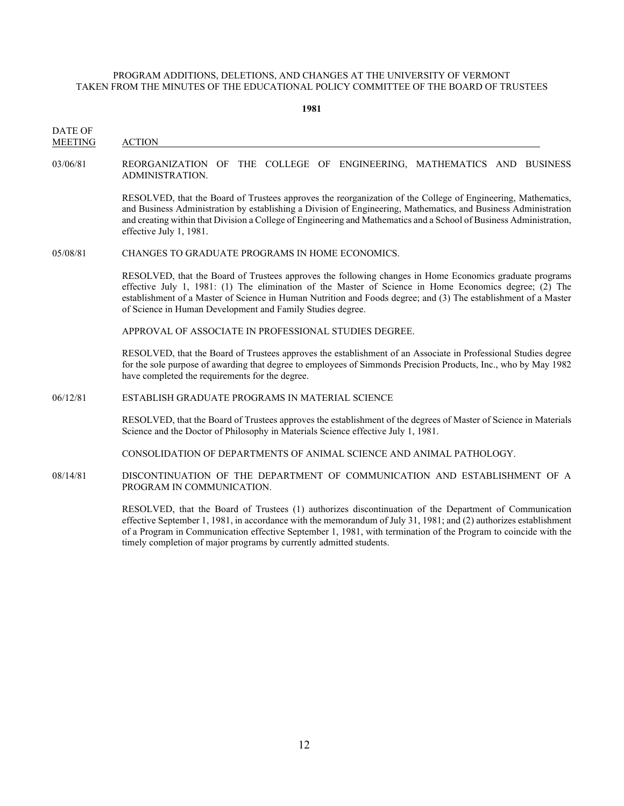**1981**

- DATE OF
- MEETING ACTION

# 03/06/81 REORGANIZATION OF THE COLLEGE OF ENGINEERING, MATHEMATICS AND BUSINESS ADMINISTRATION.

RESOLVED, that the Board of Trustees approves the reorganization of the College of Engineering, Mathematics, and Business Administration by establishing a Division of Engineering, Mathematics, and Business Administration and creating within that Division a College of Engineering and Mathematics and a School of Business Administration, effective July 1, 1981.

05/08/81 CHANGES TO GRADUATE PROGRAMS IN HOME ECONOMICS.

RESOLVED, that the Board of Trustees approves the following changes in Home Economics graduate programs effective July 1, 1981: (1) The elimination of the Master of Science in Home Economics degree; (2) The establishment of a Master of Science in Human Nutrition and Foods degree; and (3) The establishment of a Master of Science in Human Development and Family Studies degree.

APPROVAL OF ASSOCIATE IN PROFESSIONAL STUDIES DEGREE.

RESOLVED, that the Board of Trustees approves the establishment of an Associate in Professional Studies degree for the sole purpose of awarding that degree to employees of Simmonds Precision Products, Inc., who by May 1982 have completed the requirements for the degree.

#### 06/12/81 ESTABLISH GRADUATE PROGRAMS IN MATERIAL SCIENCE

RESOLVED, that the Board of Trustees approves the establishment of the degrees of Master of Science in Materials Science and the Doctor of Philosophy in Materials Science effective July 1, 1981.

CONSOLIDATION OF DEPARTMENTS OF ANIMAL SCIENCE AND ANIMAL PATHOLOGY.

08/14/81 DISCONTINUATION OF THE DEPARTMENT OF COMMUNICATION AND ESTABLISHMENT OF A PROGRAM IN COMMUNICATION.

> RESOLVED, that the Board of Trustees (1) authorizes discontinuation of the Department of Communication effective September 1, 1981, in accordance with the memorandum of July 31, 1981; and (2) authorizes establishment of a Program in Communication effective September 1, 1981, with termination of the Program to coincide with the timely completion of major programs by currently admitted students.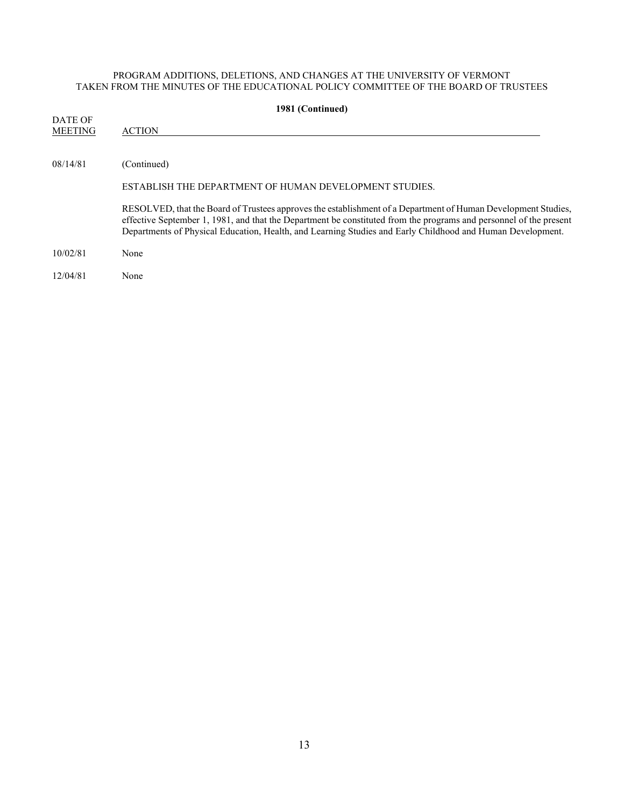|                           | 1981 (Continued)                                                                                                                                                                                                                                                                                                                                  |
|---------------------------|---------------------------------------------------------------------------------------------------------------------------------------------------------------------------------------------------------------------------------------------------------------------------------------------------------------------------------------------------|
| DATE OF<br><b>MEETING</b> | <b>ACTION</b>                                                                                                                                                                                                                                                                                                                                     |
| 08/14/81                  | (Continued)                                                                                                                                                                                                                                                                                                                                       |
|                           | ESTABLISH THE DEPARTMENT OF HUMAN DEVELOPMENT STUDIES.                                                                                                                                                                                                                                                                                            |
|                           | RESOLVED, that the Board of Trustees approves the establishment of a Department of Human Development Studies,<br>effective September 1, 1981, and that the Department be constituted from the programs and personnel of the present<br>Departments of Physical Education, Health, and Learning Studies and Early Childhood and Human Development. |
| 10/02/81                  | None                                                                                                                                                                                                                                                                                                                                              |
| 12/04/81                  | None                                                                                                                                                                                                                                                                                                                                              |
|                           |                                                                                                                                                                                                                                                                                                                                                   |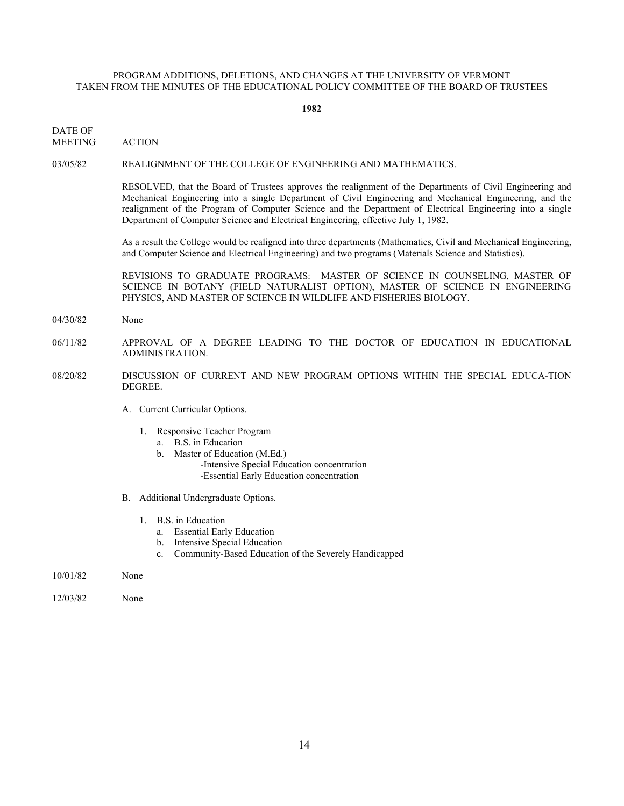**1982**

- DATE OF
- MEETING ACTION

#### 03/05/82 REALIGNMENT OF THE COLLEGE OF ENGINEERING AND MATHEMATICS.

RESOLVED, that the Board of Trustees approves the realignment of the Departments of Civil Engineering and Mechanical Engineering into a single Department of Civil Engineering and Mechanical Engineering, and the realignment of the Program of Computer Science and the Department of Electrical Engineering into a single Department of Computer Science and Electrical Engineering, effective July 1, 1982.

As a result the College would be realigned into three departments (Mathematics, Civil and Mechanical Engineering, and Computer Science and Electrical Engineering) and two programs (Materials Science and Statistics).

REVISIONS TO GRADUATE PROGRAMS: MASTER OF SCIENCE IN COUNSELING, MASTER OF SCIENCE IN BOTANY (FIELD NATURALIST OPTION), MASTER OF SCIENCE IN ENGINEERING PHYSICS, AND MASTER OF SCIENCE IN WILDLIFE AND FISHERIES BIOLOGY.

- 04/30/82 None
- 06/11/82 APPROVAL OF A DEGREE LEADING TO THE DOCTOR OF EDUCATION IN EDUCATIONAL ADMINISTRATION.
- 08/20/82 DISCUSSION OF CURRENT AND NEW PROGRAM OPTIONS WITHIN THE SPECIAL EDUCA-TION DEGREE.
	- A. Current Curricular Options.
		- 1. Responsive Teacher Program
			- a. B.S. in Education
			- b. Master of Education (M.Ed.)
				- -Intensive Special Education concentration -Essential Early Education concentration
	- B. Additional Undergraduate Options.
		- 1. B.S. in Education
			- a. Essential Early Education
			- b. Intensive Special Education
			- c. Community-Based Education of the Severely Handicapped
- 10/01/82 None
- 12/03/82 None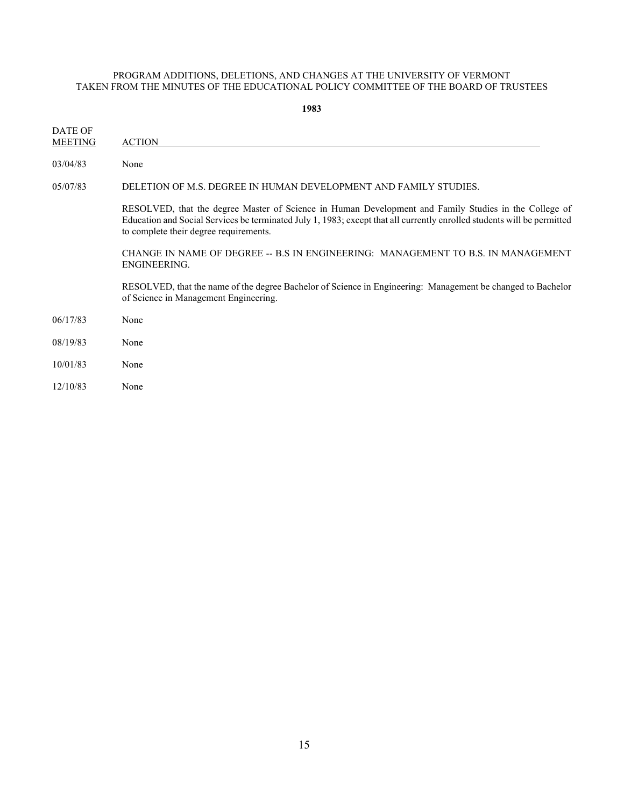| DATE OF<br><b>MEETING</b> | <b>ACTION</b>                                                                                                                                                                                                                                                              |
|---------------------------|----------------------------------------------------------------------------------------------------------------------------------------------------------------------------------------------------------------------------------------------------------------------------|
| 03/04/83                  | None                                                                                                                                                                                                                                                                       |
| 05/07/83                  | DELETION OF M.S. DEGREE IN HUMAN DEVELOPMENT AND FAMILY STUDIES.                                                                                                                                                                                                           |
|                           | RESOLVED, that the degree Master of Science in Human Development and Family Studies in the College of<br>Education and Social Services be terminated July 1, 1983; except that all currently enrolled students will be permitted<br>to complete their degree requirements. |
|                           | CHANGE IN NAME OF DEGREE -- B.S IN ENGINEERING: MANAGEMENT TO B.S. IN MANAGEMENT<br>ENGINEERING.                                                                                                                                                                           |
|                           | RESOLVED, that the name of the degree Bachelor of Science in Engineering: Management be changed to Bachelor<br>of Science in Management Engineering.                                                                                                                       |
| 06/17/83                  | None                                                                                                                                                                                                                                                                       |
| 08/19/83                  | None                                                                                                                                                                                                                                                                       |
| 10/01/83                  | None                                                                                                                                                                                                                                                                       |
| 12/10/83                  | None                                                                                                                                                                                                                                                                       |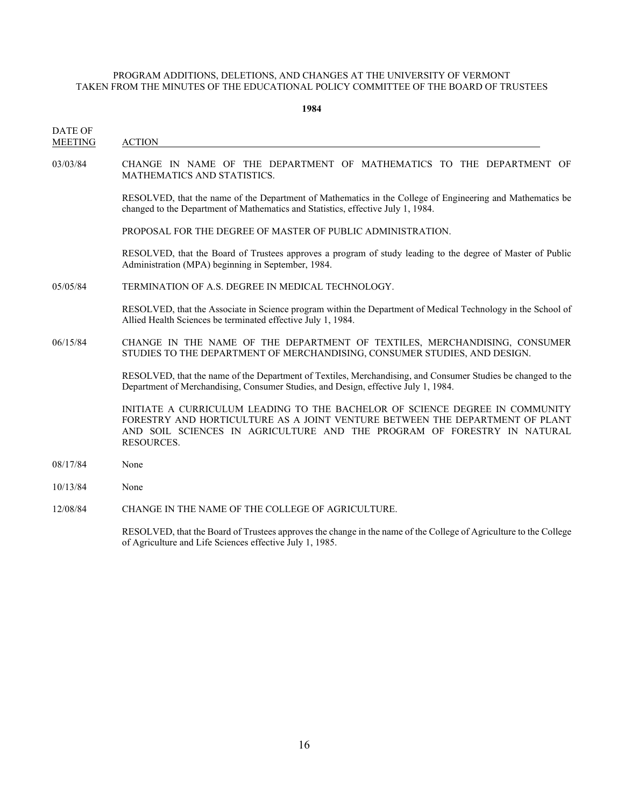**1984**

DATE OF MEETING ACTION 03/03/84 CHANGE IN NAME OF THE DEPARTMENT OF MATHEMATICS TO THE DEPARTMENT OF MATHEMATICS AND STATISTICS. RESOLVED, that the name of the Department of Mathematics in the College of Engineering and Mathematics be changed to the Department of Mathematics and Statistics, effective July 1, 1984. PROPOSAL FOR THE DEGREE OF MASTER OF PUBLIC ADMINISTRATION. RESOLVED, that the Board of Trustees approves a program of study leading to the degree of Master of Public Administration (MPA) beginning in September, 1984. 05/05/84 TERMINATION OF A.S. DEGREE IN MEDICAL TECHNOLOGY. RESOLVED, that the Associate in Science program within the Department of Medical Technology in the School of Allied Health Sciences be terminated effective July 1, 1984. 06/15/84 CHANGE IN THE NAME OF THE DEPARTMENT OF TEXTILES, MERCHANDISING, CONSUMER STUDIES TO THE DEPARTMENT OF MERCHANDISING, CONSUMER STUDIES, AND DESIGN. RESOLVED, that the name of the Department of Textiles, Merchandising, and Consumer Studies be changed to the Department of Merchandising, Consumer Studies, and Design, effective July 1, 1984. INITIATE A CURRICULUM LEADING TO THE BACHELOR OF SCIENCE DEGREE IN COMMUNITY FORESTRY AND HORTICULTURE AS A JOINT VENTURE BETWEEN THE DEPARTMENT OF PLANT AND SOIL SCIENCES IN AGRICULTURE AND THE PROGRAM OF FORESTRY IN NATURAL RESOURCES. 08/17/84 None 10/13/84 None 12/08/84 CHANGE IN THE NAME OF THE COLLEGE OF AGRICULTURE.

RESOLVED, that the Board of Trustees approves the change in the name of the College of Agriculture to the College of Agriculture and Life Sciences effective July 1, 1985.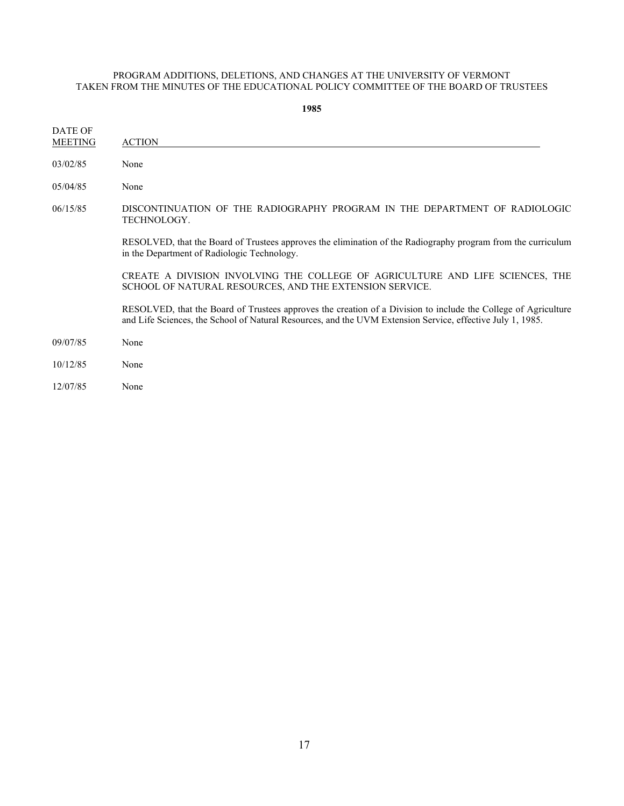| DATE OF<br><b>MEETING</b> | <b>ACTION</b>                                                                                                                                                                                                                |
|---------------------------|------------------------------------------------------------------------------------------------------------------------------------------------------------------------------------------------------------------------------|
| 03/02/85                  | None                                                                                                                                                                                                                         |
| 05/04/85                  | None                                                                                                                                                                                                                         |
| 06/15/85                  | DISCONTINUATION OF THE RADIOGRAPHY PROGRAM IN THE DEPARTMENT OF RADIOLOGIC<br>TECHNOLOGY.                                                                                                                                    |
|                           | RESOLVED, that the Board of Trustees approves the elimination of the Radiography program from the curriculum<br>in the Department of Radiologic Technology.                                                                  |
|                           | CREATE A DIVISION INVOLVING THE COLLEGE OF AGRICULTURE AND LIFE SCIENCES, THE<br>SCHOOL OF NATURAL RESOURCES, AND THE EXTENSION SERVICE.                                                                                     |
|                           | RESOLVED, that the Board of Trustees approves the creation of a Division to include the College of Agriculture<br>and Life Sciences, the School of Natural Resources, and the UVM Extension Service, effective July 1, 1985. |
| 09/07/85                  | None                                                                                                                                                                                                                         |
| 10/12/85                  | None                                                                                                                                                                                                                         |
| 12/07/85                  | None                                                                                                                                                                                                                         |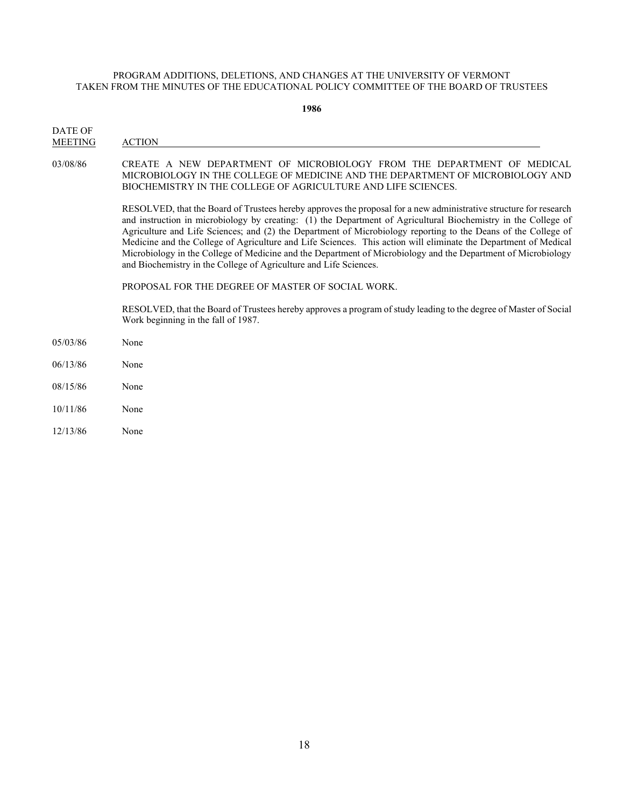**1986**

DATE OF MEETING ACTION 03/08/86 CREATE A NEW DEPARTMENT OF MICROBIOLOGY FROM THE DEPARTMENT OF MEDICAL MICROBIOLOGY IN THE COLLEGE OF MEDICINE AND THE DEPARTMENT OF MICROBIOLOGY AND BIOCHEMISTRY IN THE COLLEGE OF AGRICULTURE AND LIFE SCIENCES. RESOLVED, that the Board of Trustees hereby approves the proposal for a new administrative structure for research and instruction in microbiology by creating: (1) the Department of Agricultural Biochemistry in the College of Agriculture and Life Sciences; and (2) the Department of Microbiology reporting to the Deans of the College of Medicine and the College of Agriculture and Life Sciences. This action will eliminate the Department of Medical Microbiology in the College of Medicine and the Department of Microbiology and the Department of Microbiology and Biochemistry in the College of Agriculture and Life Sciences. PROPOSAL FOR THE DEGREE OF MASTER OF SOCIAL WORK. RESOLVED, that the Board of Trustees hereby approves a program of study leading to the degree of Master of Social Work beginning in the fall of 1987. 05/03/86 None 06/13/86 None 08/15/86 None 10/11/86 None

12/13/86 None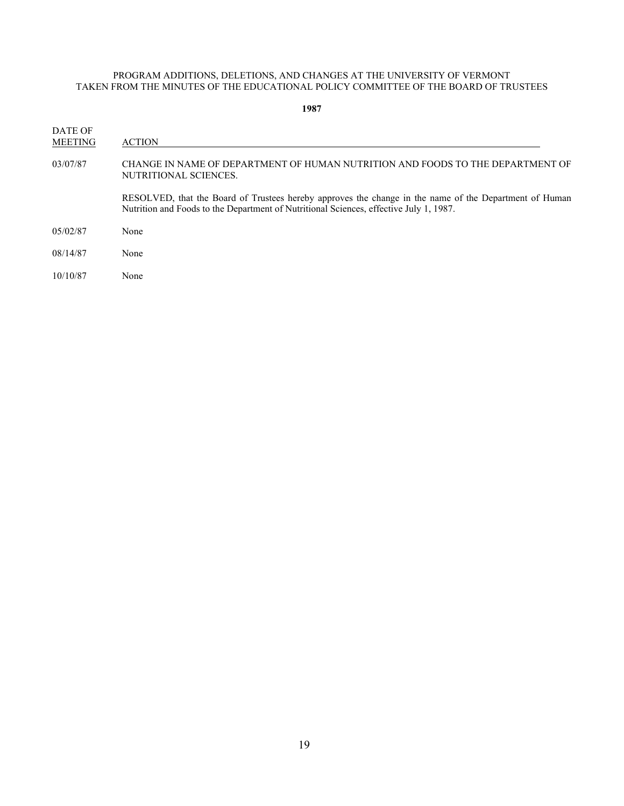| DATE OF<br><b>MEETING</b> | <b>ACTION</b>                                                                                                                                                                                    |
|---------------------------|--------------------------------------------------------------------------------------------------------------------------------------------------------------------------------------------------|
| 03/07/87                  | CHANGE IN NAME OF DEPARTMENT OF HUMAN NUTRITION AND FOODS TO THE DEPARTMENT OF<br>NUTRITIONAL SCIENCES.                                                                                          |
|                           | RESOLVED, that the Board of Trustees hereby approves the change in the name of the Department of Human<br>Nutrition and Foods to the Department of Nutritional Sciences, effective July 1, 1987. |
| 05/02/87                  | None                                                                                                                                                                                             |
| 08/14/87                  | None                                                                                                                                                                                             |
| 10/10/87                  | None                                                                                                                                                                                             |
|                           |                                                                                                                                                                                                  |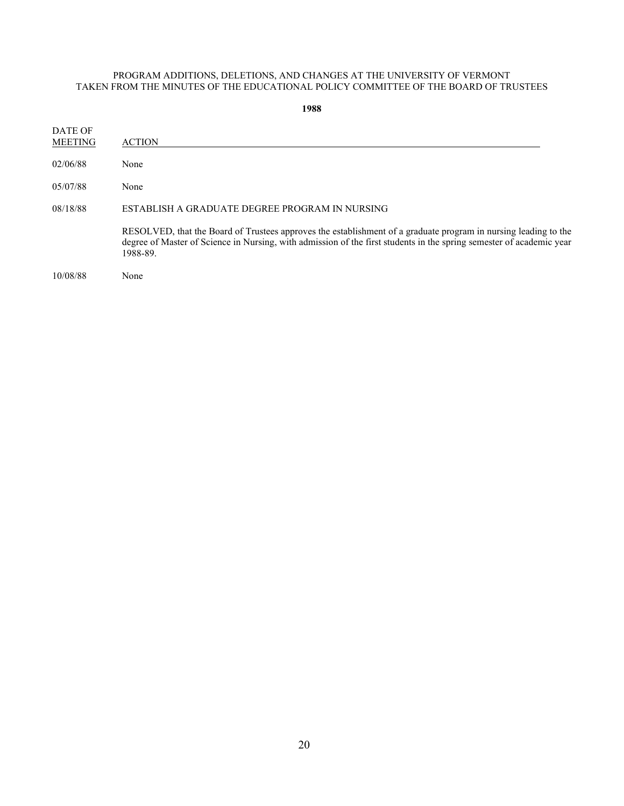| DATE OF<br><b>MEETING</b> | <b>ACTION</b>                                                                                                                                                                                                                                       |
|---------------------------|-----------------------------------------------------------------------------------------------------------------------------------------------------------------------------------------------------------------------------------------------------|
| 02/06/88                  | None                                                                                                                                                                                                                                                |
| 05/07/88                  | None                                                                                                                                                                                                                                                |
| 08/18/88                  | ESTABLISH A GRADUATE DEGREE PROGRAM IN NURSING                                                                                                                                                                                                      |
|                           | RESOLVED, that the Board of Trustees approves the establishment of a graduate program in nursing leading to the<br>degree of Master of Science in Nursing, with admission of the first students in the spring semester of academic year<br>1988-89. |
| 10/08/88                  | None                                                                                                                                                                                                                                                |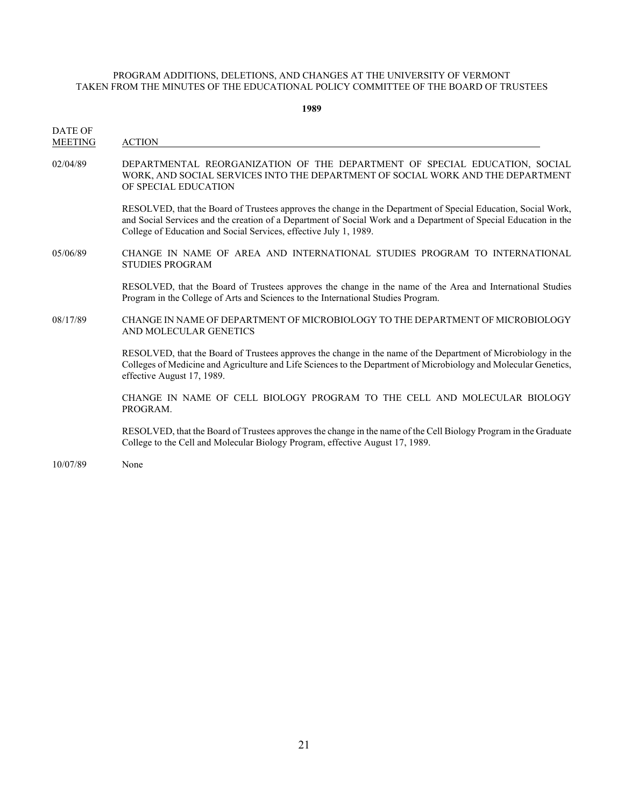**1989**

| DATE OF<br><b>MEETING</b> | <b>ACTION</b>                                                                                                                                                                                                                                                                                          |
|---------------------------|--------------------------------------------------------------------------------------------------------------------------------------------------------------------------------------------------------------------------------------------------------------------------------------------------------|
| 02/04/89                  | DEPARTMENTAL REORGANIZATION OF THE DEPARTMENT OF SPECIAL EDUCATION, SOCIAL<br>WORK, AND SOCIAL SERVICES INTO THE DEPARTMENT OF SOCIAL WORK AND THE DEPARTMENT<br>OF SPECIAL EDUCATION                                                                                                                  |
|                           | RESOLVED, that the Board of Trustees approves the change in the Department of Special Education, Social Work,<br>and Social Services and the creation of a Department of Social Work and a Department of Special Education in the<br>College of Education and Social Services, effective July 1, 1989. |
| 05/06/89                  | CHANGE IN NAME OF AREA AND INTERNATIONAL STUDIES PROGRAM TO INTERNATIONAL<br><b>STUDIES PROGRAM</b>                                                                                                                                                                                                    |
|                           | RESOLVED, that the Board of Trustees approves the change in the name of the Area and International Studies<br>Program in the College of Arts and Sciences to the International Studies Program.                                                                                                        |
| 08/17/89                  | CHANGE IN NAME OF DEPARTMENT OF MICROBIOLOGY TO THE DEPARTMENT OF MICROBIOLOGY<br>AND MOLECULAR GENETICS                                                                                                                                                                                               |
|                           | RESOLVED, that the Board of Trustees approves the change in the name of the Department of Microbiology in the<br>Colleges of Medicine and Agriculture and Life Sciences to the Department of Microbiology and Molecular Genetics,<br>effective August 17, 1989.                                        |
|                           | CHANGE IN NAME OF CELL BIOLOGY PROGRAM TO THE CELL AND MOLECULAR BIOLOGY<br>PROGRAM.                                                                                                                                                                                                                   |
|                           | RESOLVED, that the Board of Trustees approves the change in the name of the Cell Biology Program in the Graduate<br>College to the Cell and Molecular Biology Program, effective August 17, 1989.                                                                                                      |

10/07/89 None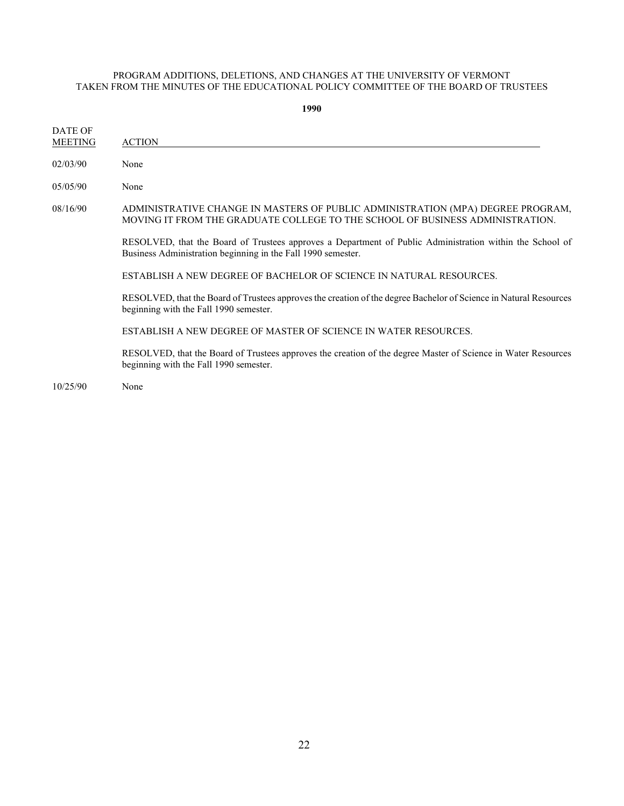| DATE OF<br><b>MEETING</b> | <b>ACTION</b>                                                                                                                                                            |
|---------------------------|--------------------------------------------------------------------------------------------------------------------------------------------------------------------------|
| 02/03/90                  | None                                                                                                                                                                     |
| 05/05/90                  | None                                                                                                                                                                     |
| 08/16/90                  | ADMINISTRATIVE CHANGE IN MASTERS OF PUBLIC ADMINISTRATION (MPA) DEGREE PROGRAM,<br>MOVING IT FROM THE GRADUATE COLLEGE TO THE SCHOOL OF BUSINESS ADMINISTRATION.         |
|                           | RESOLVED, that the Board of Trustees approves a Department of Public Administration within the School of<br>Business Administration beginning in the Fall 1990 semester. |
|                           | ESTABLISH A NEW DEGREE OF BACHELOR OF SCIENCE IN NATURAL RESOURCES.                                                                                                      |
|                           | RESOLVED, that the Board of Trustees approves the creation of the degree Bachelor of Science in Natural Resources<br>beginning with the Fall 1990 semester.              |
|                           | ESTABLISH A NEW DEGREE OF MASTER OF SCIENCE IN WATER RESOURCES.                                                                                                          |
|                           | RESOLVED, that the Board of Trustees approves the creation of the degree Master of Science in Water Resources<br>beginning with the Fall 1990 semester.                  |
| 10/25/90                  | None                                                                                                                                                                     |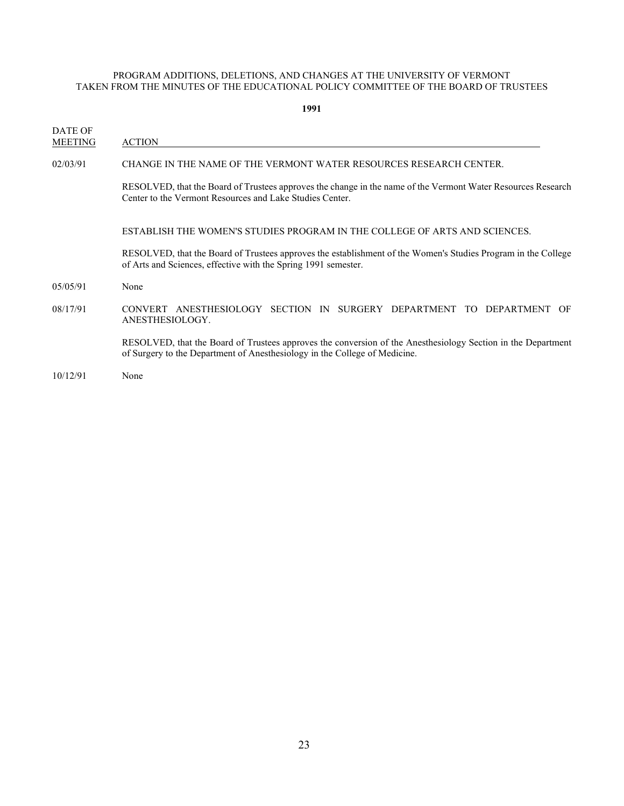| DATE OF<br><b>MEETING</b> | <b>ACTION</b>                                                                                                                                                                              |
|---------------------------|--------------------------------------------------------------------------------------------------------------------------------------------------------------------------------------------|
| 02/03/91                  | CHANGE IN THE NAME OF THE VERMONT WATER RESOURCES RESEARCH CENTER.                                                                                                                         |
|                           | RESOLVED, that the Board of Trustees approves the change in the name of the Vermont Water Resources Research<br>Center to the Vermont Resources and Lake Studies Center.                   |
|                           | ESTABLISH THE WOMEN'S STUDIES PROGRAM IN THE COLLEGE OF ARTS AND SCIENCES.                                                                                                                 |
|                           | RESOLVED, that the Board of Trustees approves the establishment of the Women's Studies Program in the College<br>of Arts and Sciences, effective with the Spring 1991 semester.            |
| 05/05/91                  | None                                                                                                                                                                                       |
| 08/17/91                  | ANESTHESIOLOGY SECTION IN SURGERY DEPARTMENT<br><b>CONVERT</b><br>DEPARTMENT<br>TO.<br>OF<br>ANESTHESIOLOGY.                                                                               |
|                           | RESOLVED, that the Board of Trustees approves the conversion of the Anesthesiology Section in the Department<br>of Surgery to the Department of Anesthesiology in the College of Medicine. |
| 10/12/91                  | None                                                                                                                                                                                       |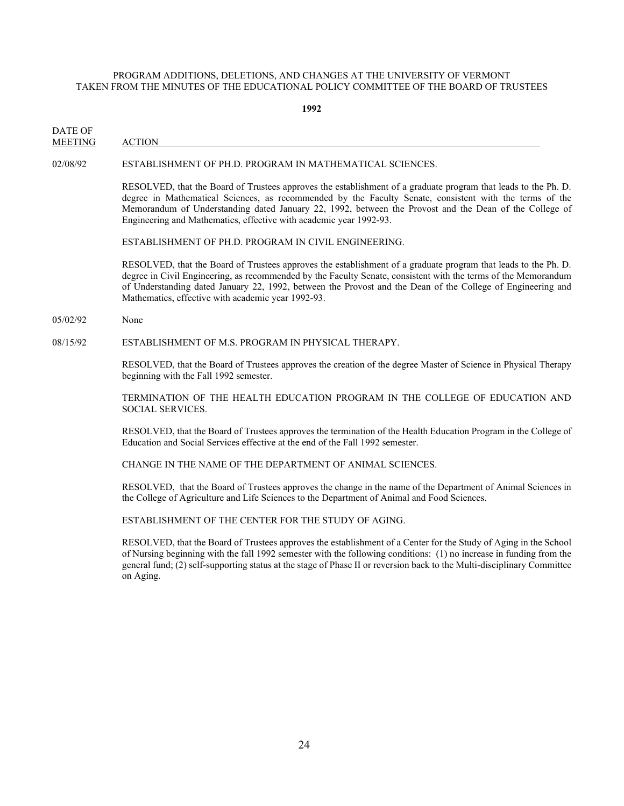**1992**

- DATE OF
- MEETING ACTION

## 02/08/92 ESTABLISHMENT OF PH.D. PROGRAM IN MATHEMATICAL SCIENCES.

RESOLVED, that the Board of Trustees approves the establishment of a graduate program that leads to the Ph. D. degree in Mathematical Sciences, as recommended by the Faculty Senate, consistent with the terms of the Memorandum of Understanding dated January 22, 1992, between the Provost and the Dean of the College of Engineering and Mathematics, effective with academic year 1992-93.

ESTABLISHMENT OF PH.D. PROGRAM IN CIVIL ENGINEERING.

RESOLVED, that the Board of Trustees approves the establishment of a graduate program that leads to the Ph. D. degree in Civil Engineering, as recommended by the Faculty Senate, consistent with the terms of the Memorandum of Understanding dated January 22, 1992, between the Provost and the Dean of the College of Engineering and Mathematics, effective with academic year 1992-93.

05/02/92 None

08/15/92 ESTABLISHMENT OF M.S. PROGRAM IN PHYSICAL THERAPY.

RESOLVED, that the Board of Trustees approves the creation of the degree Master of Science in Physical Therapy beginning with the Fall 1992 semester.

TERMINATION OF THE HEALTH EDUCATION PROGRAM IN THE COLLEGE OF EDUCATION AND SOCIAL SERVICES.

RESOLVED, that the Board of Trustees approves the termination of the Health Education Program in the College of Education and Social Services effective at the end of the Fall 1992 semester.

CHANGE IN THE NAME OF THE DEPARTMENT OF ANIMAL SCIENCES.

RESOLVED, that the Board of Trustees approves the change in the name of the Department of Animal Sciences in the College of Agriculture and Life Sciences to the Department of Animal and Food Sciences.

ESTABLISHMENT OF THE CENTER FOR THE STUDY OF AGING.

RESOLVED, that the Board of Trustees approves the establishment of a Center for the Study of Aging in the School of Nursing beginning with the fall 1992 semester with the following conditions: (1) no increase in funding from the general fund; (2) self-supporting status at the stage of Phase II or reversion back to the Multi-disciplinary Committee on Aging.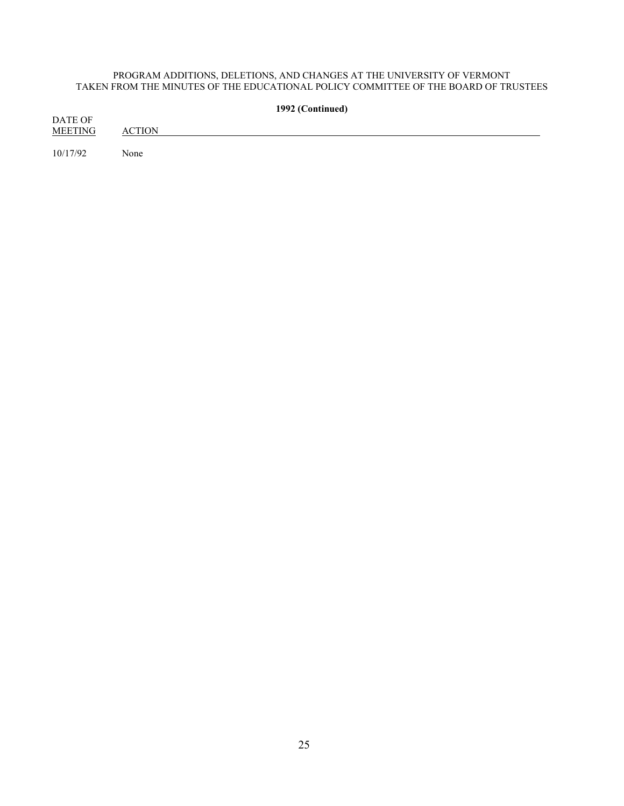|                           | 1992 (Continued) |  |
|---------------------------|------------------|--|
| DATE OF<br><b>MEETING</b> | <b>ACTION</b>    |  |
| 10/17/92                  | None             |  |
|                           |                  |  |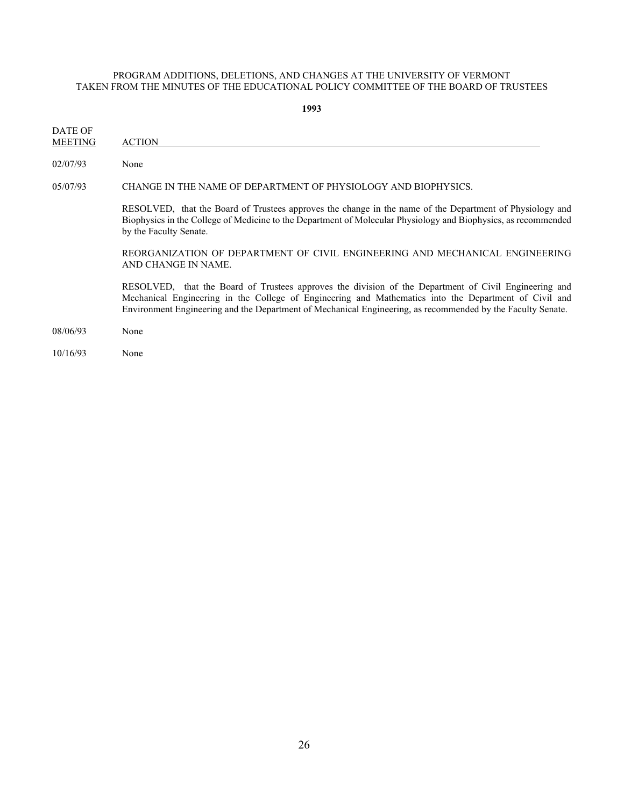**1993**

DATE OF

MEETING ACTION

02/07/93 None

05/07/93 CHANGE IN THE NAME OF DEPARTMENT OF PHYSIOLOGY AND BIOPHYSICS.

RESOLVED, that the Board of Trustees approves the change in the name of the Department of Physiology and Biophysics in the College of Medicine to the Department of Molecular Physiology and Biophysics, as recommended by the Faculty Senate.

REORGANIZATION OF DEPARTMENT OF CIVIL ENGINEERING AND MECHANICAL ENGINEERING AND CHANGE IN NAME.

RESOLVED, that the Board of Trustees approves the division of the Department of Civil Engineering and Mechanical Engineering in the College of Engineering and Mathematics into the Department of Civil and Environment Engineering and the Department of Mechanical Engineering, as recommended by the Faculty Senate.

- 08/06/93 None
- 10/16/93 None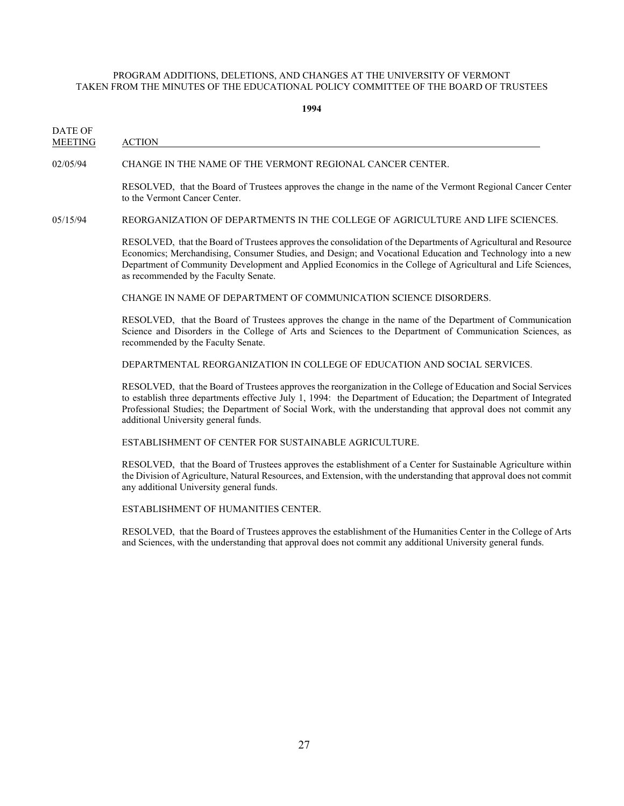**1994**

DATE OF

MEETING ACTION

# 02/05/94 CHANGE IN THE NAME OF THE VERMONT REGIONAL CANCER CENTER.

RESOLVED, that the Board of Trustees approves the change in the name of the Vermont Regional Cancer Center to the Vermont Cancer Center.

# 05/15/94 REORGANIZATION OF DEPARTMENTS IN THE COLLEGE OF AGRICULTURE AND LIFE SCIENCES.

RESOLVED, that the Board of Trustees approves the consolidation of the Departments of Agricultural and Resource Economics; Merchandising, Consumer Studies, and Design; and Vocational Education and Technology into a new Department of Community Development and Applied Economics in the College of Agricultural and Life Sciences, as recommended by the Faculty Senate.

CHANGE IN NAME OF DEPARTMENT OF COMMUNICATION SCIENCE DISORDERS.

RESOLVED, that the Board of Trustees approves the change in the name of the Department of Communication Science and Disorders in the College of Arts and Sciences to the Department of Communication Sciences, as recommended by the Faculty Senate.

# DEPARTMENTAL REORGANIZATION IN COLLEGE OF EDUCATION AND SOCIAL SERVICES.

RESOLVED, that the Board of Trustees approves the reorganization in the College of Education and Social Services to establish three departments effective July 1, 1994: the Department of Education; the Department of Integrated Professional Studies; the Department of Social Work, with the understanding that approval does not commit any additional University general funds.

ESTABLISHMENT OF CENTER FOR SUSTAINABLE AGRICULTURE.

RESOLVED, that the Board of Trustees approves the establishment of a Center for Sustainable Agriculture within the Division of Agriculture, Natural Resources, and Extension, with the understanding that approval does not commit any additional University general funds.

ESTABLISHMENT OF HUMANITIES CENTER.

RESOLVED, that the Board of Trustees approves the establishment of the Humanities Center in the College of Arts and Sciences, with the understanding that approval does not commit any additional University general funds.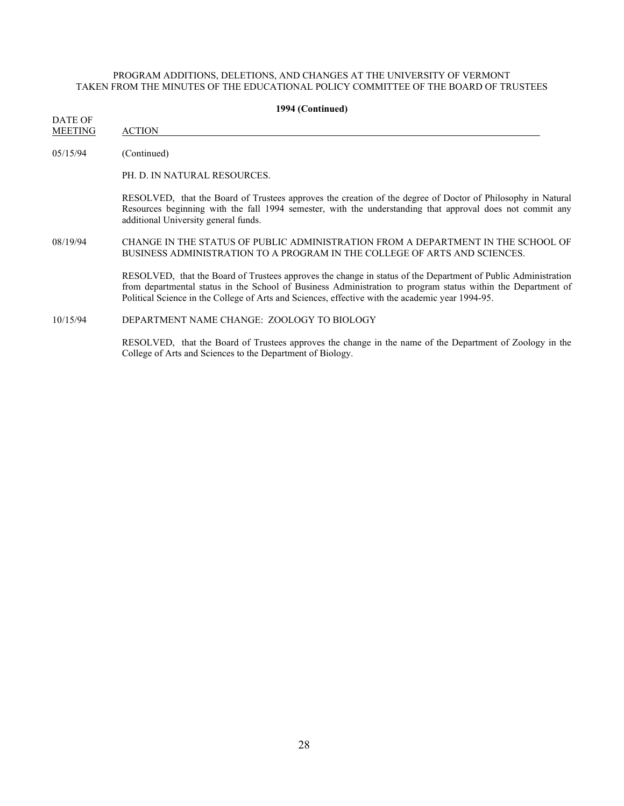| 1994 (Continued)          |                                                                                                                                                                                                                                                                                                                                   |  |
|---------------------------|-----------------------------------------------------------------------------------------------------------------------------------------------------------------------------------------------------------------------------------------------------------------------------------------------------------------------------------|--|
| DATE OF<br><b>MEETING</b> | <b>ACTION</b>                                                                                                                                                                                                                                                                                                                     |  |
| 05/15/94                  | (Continued)                                                                                                                                                                                                                                                                                                                       |  |
|                           | PH. D. IN NATURAL RESOURCES.                                                                                                                                                                                                                                                                                                      |  |
|                           | RESOLVED, that the Board of Trustees approves the creation of the degree of Doctor of Philosophy in Natural<br>Resources beginning with the fall 1994 semester, with the understanding that approval does not commit any<br>additional University general funds.                                                                  |  |
| 08/19/94                  | CHANGE IN THE STATUS OF PUBLIC ADMINISTRATION FROM A DEPARTMENT IN THE SCHOOL OF<br>BUSINESS ADMINISTRATION TO A PROGRAM IN THE COLLEGE OF ARTS AND SCIENCES.                                                                                                                                                                     |  |
|                           | RESOLVED, that the Board of Trustees approves the change in status of the Department of Public Administration<br>from departmental status in the School of Business Administration to program status within the Department of<br>Political Science in the College of Arts and Sciences, effective with the academic year 1994-95. |  |
| 10/15/94                  | DEPARTMENT NAME CHANGE: ZOOLOGY TO BIOLOGY                                                                                                                                                                                                                                                                                        |  |
|                           | RESOLVED, that the Board of Trustees approves the change in the name of the Department of Zoology in the<br>College of Arts and Sciences to the Department of Biology.                                                                                                                                                            |  |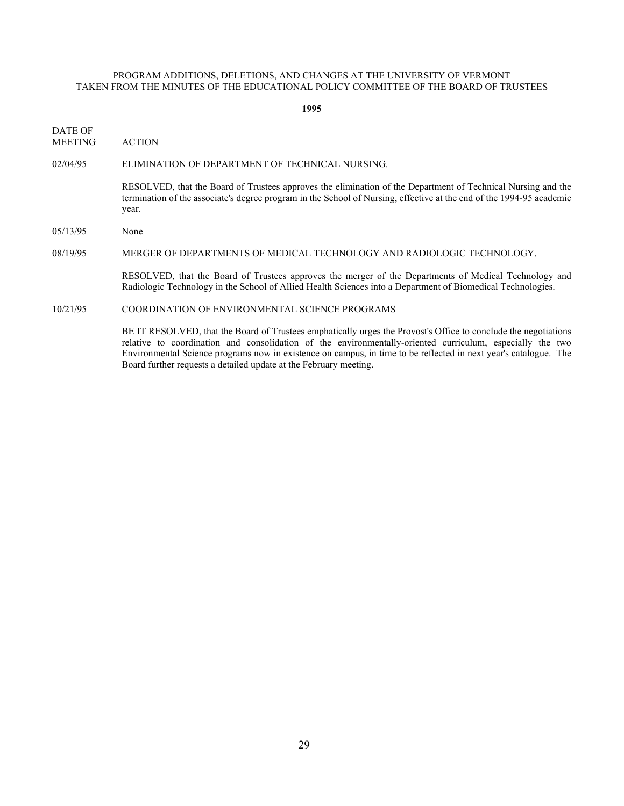| <b>DATE OF</b><br><b>MEETING</b> | <b>ACTION</b>                                                                                                                                                                                                                                                                                                                                                                                                         |
|----------------------------------|-----------------------------------------------------------------------------------------------------------------------------------------------------------------------------------------------------------------------------------------------------------------------------------------------------------------------------------------------------------------------------------------------------------------------|
| 02/04/95                         | ELIMINATION OF DEPARTMENT OF TECHNICAL NURSING.                                                                                                                                                                                                                                                                                                                                                                       |
|                                  | RESOLVED, that the Board of Trustees approves the elimination of the Department of Technical Nursing and the<br>termination of the associate's degree program in the School of Nursing, effective at the end of the 1994-95 academic<br>year.                                                                                                                                                                         |
| 05/13/95                         | None                                                                                                                                                                                                                                                                                                                                                                                                                  |
| 08/19/95                         | MERGER OF DEPARTMENTS OF MEDICAL TECHNOLOGY AND RADIOLOGIC TECHNOLOGY.                                                                                                                                                                                                                                                                                                                                                |
|                                  | RESOLVED, that the Board of Trustees approves the merger of the Departments of Medical Technology and<br>Radiologic Technology in the School of Allied Health Sciences into a Department of Biomedical Technologies.                                                                                                                                                                                                  |
| 10/21/95                         | COORDINATION OF ENVIRONMENTAL SCIENCE PROGRAMS                                                                                                                                                                                                                                                                                                                                                                        |
|                                  | BE IT RESOLVED, that the Board of Trustees emphatically urges the Provost's Office to conclude the negotiations<br>relative to coordination and consolidation of the environmentally-oriented curriculum, especially the two<br>Environmental Science programs now in existence on campus, in time to be reflected in next year's catalogue. The<br>Board further requests a detailed update at the February meeting. |
|                                  |                                                                                                                                                                                                                                                                                                                                                                                                                       |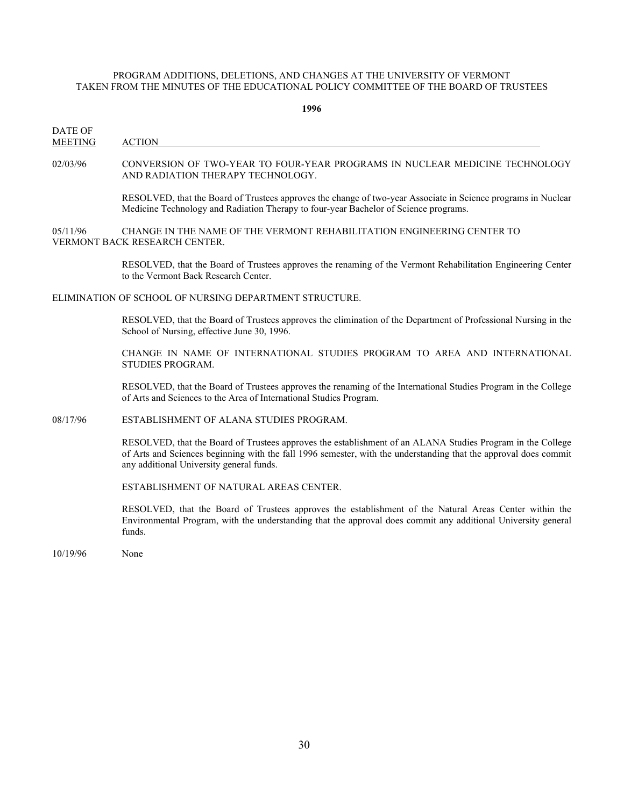**1996**

DATE OF

MEETING ACTION

# 02/03/96 CONVERSION OF TWO-YEAR TO FOUR-YEAR PROGRAMS IN NUCLEAR MEDICINE TECHNOLOGY AND RADIATION THERAPY TECHNOLOGY.

RESOLVED, that the Board of Trustees approves the change of two-year Associate in Science programs in Nuclear Medicine Technology and Radiation Therapy to four-year Bachelor of Science programs.

#### 05/11/96 CHANGE IN THE NAME OF THE VERMONT REHABILITATION ENGINEERING CENTER TO VERMONT BACK RESEARCH CENTER.

RESOLVED, that the Board of Trustees approves the renaming of the Vermont Rehabilitation Engineering Center to the Vermont Back Research Center.

ELIMINATION OF SCHOOL OF NURSING DEPARTMENT STRUCTURE.

RESOLVED, that the Board of Trustees approves the elimination of the Department of Professional Nursing in the School of Nursing, effective June 30, 1996.

CHANGE IN NAME OF INTERNATIONAL STUDIES PROGRAM TO AREA AND INTERNATIONAL STUDIES PROGRAM.

RESOLVED, that the Board of Trustees approves the renaming of the International Studies Program in the College of Arts and Sciences to the Area of International Studies Program.

#### 08/17/96 ESTABLISHMENT OF ALANA STUDIES PROGRAM.

RESOLVED, that the Board of Trustees approves the establishment of an ALANA Studies Program in the College of Arts and Sciences beginning with the fall 1996 semester, with the understanding that the approval does commit any additional University general funds.

ESTABLISHMENT OF NATURAL AREAS CENTER.

RESOLVED, that the Board of Trustees approves the establishment of the Natural Areas Center within the Environmental Program, with the understanding that the approval does commit any additional University general funds.

10/19/96 None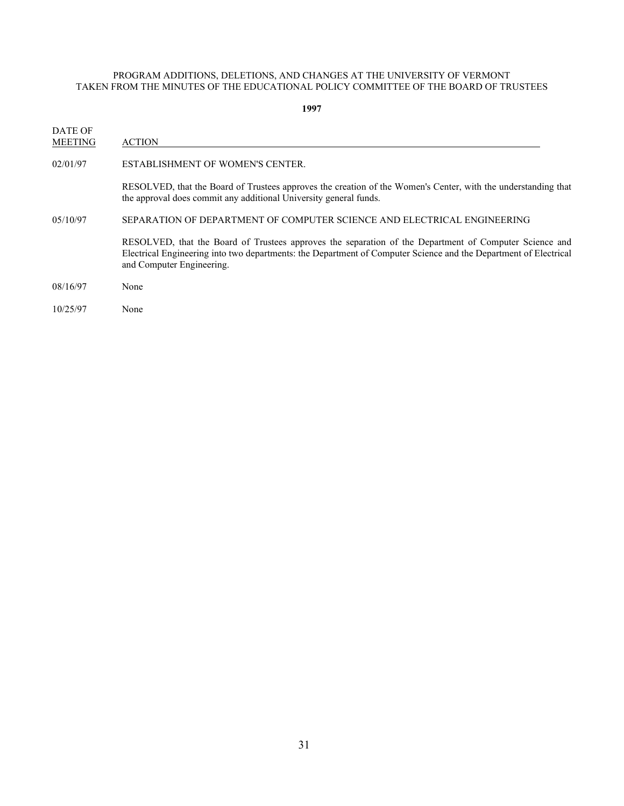**1997**

- DATE OF MEETING ACTION
- 02/01/97 ESTABLISHMENT OF WOMEN'S CENTER.

RESOLVED, that the Board of Trustees approves the creation of the Women's Center, with the understanding that the approval does commit any additional University general funds.

05/10/97 SEPARATION OF DEPARTMENT OF COMPUTER SCIENCE AND ELECTRICAL ENGINEERING

RESOLVED, that the Board of Trustees approves the separation of the Department of Computer Science and Electrical Engineering into two departments: the Department of Computer Science and the Department of Electrical and Computer Engineering.

- 08/16/97 None
- 10/25/97 None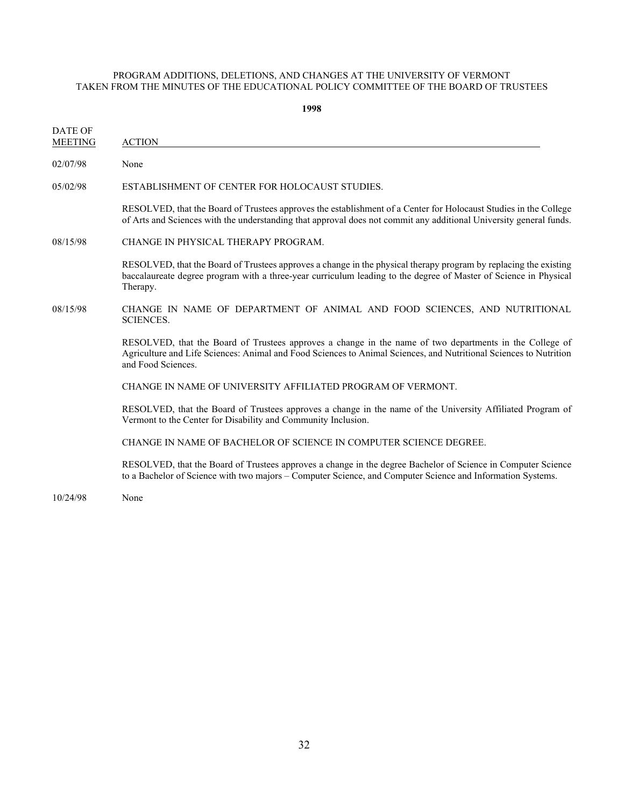**1998**

| DATE OF<br><b>MEETING</b> | <b>ACTION</b>                                                                                                                                                                                                                                      |
|---------------------------|----------------------------------------------------------------------------------------------------------------------------------------------------------------------------------------------------------------------------------------------------|
| 02/07/98                  | None                                                                                                                                                                                                                                               |
| 05/02/98                  | ESTABLISHMENT OF CENTER FOR HOLOCAUST STUDIES.                                                                                                                                                                                                     |
|                           | RESOLVED, that the Board of Trustees approves the establishment of a Center for Holocaust Studies in the College<br>of Arts and Sciences with the understanding that approval does not commit any additional University general funds.             |
| 08/15/98                  | CHANGE IN PHYSICAL THERAPY PROGRAM.                                                                                                                                                                                                                |
|                           | RESOLVED, that the Board of Trustees approves a change in the physical therapy program by replacing the existing<br>baccalaureate degree program with a three-year curriculum leading to the degree of Master of Science in Physical<br>Therapy.   |
| 08/15/98                  | CHANGE IN NAME OF DEPARTMENT OF ANIMAL AND FOOD SCIENCES, AND NUTRITIONAL<br><b>SCIENCES.</b>                                                                                                                                                      |
|                           | RESOLVED, that the Board of Trustees approves a change in the name of two departments in the College of<br>Agriculture and Life Sciences: Animal and Food Sciences to Animal Sciences, and Nutritional Sciences to Nutrition<br>and Food Sciences. |
|                           | CHANGE IN NAME OF UNIVERSITY AFFILIATED PROGRAM OF VERMONT.                                                                                                                                                                                        |
|                           | RESOLVED, that the Board of Trustees approves a change in the name of the University Affiliated Program of<br>Vermont to the Center for Disability and Community Inclusion.                                                                        |
|                           | CHANGE IN NAME OF BACHELOR OF SCIENCE IN COMPUTER SCIENCE DEGREE.                                                                                                                                                                                  |
|                           | RESOLVED, that the Board of Trustees approves a change in the degree Bachelor of Science in Computer Science<br>to a Bachelor of Science with two majors – Computer Science, and Computer Science and Information Systems.                         |

10/24/98 None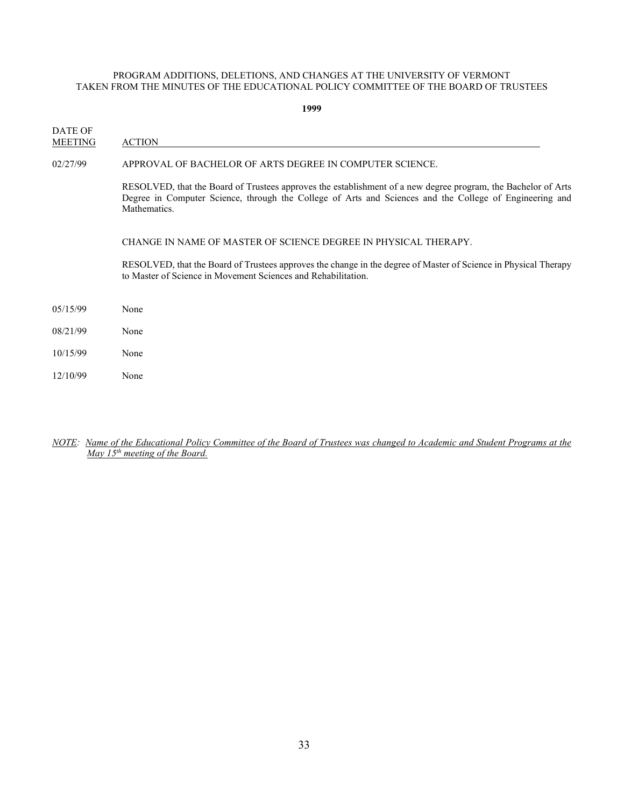- DATE OF MEETING ACTION 02/27/99 APPROVAL OF BACHELOR OF ARTS DEGREE IN COMPUTER SCIENCE. RESOLVED, that the Board of Trustees approves the establishment of a new degree program, the Bachelor of Arts Degree in Computer Science, through the College of Arts and Sciences and the College of Engineering and Mathematics. CHANGE IN NAME OF MASTER OF SCIENCE DEGREE IN PHYSICAL THERAPY. RESOLVED, that the Board of Trustees approves the change in the degree of Master of Science in Physical Therapy to Master of Science in Movement Sciences and Rehabilitation. 05/15/99 None 08/21/99 None 10/15/99 None 12/10/99 None
- *NOTE: Name of the Educational Policy Committee of the Board of Trustees was changed to Academic and Student Programs at the May 15th meeting of the Board.*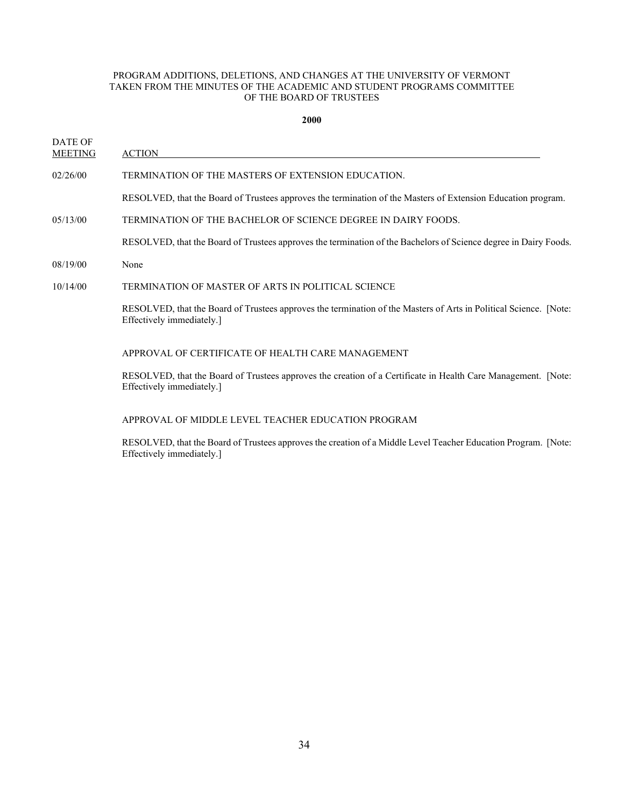#### PROGRAM ADDITIONS, DELETIONS, AND CHANGES AT THE UNIVERSITY OF VERMONT TAKEN FROM THE MINUTES OF THE ACADEMIC AND STUDENT PROGRAMS COMMITTEE OF THE BOARD OF TRUSTEES

**2000**

| <b>DATE OF</b><br><b>MEETING</b> | <b>ACTION</b>                                                                                                                                  |
|----------------------------------|------------------------------------------------------------------------------------------------------------------------------------------------|
| 02/26/00                         | TERMINATION OF THE MASTERS OF EXTENSION EDUCATION.                                                                                             |
|                                  | RESOLVED, that the Board of Trustees approves the termination of the Masters of Extension Education program.                                   |
| 05/13/00                         | TERMINATION OF THE BACHELOR OF SCIENCE DEGREE IN DAIRY FOODS.                                                                                  |
|                                  | RESOLVED, that the Board of Trustees approves the termination of the Bachelors of Science degree in Dairy Foods.                               |
| 08/19/00                         | None                                                                                                                                           |
| 10/14/00                         | TERMINATION OF MASTER OF ARTS IN POLITICAL SCIENCE                                                                                             |
|                                  | RESOLVED, that the Board of Trustees approves the termination of the Masters of Arts in Political Science. [Note:<br>Effectively immediately.] |
|                                  | APPROVAL OF CERTIFICATE OF HEALTH CARE MANAGEMENT                                                                                              |
|                                  | RESOLVED, that the Board of Trustees approves the creation of a Certificate in Health Care Management. [Note:<br>Effectively immediately.]     |

# APPROVAL OF MIDDLE LEVEL TEACHER EDUCATION PROGRAM

RESOLVED, that the Board of Trustees approves the creation of a Middle Level Teacher Education Program. [Note: Effectively immediately.]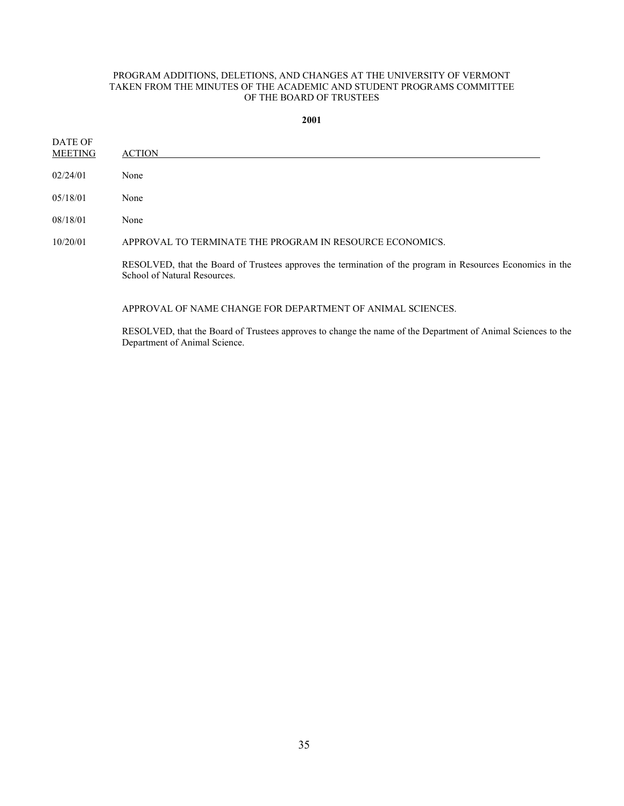### PROGRAM ADDITIONS, DELETIONS, AND CHANGES AT THE UNIVERSITY OF VERMONT TAKEN FROM THE MINUTES OF THE ACADEMIC AND STUDENT PROGRAMS COMMITTEE OF THE BOARD OF TRUSTEES

**2001**

| DATE OF<br><b>MEETING</b> | <b>ACTION</b>                                                                                                                              |
|---------------------------|--------------------------------------------------------------------------------------------------------------------------------------------|
| 02/24/01                  | None                                                                                                                                       |
| 05/18/01                  | None                                                                                                                                       |
| 08/18/01                  | None                                                                                                                                       |
| 10/20/01                  | APPROVAL TO TERMINATE THE PROGRAM IN RESOURCE ECONOMICS.                                                                                   |
|                           | RESOLVED, that the Board of Trustees approves the termination of the program in Resources Economics in the<br>School of Natural Resources. |
|                           | APPROVAL OF NAME CHANGE FOR DEPARTMENT OF ANIMAL SCIENCES.                                                                                 |

RESOLVED, that the Board of Trustees approves to change the name of the Department of Animal Sciences to the Department of Animal Science.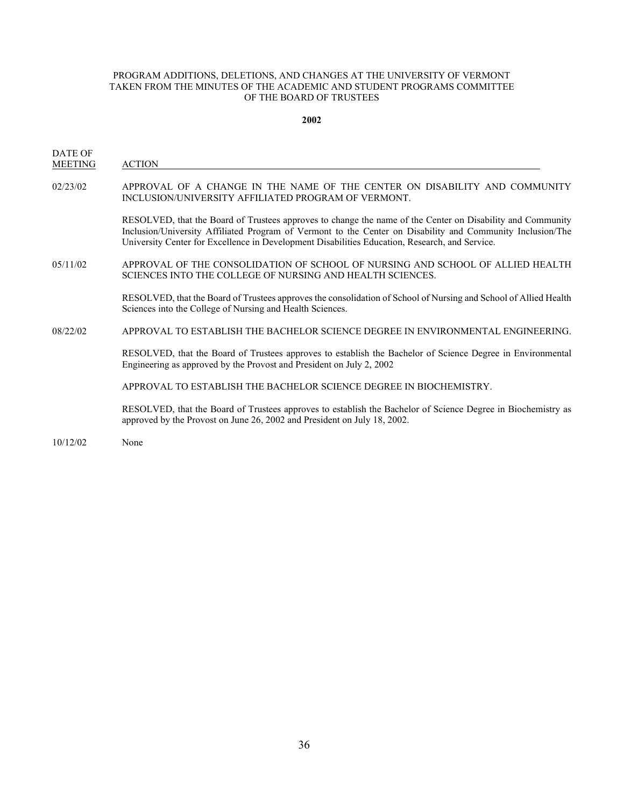# PROGRAM ADDITIONS, DELETIONS, AND CHANGES AT THE UNIVERSITY OF VERMONT TAKEN FROM THE MINUTES OF THE ACADEMIC AND STUDENT PROGRAMS COMMITTEE OF THE BOARD OF TRUSTEES

#### **2002**

DATE OF MEETING ACTION

02/23/02 APPROVAL OF A CHANGE IN THE NAME OF THE CENTER ON DISABILITY AND COMMUNITY INCLUSION/UNIVERSITY AFFILIATED PROGRAM OF VERMONT.

> RESOLVED, that the Board of Trustees approves to change the name of the Center on Disability and Community Inclusion/University Affiliated Program of Vermont to the Center on Disability and Community Inclusion/The University Center for Excellence in Development Disabilities Education, Research, and Service.

05/11/02 APPROVAL OF THE CONSOLIDATION OF SCHOOL OF NURSING AND SCHOOL OF ALLIED HEALTH SCIENCES INTO THE COLLEGE OF NURSING AND HEALTH SCIENCES.

> RESOLVED, that the Board of Trustees approves the consolidation of School of Nursing and School of Allied Health Sciences into the College of Nursing and Health Sciences.

08/22/02 APPROVAL TO ESTABLISH THE BACHELOR SCIENCE DEGREE IN ENVIRONMENTAL ENGINEERING.

RESOLVED, that the Board of Trustees approves to establish the Bachelor of Science Degree in Environmental Engineering as approved by the Provost and President on July 2, 2002

APPROVAL TO ESTABLISH THE BACHELOR SCIENCE DEGREE IN BIOCHEMISTRY.

RESOLVED, that the Board of Trustees approves to establish the Bachelor of Science Degree in Biochemistry as approved by the Provost on June 26, 2002 and President on July 18, 2002.

10/12/02 None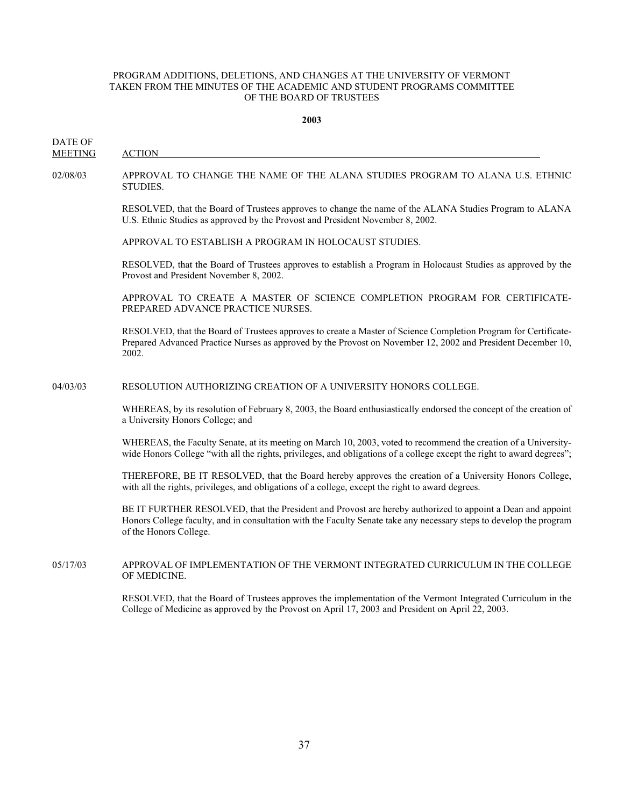#### **2003**

DATE OF MEETING ACTION

STUDIES.

02/08/03 APPROVAL TO CHANGE THE NAME OF THE ALANA STUDIES PROGRAM TO ALANA U.S. ETHNIC

RESOLVED, that the Board of Trustees approves to change the name of the ALANA Studies Program to ALANA U.S. Ethnic Studies as approved by the Provost and President November 8, 2002.

APPROVAL TO ESTABLISH A PROGRAM IN HOLOCAUST STUDIES.

RESOLVED, that the Board of Trustees approves to establish a Program in Holocaust Studies as approved by the Provost and President November 8, 2002.

APPROVAL TO CREATE A MASTER OF SCIENCE COMPLETION PROGRAM FOR CERTIFICATE-PREPARED ADVANCE PRACTICE NURSES.

RESOLVED, that the Board of Trustees approves to create a Master of Science Completion Program for Certificate-Prepared Advanced Practice Nurses as approved by the Provost on November 12, 2002 and President December 10, 2002.

04/03/03 RESOLUTION AUTHORIZING CREATION OF A UNIVERSITY HONORS COLLEGE.

WHEREAS, by its resolution of February 8, 2003, the Board enthusiastically endorsed the concept of the creation of a University Honors College; and

WHEREAS, the Faculty Senate, at its meeting on March 10, 2003, voted to recommend the creation of a Universitywide Honors College "with all the rights, privileges, and obligations of a college except the right to award degrees";

THEREFORE, BE IT RESOLVED, that the Board hereby approves the creation of a University Honors College, with all the rights, privileges, and obligations of a college, except the right to award degrees.

BE IT FURTHER RESOLVED, that the President and Provost are hereby authorized to appoint a Dean and appoint Honors College faculty, and in consultation with the Faculty Senate take any necessary steps to develop the program of the Honors College.

### 05/17/03 APPROVAL OF IMPLEMENTATION OF THE VERMONT INTEGRATED CURRICULUM IN THE COLLEGE OF MEDICINE.

RESOLVED, that the Board of Trustees approves the implementation of the Vermont Integrated Curriculum in the College of Medicine as approved by the Provost on April 17, 2003 and President on April 22, 2003.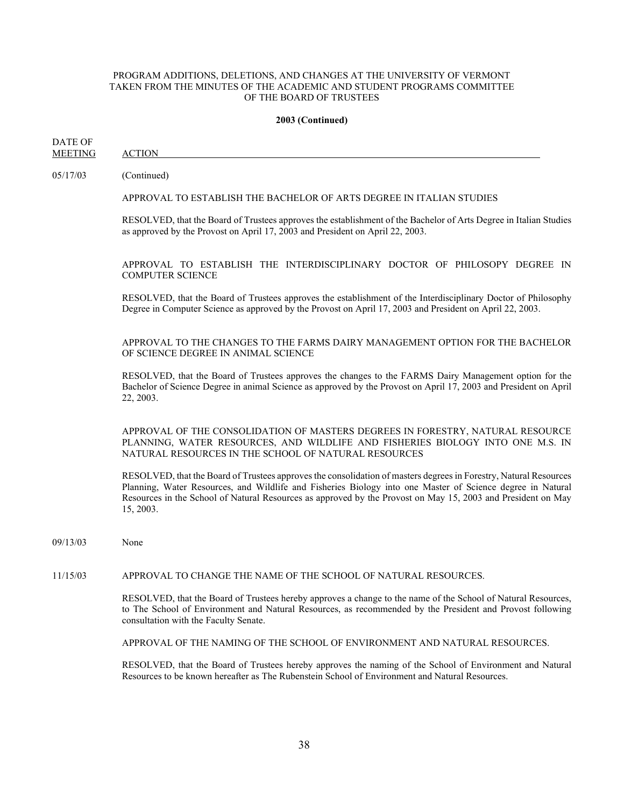#### **2003 (Continued)**

DATE OF

MEETING ACTION

05/17/03 (Continued)

### APPROVAL TO ESTABLISH THE BACHELOR OF ARTS DEGREE IN ITALIAN STUDIES

RESOLVED, that the Board of Trustees approves the establishment of the Bachelor of Arts Degree in Italian Studies as approved by the Provost on April 17, 2003 and President on April 22, 2003.

APPROVAL TO ESTABLISH THE INTERDISCIPLINARY DOCTOR OF PHILOSOPY DEGREE IN COMPUTER SCIENCE

RESOLVED, that the Board of Trustees approves the establishment of the Interdisciplinary Doctor of Philosophy Degree in Computer Science as approved by the Provost on April 17, 2003 and President on April 22, 2003.

APPROVAL TO THE CHANGES TO THE FARMS DAIRY MANAGEMENT OPTION FOR THE BACHELOR OF SCIENCE DEGREE IN ANIMAL SCIENCE

RESOLVED, that the Board of Trustees approves the changes to the FARMS Dairy Management option for the Bachelor of Science Degree in animal Science as approved by the Provost on April 17, 2003 and President on April 22, 2003.

APPROVAL OF THE CONSOLIDATION OF MASTERS DEGREES IN FORESTRY, NATURAL RESOURCE PLANNING, WATER RESOURCES, AND WILDLIFE AND FISHERIES BIOLOGY INTO ONE M.S. IN NATURAL RESOURCES IN THE SCHOOL OF NATURAL RESOURCES

RESOLVED, that the Board of Trustees approves the consolidation of masters degrees in Forestry, Natural Resources Planning, Water Resources, and Wildlife and Fisheries Biology into one Master of Science degree in Natural Resources in the School of Natural Resources as approved by the Provost on May 15, 2003 and President on May 15, 2003.

09/13/03 None

### 11/15/03 APPROVAL TO CHANGE THE NAME OF THE SCHOOL OF NATURAL RESOURCES.

RESOLVED, that the Board of Trustees hereby approves a change to the name of the School of Natural Resources, to The School of Environment and Natural Resources, as recommended by the President and Provost following consultation with the Faculty Senate.

APPROVAL OF THE NAMING OF THE SCHOOL OF ENVIRONMENT AND NATURAL RESOURCES.

RESOLVED, that the Board of Trustees hereby approves the naming of the School of Environment and Natural Resources to be known hereafter as The Rubenstein School of Environment and Natural Resources.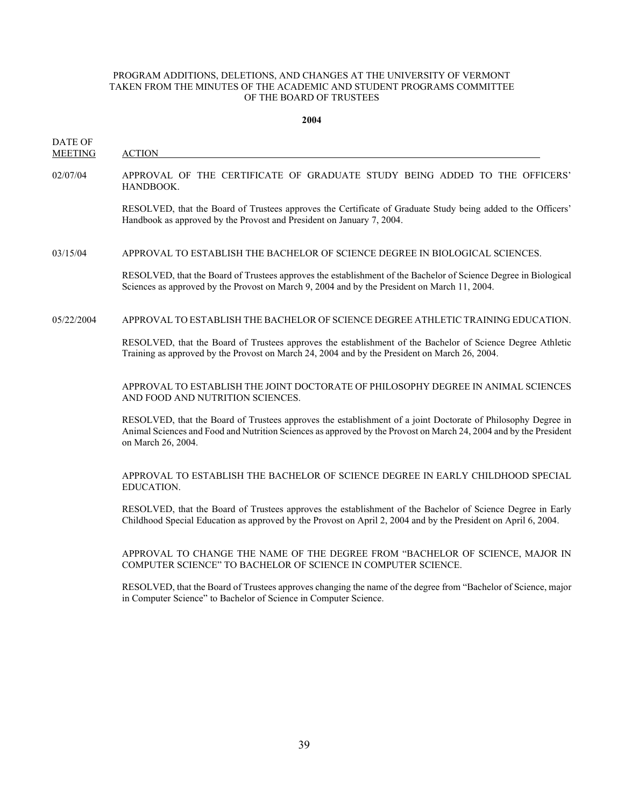#### **2004**

DATE OF

MEETING ACTION

02/07/04 APPROVAL OF THE CERTIFICATE OF GRADUATE STUDY BEING ADDED TO THE OFFICERS' HANDBOOK.

> RESOLVED, that the Board of Trustees approves the Certificate of Graduate Study being added to the Officers' Handbook as approved by the Provost and President on January 7, 2004.

### 03/15/04 APPROVAL TO ESTABLISH THE BACHELOR OF SCIENCE DEGREE IN BIOLOGICAL SCIENCES.

RESOLVED, that the Board of Trustees approves the establishment of the Bachelor of Science Degree in Biological Sciences as approved by the Provost on March 9, 2004 and by the President on March 11, 2004.

#### 05/22/2004 APPROVAL TO ESTABLISH THE BACHELOR OF SCIENCE DEGREE ATHLETIC TRAINING EDUCATION.

RESOLVED, that the Board of Trustees approves the establishment of the Bachelor of Science Degree Athletic Training as approved by the Provost on March 24, 2004 and by the President on March 26, 2004.

APPROVAL TO ESTABLISH THE JOINT DOCTORATE OF PHILOSOPHY DEGREE IN ANIMAL SCIENCES AND FOOD AND NUTRITION SCIENCES.

RESOLVED, that the Board of Trustees approves the establishment of a joint Doctorate of Philosophy Degree in Animal Sciences and Food and Nutrition Sciences as approved by the Provost on March 24, 2004 and by the President on March 26, 2004.

APPROVAL TO ESTABLISH THE BACHELOR OF SCIENCE DEGREE IN EARLY CHILDHOOD SPECIAL EDUCATION.

RESOLVED, that the Board of Trustees approves the establishment of the Bachelor of Science Degree in Early Childhood Special Education as approved by the Provost on April 2, 2004 and by the President on April 6, 2004.

APPROVAL TO CHANGE THE NAME OF THE DEGREE FROM "BACHELOR OF SCIENCE, MAJOR IN COMPUTER SCIENCE" TO BACHELOR OF SCIENCE IN COMPUTER SCIENCE.

RESOLVED, that the Board of Trustees approves changing the name of the degree from "Bachelor of Science, major in Computer Science" to Bachelor of Science in Computer Science.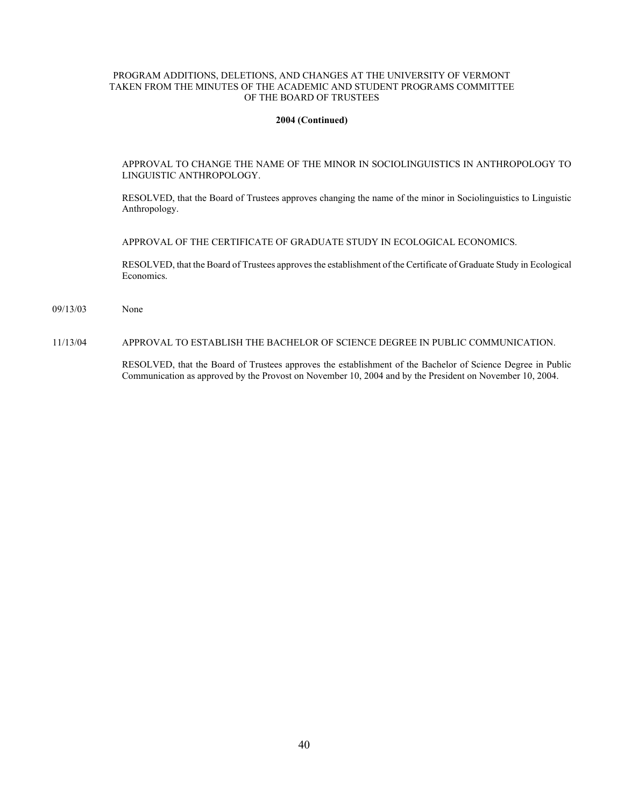#### **2004 (Continued)**

APPROVAL TO CHANGE THE NAME OF THE MINOR IN SOCIOLINGUISTICS IN ANTHROPOLOGY TO LINGUISTIC ANTHROPOLOGY.

RESOLVED, that the Board of Trustees approves changing the name of the minor in Sociolinguistics to Linguistic Anthropology.

APPROVAL OF THE CERTIFICATE OF GRADUATE STUDY IN ECOLOGICAL ECONOMICS.

RESOLVED, that the Board of Trustees approves the establishment of the Certificate of Graduate Study in Ecological Economics.

09/13/03 None

11/13/04 APPROVAL TO ESTABLISH THE BACHELOR OF SCIENCE DEGREE IN PUBLIC COMMUNICATION.

RESOLVED, that the Board of Trustees approves the establishment of the Bachelor of Science Degree in Public Communication as approved by the Provost on November 10, 2004 and by the President on November 10, 2004.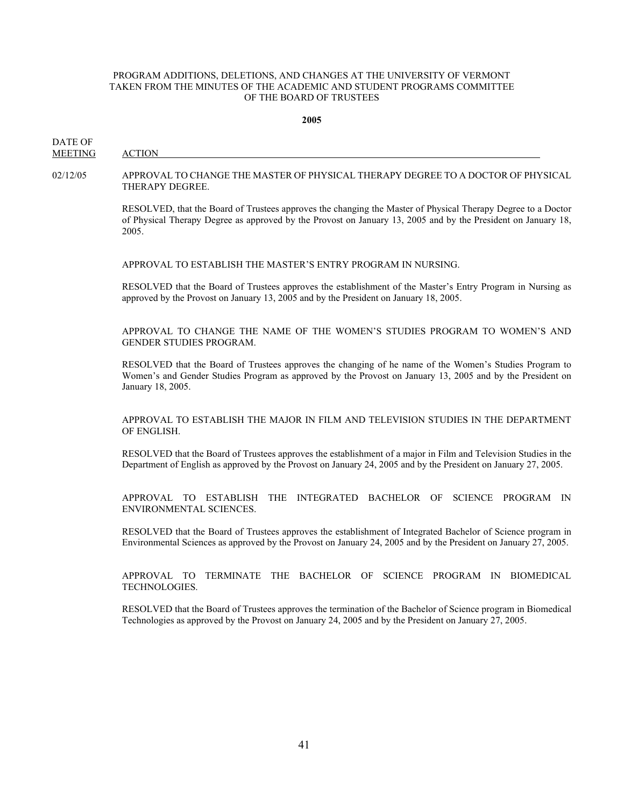#### **2005**

DATE OF MEETING ACTION

### 02/12/05 APPROVAL TO CHANGE THE MASTER OF PHYSICAL THERAPY DEGREE TO A DOCTOR OF PHYSICAL THERAPY DEGREE.

RESOLVED, that the Board of Trustees approves the changing the Master of Physical Therapy Degree to a Doctor of Physical Therapy Degree as approved by the Provost on January 13, 2005 and by the President on January 18, 2005.

#### APPROVAL TO ESTABLISH THE MASTER'S ENTRY PROGRAM IN NURSING.

RESOLVED that the Board of Trustees approves the establishment of the Master's Entry Program in Nursing as approved by the Provost on January 13, 2005 and by the President on January 18, 2005.

APPROVAL TO CHANGE THE NAME OF THE WOMEN'S STUDIES PROGRAM TO WOMEN'S AND GENDER STUDIES PROGRAM.

RESOLVED that the Board of Trustees approves the changing of he name of the Women's Studies Program to Women's and Gender Studies Program as approved by the Provost on January 13, 2005 and by the President on January 18, 2005.

### APPROVAL TO ESTABLISH THE MAJOR IN FILM AND TELEVISION STUDIES IN THE DEPARTMENT OF ENGLISH.

RESOLVED that the Board of Trustees approves the establishment of a major in Film and Television Studies in the Department of English as approved by the Provost on January 24, 2005 and by the President on January 27, 2005.

APPROVAL TO ESTABLISH THE INTEGRATED BACHELOR OF SCIENCE PROGRAM IN ENVIRONMENTAL SCIENCES.

RESOLVED that the Board of Trustees approves the establishment of Integrated Bachelor of Science program in Environmental Sciences as approved by the Provost on January 24, 2005 and by the President on January 27, 2005.

APPROVAL TO TERMINATE THE BACHELOR OF SCIENCE PROGRAM IN BIOMEDICAL TECHNOLOGIES.

RESOLVED that the Board of Trustees approves the termination of the Bachelor of Science program in Biomedical Technologies as approved by the Provost on January 24, 2005 and by the President on January 27, 2005.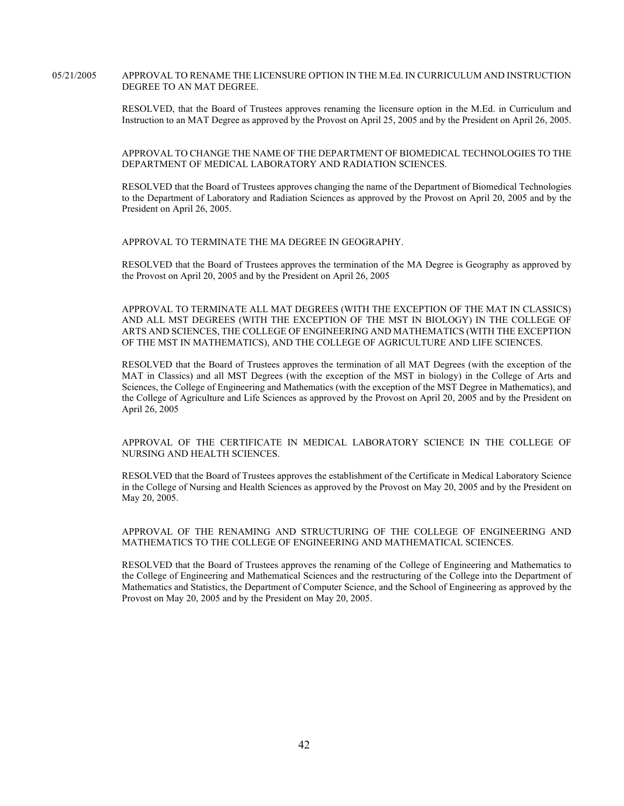#### 05/21/2005 APPROVAL TO RENAME THE LICENSURE OPTION IN THE M.Ed. IN CURRICULUM AND INSTRUCTION DEGREE TO AN MAT DEGREE.

RESOLVED, that the Board of Trustees approves renaming the licensure option in the M.Ed. in Curriculum and Instruction to an MAT Degree as approved by the Provost on April 25, 2005 and by the President on April 26, 2005.

### APPROVAL TO CHANGE THE NAME OF THE DEPARTMENT OF BIOMEDICAL TECHNOLOGIES TO THE DEPARTMENT OF MEDICAL LABORATORY AND RADIATION SCIENCES.

RESOLVED that the Board of Trustees approves changing the name of the Department of Biomedical Technologies to the Department of Laboratory and Radiation Sciences as approved by the Provost on April 20, 2005 and by the President on April 26, 2005.

APPROVAL TO TERMINATE THE MA DEGREE IN GEOGRAPHY.

RESOLVED that the Board of Trustees approves the termination of the MA Degree is Geography as approved by the Provost on April 20, 2005 and by the President on April 26, 2005

APPROVAL TO TERMINATE ALL MAT DEGREES (WITH THE EXCEPTION OF THE MAT IN CLASSICS) AND ALL MST DEGREES (WITH THE EXCEPTION OF THE MST IN BIOLOGY) IN THE COLLEGE OF ARTS AND SCIENCES, THE COLLEGE OF ENGINEERING AND MATHEMATICS (WITH THE EXCEPTION OF THE MST IN MATHEMATICS), AND THE COLLEGE OF AGRICULTURE AND LIFE SCIENCES.

RESOLVED that the Board of Trustees approves the termination of all MAT Degrees (with the exception of the MAT in Classics) and all MST Degrees (with the exception of the MST in biology) in the College of Arts and Sciences, the College of Engineering and Mathematics (with the exception of the MST Degree in Mathematics), and the College of Agriculture and Life Sciences as approved by the Provost on April 20, 2005 and by the President on April 26, 2005

### APPROVAL OF THE CERTIFICATE IN MEDICAL LABORATORY SCIENCE IN THE COLLEGE OF NURSING AND HEALTH SCIENCES.

RESOLVED that the Board of Trustees approves the establishment of the Certificate in Medical Laboratory Science in the College of Nursing and Health Sciences as approved by the Provost on May 20, 2005 and by the President on May 20, 2005.

### APPROVAL OF THE RENAMING AND STRUCTURING OF THE COLLEGE OF ENGINEERING AND MATHEMATICS TO THE COLLEGE OF ENGINEERING AND MATHEMATICAL SCIENCES.

RESOLVED that the Board of Trustees approves the renaming of the College of Engineering and Mathematics to the College of Engineering and Mathematical Sciences and the restructuring of the College into the Department of Mathematics and Statistics, the Department of Computer Science, and the School of Engineering as approved by the Provost on May 20, 2005 and by the President on May 20, 2005.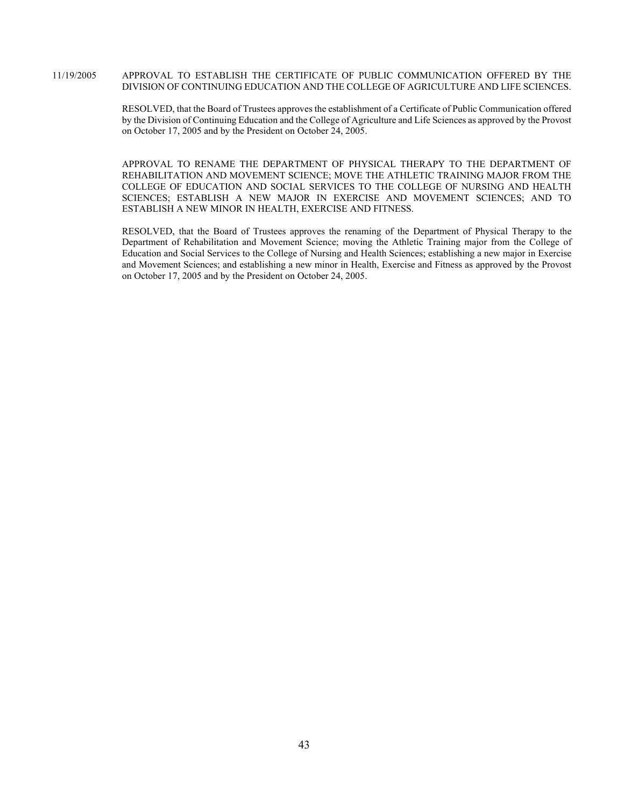### 11/19/2005 APPROVAL TO ESTABLISH THE CERTIFICATE OF PUBLIC COMMUNICATION OFFERED BY THE DIVISION OF CONTINUING EDUCATION AND THE COLLEGE OF AGRICULTURE AND LIFE SCIENCES.

RESOLVED, that the Board of Trustees approves the establishment of a Certificate of Public Communication offered by the Division of Continuing Education and the College of Agriculture and Life Sciences as approved by the Provost on October 17, 2005 and by the President on October 24, 2005.

APPROVAL TO RENAME THE DEPARTMENT OF PHYSICAL THERAPY TO THE DEPARTMENT OF REHABILITATION AND MOVEMENT SCIENCE; MOVE THE ATHLETIC TRAINING MAJOR FROM THE COLLEGE OF EDUCATION AND SOCIAL SERVICES TO THE COLLEGE OF NURSING AND HEALTH SCIENCES; ESTABLISH A NEW MAJOR IN EXERCISE AND MOVEMENT SCIENCES; AND TO ESTABLISH A NEW MINOR IN HEALTH, EXERCISE AND FITNESS.

RESOLVED, that the Board of Trustees approves the renaming of the Department of Physical Therapy to the Department of Rehabilitation and Movement Science; moving the Athletic Training major from the College of Education and Social Services to the College of Nursing and Health Sciences; establishing a new major in Exercise and Movement Sciences; and establishing a new minor in Health, Exercise and Fitness as approved by the Provost on October 17, 2005 and by the President on October 24, 2005.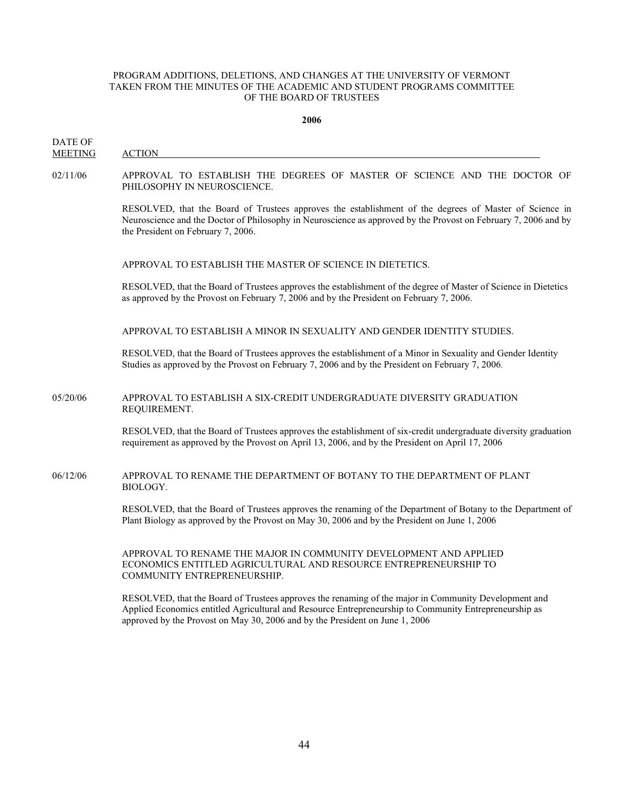#### **2006**

DATE OF MEETING ACTION

02/11/06 APPROVAL TO ESTABLISH THE DEGREES OF MASTER OF SCIENCE AND THE DOCTOR OF PHILOSOPHY IN NEUROSCIENCE.

> RESOLVED, that the Board of Trustees approves the establishment of the degrees of Master of Science in Neuroscience and the Doctor of Philosophy in Neuroscience as approved by the Provost on February 7, 2006 and by the President on February 7, 2006.

APPROVAL TO ESTABLISH THE MASTER OF SCIENCE IN DIETETICS.

RESOLVED, that the Board of Trustees approves the establishment of the degree of Master of Science in Dietetics as approved by the Provost on February 7, 2006 and by the President on February 7, 2006.

APPROVAL TO ESTABLISH A MINOR IN SEXUALITY AND GENDER IDENTITY STUDIES.

RESOLVED, that the Board of Trustees approves the establishment of a Minor in Sexuality and Gender Identity Studies as approved by the Provost on February 7, 2006 and by the President on February 7, 2006.

### 05/20/06 APPROVAL TO ESTABLISH A SIX-CREDIT UNDERGRADUATE DIVERSITY GRADUATION REQUIREMENT.

RESOLVED, that the Board of Trustees approves the establishment of six-credit undergraduate diversity graduation requirement as approved by the Provost on April 13, 2006, and by the President on April 17, 2006

### 06/12/06 APPROVAL TO RENAME THE DEPARTMENT OF BOTANY TO THE DEPARTMENT OF PLANT BIOLOGY.

RESOLVED, that the Board of Trustees approves the renaming of the Department of Botany to the Department of Plant Biology as approved by the Provost on May 30, 2006 and by the President on June 1, 2006

APPROVAL TO RENAME THE MAJOR IN COMMUNITY DEVELOPMENT AND APPLIED ECONOMICS ENTITLED AGRICULTURAL AND RESOURCE ENTREPRENEURSHIP TO COMMUNITY ENTREPRENEURSHIP.

RESOLVED, that the Board of Trustees approves the renaming of the major in Community Development and Applied Economics entitled Agricultural and Resource Entrepreneurship to Community Entrepreneurship as approved by the Provost on May 30, 2006 and by the President on June 1, 2006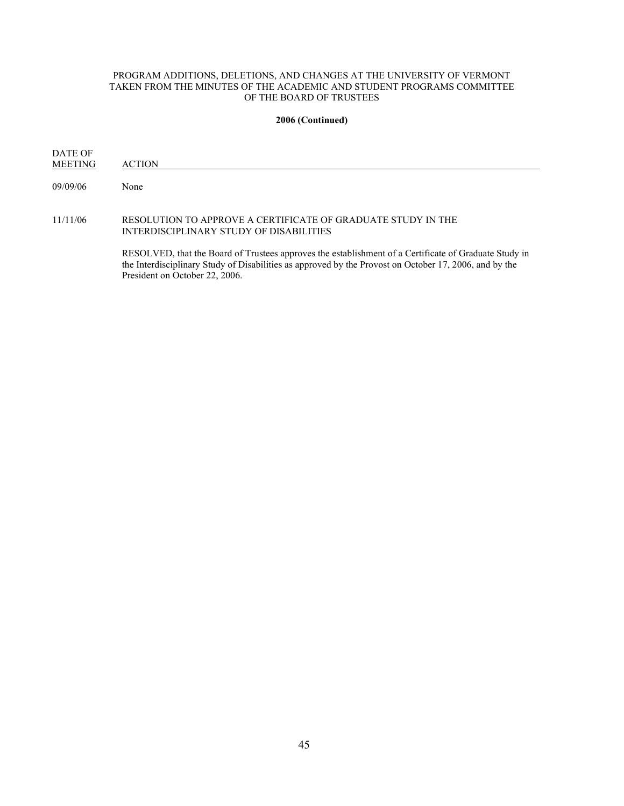### **2006 (Continued)**

DATE OF MEETING ACTION

09/09/06 None

### 11/11/06 RESOLUTION TO APPROVE A CERTIFICATE OF GRADUATE STUDY IN THE INTERDISCIPLINARY STUDY OF DISABILITIES

RESOLVED, that the Board of Trustees approves the establishment of a Certificate of Graduate Study in the Interdisciplinary Study of Disabilities as approved by the Provost on October 17, 2006, and by the President on October 22, 2006.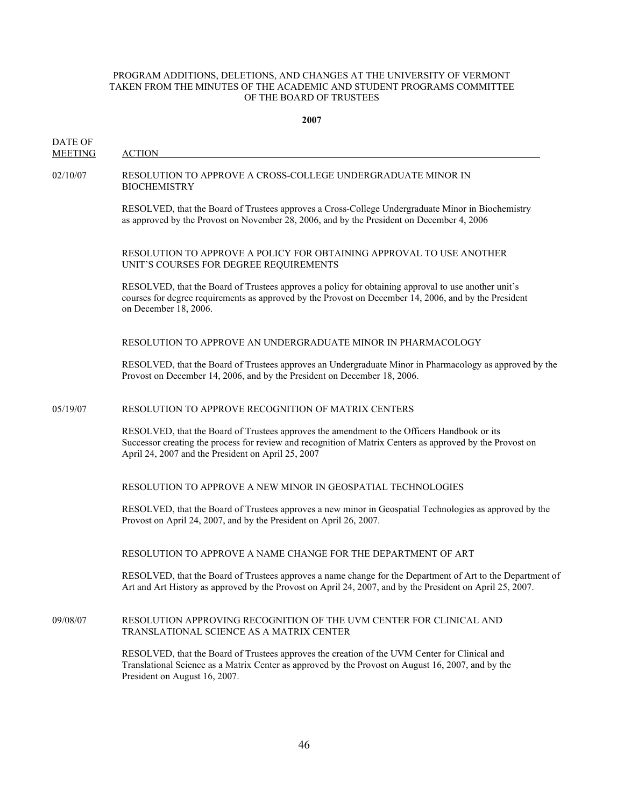**2007**

DATE OF MEETING ACTION

## 02/10/07 RESOLUTION TO APPROVE A CROSS-COLLEGE UNDERGRADUATE MINOR IN **BIOCHEMISTRY**

RESOLVED, that the Board of Trustees approves a Cross-College Undergraduate Minor in Biochemistry as approved by the Provost on November 28, 2006, and by the President on December 4, 2006

### RESOLUTION TO APPROVE A POLICY FOR OBTAINING APPROVAL TO USE ANOTHER UNIT'S COURSES FOR DEGREE REQUIREMENTS

RESOLVED, that the Board of Trustees approves a policy for obtaining approval to use another unit's courses for degree requirements as approved by the Provost on December 14, 2006, and by the President on December 18, 2006.

### RESOLUTION TO APPROVE AN UNDERGRADUATE MINOR IN PHARMACOLOGY

RESOLVED, that the Board of Trustees approves an Undergraduate Minor in Pharmacology as approved by the Provost on December 14, 2006, and by the President on December 18, 2006.

### 05/19/07 RESOLUTION TO APPROVE RECOGNITION OF MATRIX CENTERS

RESOLVED, that the Board of Trustees approves the amendment to the Officers Handbook or its Successor creating the process for review and recognition of Matrix Centers as approved by the Provost on April 24, 2007 and the President on April 25, 2007

## RESOLUTION TO APPROVE A NEW MINOR IN GEOSPATIAL TECHNOLOGIES

RESOLVED, that the Board of Trustees approves a new minor in Geospatial Technologies as approved by the Provost on April 24, 2007, and by the President on April 26, 2007.

#### RESOLUTION TO APPROVE A NAME CHANGE FOR THE DEPARTMENT OF ART

RESOLVED, that the Board of Trustees approves a name change for the Department of Art to the Department of Art and Art History as approved by the Provost on April 24, 2007, and by the President on April 25, 2007.

### 09/08/07 RESOLUTION APPROVING RECOGNITION OF THE UVM CENTER FOR CLINICAL AND TRANSLATIONAL SCIENCE AS A MATRIX CENTER

RESOLVED, that the Board of Trustees approves the creation of the UVM Center for Clinical and Translational Science as a Matrix Center as approved by the Provost on August 16, 2007, and by the President on August 16, 2007.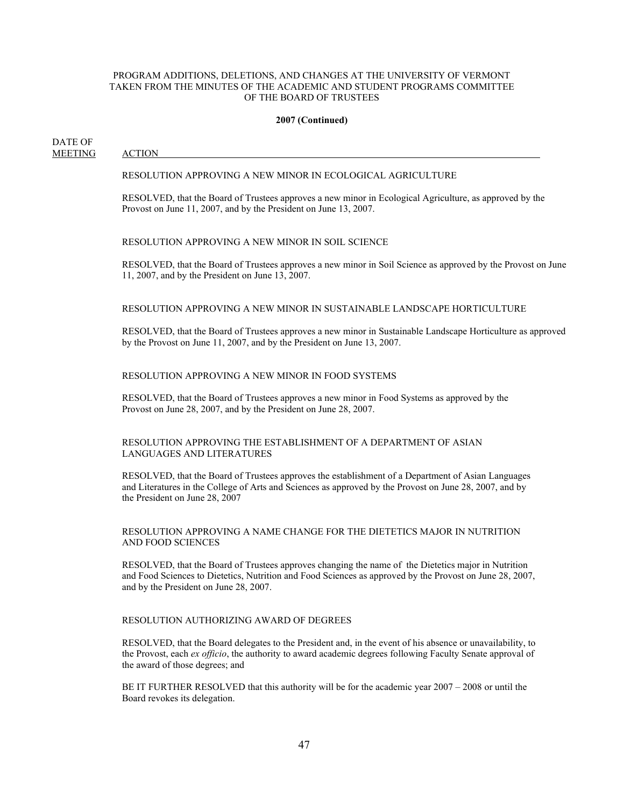#### **2007 (Continued)**

DATE OF MEETING ACTION

#### RESOLUTION APPROVING A NEW MINOR IN ECOLOGICAL AGRICULTURE

RESOLVED, that the Board of Trustees approves a new minor in Ecological Agriculture, as approved by the Provost on June 11, 2007, and by the President on June 13, 2007.

#### RESOLUTION APPROVING A NEW MINOR IN SOIL SCIENCE

RESOLVED, that the Board of Trustees approves a new minor in Soil Science as approved by the Provost on June 11, 2007, and by the President on June 13, 2007.

### RESOLUTION APPROVING A NEW MINOR IN SUSTAINABLE LANDSCAPE HORTICULTURE

RESOLVED, that the Board of Trustees approves a new minor in Sustainable Landscape Horticulture as approved by the Provost on June 11, 2007, and by the President on June 13, 2007.

#### RESOLUTION APPROVING A NEW MINOR IN FOOD SYSTEMS

RESOLVED, that the Board of Trustees approves a new minor in Food Systems as approved by the Provost on June 28, 2007, and by the President on June 28, 2007.

#### RESOLUTION APPROVING THE ESTABLISHMENT OF A DEPARTMENT OF ASIAN LANGUAGES AND LITERATURES

RESOLVED, that the Board of Trustees approves the establishment of a Department of Asian Languages and Literatures in the College of Arts and Sciences as approved by the Provost on June 28, 2007, and by the President on June 28, 2007

#### RESOLUTION APPROVING A NAME CHANGE FOR THE DIETETICS MAJOR IN NUTRITION AND FOOD SCIENCES

RESOLVED, that the Board of Trustees approves changing the name of the Dietetics major in Nutrition and Food Sciences to Dietetics, Nutrition and Food Sciences as approved by the Provost on June 28, 2007, and by the President on June 28, 2007.

### RESOLUTION AUTHORIZING AWARD OF DEGREES

RESOLVED, that the Board delegates to the President and, in the event of his absence or unavailability, to the Provost, each *ex officio*, the authority to award academic degrees following Faculty Senate approval of the award of those degrees; and

BE IT FURTHER RESOLVED that this authority will be for the academic year 2007 – 2008 or until the Board revokes its delegation.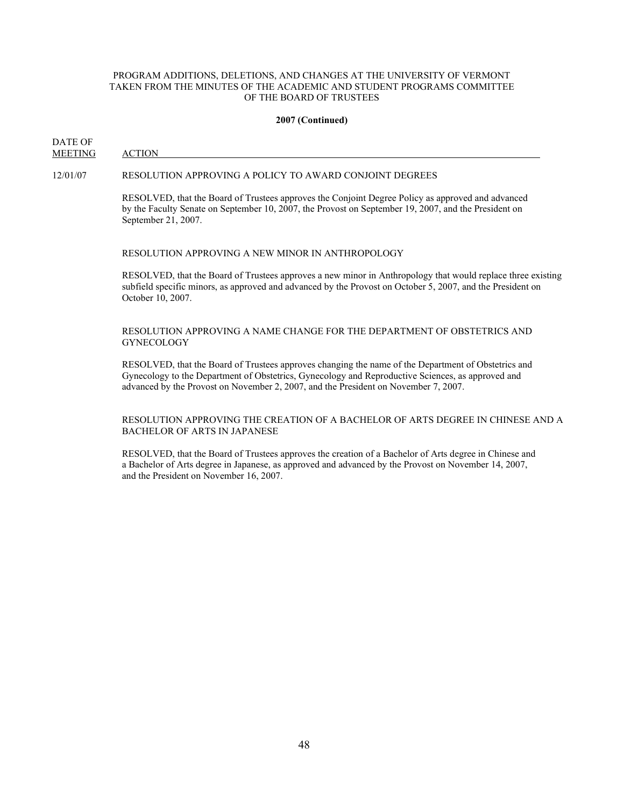#### **2007 (Continued)**

DATE OF MEETING ACTION

### 12/01/07 RESOLUTION APPROVING A POLICY TO AWARD CONJOINT DEGREES

RESOLVED, that the Board of Trustees approves the Conjoint Degree Policy as approved and advanced by the Faculty Senate on September 10, 2007, the Provost on September 19, 2007, and the President on September 21, 2007.

#### RESOLUTION APPROVING A NEW MINOR IN ANTHROPOLOGY

RESOLVED, that the Board of Trustees approves a new minor in Anthropology that would replace three existing subfield specific minors, as approved and advanced by the Provost on October 5, 2007, and the President on October 10, 2007.

### RESOLUTION APPROVING A NAME CHANGE FOR THE DEPARTMENT OF OBSTETRICS AND **GYNECOLOGY**

RESOLVED, that the Board of Trustees approves changing the name of the Department of Obstetrics and Gynecology to the Department of Obstetrics, Gynecology and Reproductive Sciences, as approved and advanced by the Provost on November 2, 2007, and the President on November 7, 2007.

## RESOLUTION APPROVING THE CREATION OF A BACHELOR OF ARTS DEGREE IN CHINESE AND A BACHELOR OF ARTS IN JAPANESE

RESOLVED, that the Board of Trustees approves the creation of a Bachelor of Arts degree in Chinese and a Bachelor of Arts degree in Japanese, as approved and advanced by the Provost on November 14, 2007, and the President on November 16, 2007.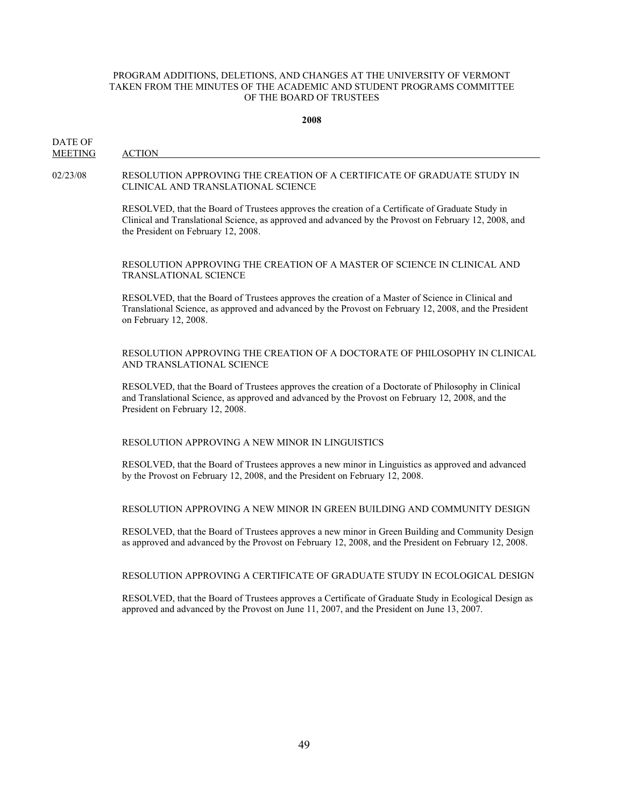#### **2008**

DATE OF MEETING ACTION

### 02/23/08 RESOLUTION APPROVING THE CREATION OF A CERTIFICATE OF GRADUATE STUDY IN CLINICAL AND TRANSLATIONAL SCIENCE

RESOLVED, that the Board of Trustees approves the creation of a Certificate of Graduate Study in Clinical and Translational Science, as approved and advanced by the Provost on February 12, 2008, and the President on February 12, 2008.

### RESOLUTION APPROVING THE CREATION OF A MASTER OF SCIENCE IN CLINICAL AND TRANSLATIONAL SCIENCE

RESOLVED, that the Board of Trustees approves the creation of a Master of Science in Clinical and Translational Science, as approved and advanced by the Provost on February 12, 2008, and the President on February 12, 2008.

## RESOLUTION APPROVING THE CREATION OF A DOCTORATE OF PHILOSOPHY IN CLINICAL AND TRANSLATIONAL SCIENCE

RESOLVED, that the Board of Trustees approves the creation of a Doctorate of Philosophy in Clinical and Translational Science, as approved and advanced by the Provost on February 12, 2008, and the President on February 12, 2008.

### RESOLUTION APPROVING A NEW MINOR IN LINGUISTICS

RESOLVED, that the Board of Trustees approves a new minor in Linguistics as approved and advanced by the Provost on February 12, 2008, and the President on February 12, 2008.

#### RESOLUTION APPROVING A NEW MINOR IN GREEN BUILDING AND COMMUNITY DESIGN

RESOLVED, that the Board of Trustees approves a new minor in Green Building and Community Design as approved and advanced by the Provost on February 12, 2008, and the President on February 12, 2008.

### RESOLUTION APPROVING A CERTIFICATE OF GRADUATE STUDY IN ECOLOGICAL DESIGN

RESOLVED, that the Board of Trustees approves a Certificate of Graduate Study in Ecological Design as approved and advanced by the Provost on June 11, 2007, and the President on June 13, 2007.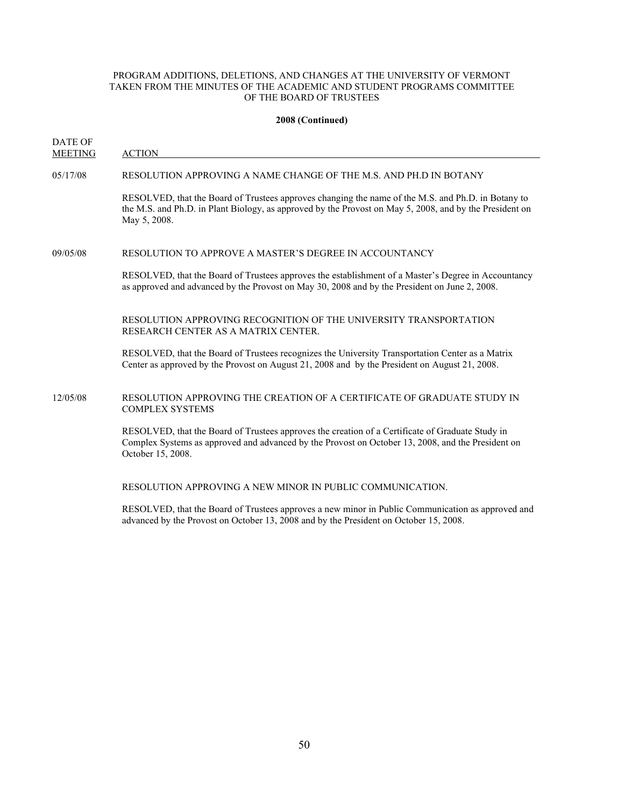#### **2008 (Continued)**

DATE OF

MEETING ACTION

### 05/17/08 RESOLUTION APPROVING A NAME CHANGE OF THE M.S. AND PH.D IN BOTANY

RESOLVED, that the Board of Trustees approves changing the name of the M.S. and Ph.D. in Botany to the M.S. and Ph.D. in Plant Biology, as approved by the Provost on May 5, 2008, and by the President on May 5, 2008.

### 09/05/08 RESOLUTION TO APPROVE A MASTER'S DEGREE IN ACCOUNTANCY

RESOLVED, that the Board of Trustees approves the establishment of a Master's Degree in Accountancy as approved and advanced by the Provost on May 30, 2008 and by the President on June 2, 2008.

RESOLUTION APPROVING RECOGNITION OF THE UNIVERSITY TRANSPORTATION RESEARCH CENTER AS A MATRIX CENTER.

RESOLVED, that the Board of Trustees recognizes the University Transportation Center as a Matrix Center as approved by the Provost on August 21, 2008 and by the President on August 21, 2008.

### 12/05/08 RESOLUTION APPROVING THE CREATION OF A CERTIFICATE OF GRADUATE STUDY IN COMPLEX SYSTEMS

RESOLVED, that the Board of Trustees approves the creation of a Certificate of Graduate Study in Complex Systems as approved and advanced by the Provost on October 13, 2008, and the President on October 15, 2008.

#### RESOLUTION APPROVING A NEW MINOR IN PUBLIC COMMUNICATION.

RESOLVED, that the Board of Trustees approves a new minor in Public Communication as approved and advanced by the Provost on October 13, 2008 and by the President on October 15, 2008.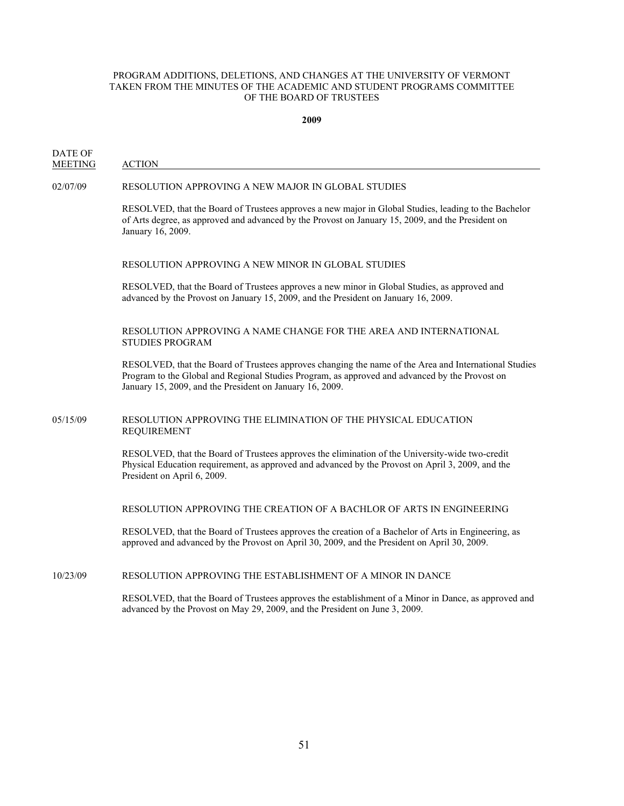**2009**

DATE OF MEETING ACTION

### 02/07/09 RESOLUTION APPROVING A NEW MAJOR IN GLOBAL STUDIES

RESOLVED, that the Board of Trustees approves a new major in Global Studies, leading to the Bachelor of Arts degree, as approved and advanced by the Provost on January 15, 2009, and the President on January 16, 2009.

### RESOLUTION APPROVING A NEW MINOR IN GLOBAL STUDIES

RESOLVED, that the Board of Trustees approves a new minor in Global Studies, as approved and advanced by the Provost on January 15, 2009, and the President on January 16, 2009.

### RESOLUTION APPROVING A NAME CHANGE FOR THE AREA AND INTERNATIONAL STUDIES PROGRAM

RESOLVED, that the Board of Trustees approves changing the name of the Area and International Studies Program to the Global and Regional Studies Program, as approved and advanced by the Provost on January 15, 2009, and the President on January 16, 2009.

### 05/15/09 RESOLUTION APPROVING THE ELIMINATION OF THE PHYSICAL EDUCATION REQUIREMENT

RESOLVED, that the Board of Trustees approves the elimination of the University-wide two-credit Physical Education requirement, as approved and advanced by the Provost on April 3, 2009, and the President on April 6, 2009.

RESOLUTION APPROVING THE CREATION OF A BACHLOR OF ARTS IN ENGINEERING

RESOLVED, that the Board of Trustees approves the creation of a Bachelor of Arts in Engineering, as approved and advanced by the Provost on April 30, 2009, and the President on April 30, 2009.

### 10/23/09 RESOLUTION APPROVING THE ESTABLISHMENT OF A MINOR IN DANCE

RESOLVED, that the Board of Trustees approves the establishment of a Minor in Dance, as approved and advanced by the Provost on May 29, 2009, and the President on June 3, 2009.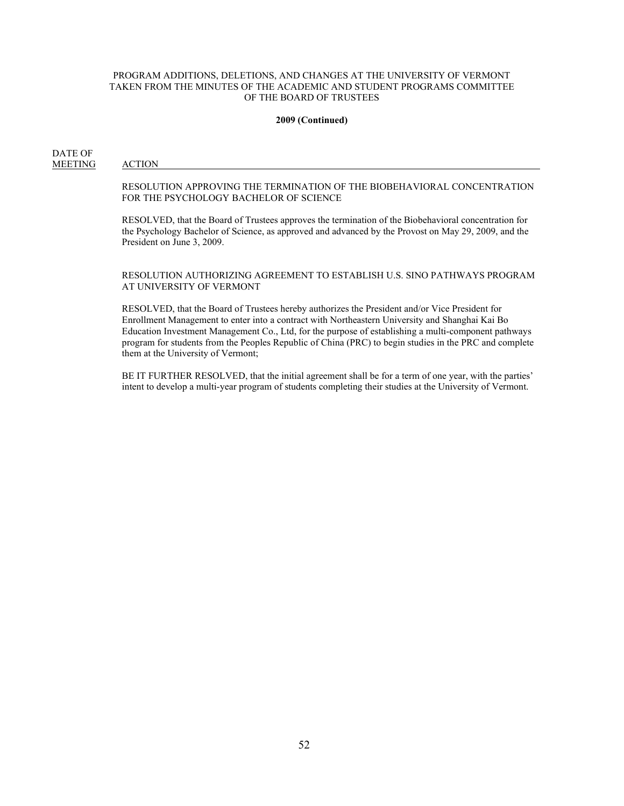#### **2009 (Continued)**

DATE OF MEETING ACTION

#### RESOLUTION APPROVING THE TERMINATION OF THE BIOBEHAVIORAL CONCENTRATION FOR THE PSYCHOLOGY BACHELOR OF SCIENCE

RESOLVED, that the Board of Trustees approves the termination of the Biobehavioral concentration for the Psychology Bachelor of Science, as approved and advanced by the Provost on May 29, 2009, and the President on June 3, 2009.

### RESOLUTION AUTHORIZING AGREEMENT TO ESTABLISH U.S. SINO PATHWAYS PROGRAM AT UNIVERSITY OF VERMONT

RESOLVED, that the Board of Trustees hereby authorizes the President and/or Vice President for Enrollment Management to enter into a contract with Northeastern University and Shanghai Kai Bo Education Investment Management Co., Ltd, for the purpose of establishing a multi-component pathways program for students from the Peoples Republic of China (PRC) to begin studies in the PRC and complete them at the University of Vermont;

BE IT FURTHER RESOLVED, that the initial agreement shall be for a term of one year, with the parties' intent to develop a multi-year program of students completing their studies at the University of Vermont.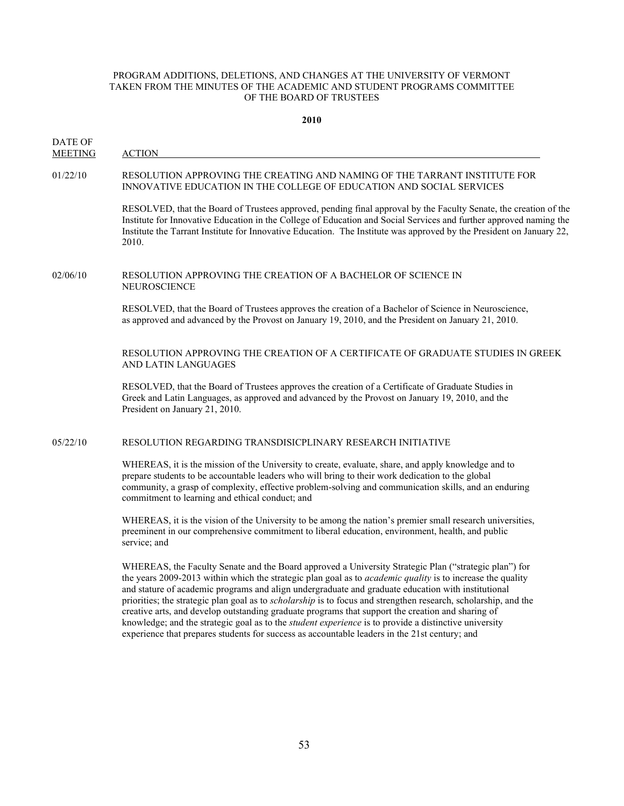**2010**

DATE OF MEETING ACTION

## 01/22/10 RESOLUTION APPROVING THE CREATING AND NAMING OF THE TARRANT INSTITUTE FOR INNOVATIVE EDUCATION IN THE COLLEGE OF EDUCATION AND SOCIAL SERVICES

RESOLVED, that the Board of Trustees approved, pending final approval by the Faculty Senate, the creation of the Institute for Innovative Education in the College of Education and Social Services and further approved naming the Institute the Tarrant Institute for Innovative Education. The Institute was approved by the President on January 22, 2010.

### 02/06/10 RESOLUTION APPROVING THE CREATION OF A BACHELOR OF SCIENCE IN NEUROSCIENCE

RESOLVED, that the Board of Trustees approves the creation of a Bachelor of Science in Neuroscience, as approved and advanced by the Provost on January 19, 2010, and the President on January 21, 2010.

RESOLUTION APPROVING THE CREATION OF A CERTIFICATE OF GRADUATE STUDIES IN GREEK AND LATIN LANGUAGES

RESOLVED, that the Board of Trustees approves the creation of a Certificate of Graduate Studies in Greek and Latin Languages, as approved and advanced by the Provost on January 19, 2010, and the President on January 21, 2010.

### 05/22/10 RESOLUTION REGARDING TRANSDISICPLINARY RESEARCH INITIATIVE

WHEREAS, it is the mission of the University to create, evaluate, share, and apply knowledge and to prepare students to be accountable leaders who will bring to their work dedication to the global community, a grasp of complexity, effective problem-solving and communication skills, and an enduring commitment to learning and ethical conduct; and

WHEREAS, it is the vision of the University to be among the nation's premier small research universities, preeminent in our comprehensive commitment to liberal education, environment, health, and public service; and

WHEREAS, the Faculty Senate and the Board approved a University Strategic Plan ("strategic plan") for the years 2009-2013 within which the strategic plan goal as to *academic quality* is to increase the quality and stature of academic programs and align undergraduate and graduate education with institutional priorities; the strategic plan goal as to *scholarship* is to focus and strengthen research, scholarship, and the creative arts, and develop outstanding graduate programs that support the creation and sharing of knowledge; and the strategic goal as to the *student experience* is to provide a distinctive university experience that prepares students for success as accountable leaders in the 21st century; and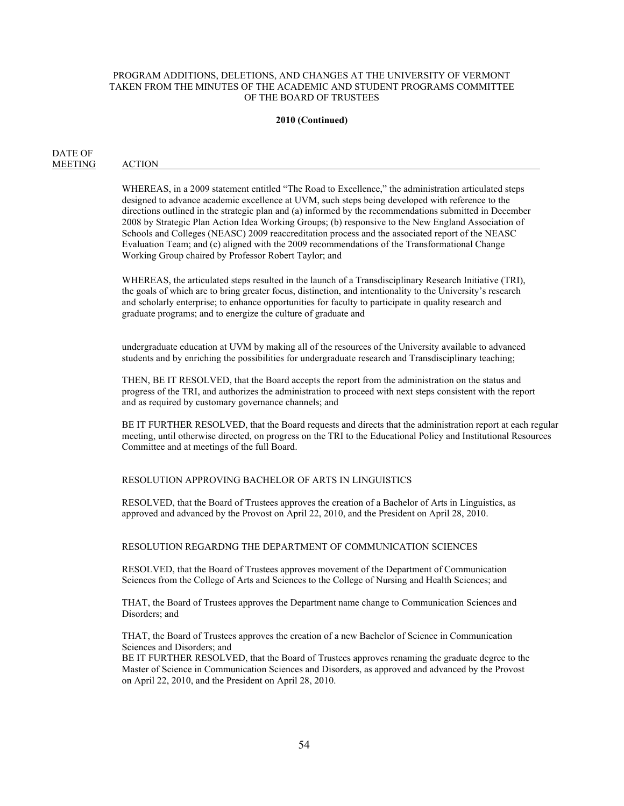#### **2010 (Continued)**

DATE OF

MEETING ACTION

WHEREAS, in a 2009 statement entitled "The Road to Excellence," the administration articulated steps designed to advance academic excellence at UVM, such steps being developed with reference to the directions outlined in the strategic plan and (a) informed by the recommendations submitted in December 2008 by Strategic Plan Action Idea Working Groups; (b) responsive to the New England Association of Schools and Colleges (NEASC) 2009 reaccreditation process and the associated report of the NEASC Evaluation Team; and (c) aligned with the 2009 recommendations of the Transformational Change Working Group chaired by Professor Robert Taylor; and

WHEREAS, the articulated steps resulted in the launch of a Transdisciplinary Research Initiative (TRI), the goals of which are to bring greater focus, distinction, and intentionality to the University's research and scholarly enterprise; to enhance opportunities for faculty to participate in quality research and graduate programs; and to energize the culture of graduate and

undergraduate education at UVM by making all of the resources of the University available to advanced students and by enriching the possibilities for undergraduate research and Transdisciplinary teaching;

THEN, BE IT RESOLVED, that the Board accepts the report from the administration on the status and progress of the TRI, and authorizes the administration to proceed with next steps consistent with the report and as required by customary governance channels; and

BE IT FURTHER RESOLVED, that the Board requests and directs that the administration report at each regular meeting, until otherwise directed, on progress on the TRI to the Educational Policy and Institutional Resources Committee and at meetings of the full Board.

#### RESOLUTION APPROVING BACHELOR OF ARTS IN LINGUISTICS

RESOLVED, that the Board of Trustees approves the creation of a Bachelor of Arts in Linguistics, as approved and advanced by the Provost on April 22, 2010, and the President on April 28, 2010.

#### RESOLUTION REGARDNG THE DEPARTMENT OF COMMUNICATION SCIENCES

RESOLVED, that the Board of Trustees approves movement of the Department of Communication Sciences from the College of Arts and Sciences to the College of Nursing and Health Sciences; and

THAT, the Board of Trustees approves the Department name change to Communication Sciences and Disorders; and

THAT, the Board of Trustees approves the creation of a new Bachelor of Science in Communication Sciences and Disorders; and

BE IT FURTHER RESOLVED, that the Board of Trustees approves renaming the graduate degree to the Master of Science in Communication Sciences and Disorders, as approved and advanced by the Provost on April 22, 2010, and the President on April 28, 2010.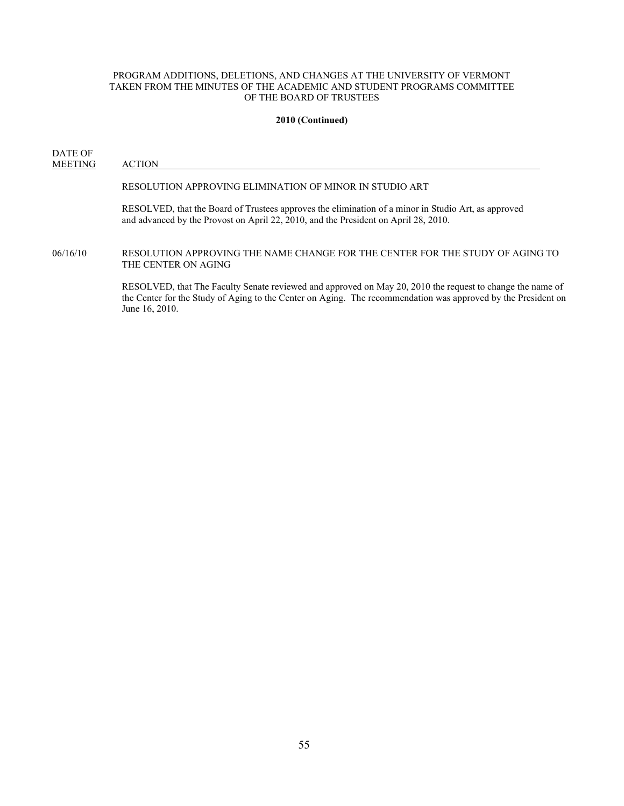#### **2010 (Continued)**

DATE OF MEETING ACTION

#### RESOLUTION APPROVING ELIMINATION OF MINOR IN STUDIO ART

RESOLVED, that the Board of Trustees approves the elimination of a minor in Studio Art, as approved and advanced by the Provost on April 22, 2010, and the President on April 28, 2010.

### 06/16/10 RESOLUTION APPROVING THE NAME CHANGE FOR THE CENTER FOR THE STUDY OF AGING TO THE CENTER ON AGING

RESOLVED, that The Faculty Senate reviewed and approved on May 20, 2010 the request to change the name of the Center for the Study of Aging to the Center on Aging. The recommendation was approved by the President on June 16, 2010.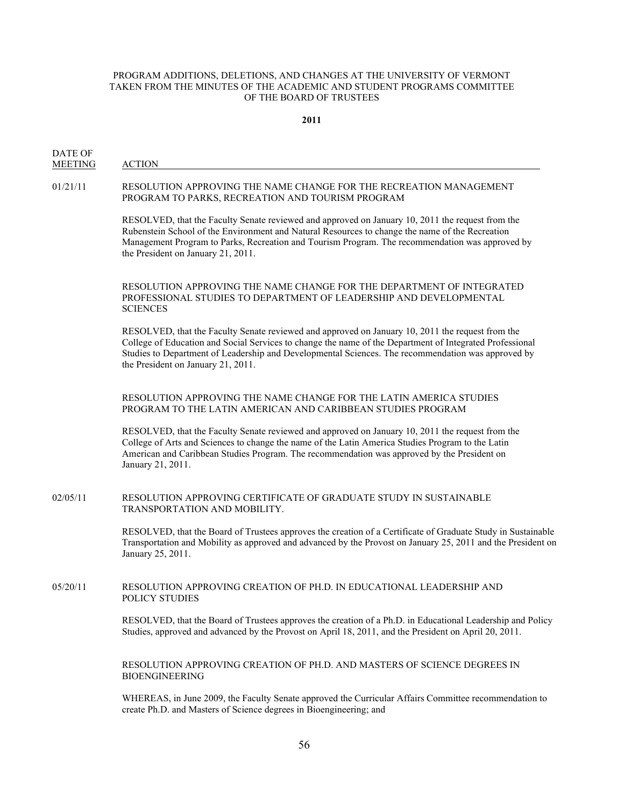**2011**

DATE OF MEETING ACTION

## 01/21/11 RESOLUTION APPROVING THE NAME CHANGE FOR THE RECREATION MANAGEMENT PROGRAM TO PARKS, RECREATION AND TOURISM PROGRAM

RESOLVED, that the Faculty Senate reviewed and approved on January 10, 2011 the request from the Rubenstein School of the Environment and Natural Resources to change the name of the Recreation Management Program to Parks, Recreation and Tourism Program. The recommendation was approved by the President on January 21, 2011.

## RESOLUTION APPROVING THE NAME CHANGE FOR THE DEPARTMENT OF INTEGRATED PROFESSIONAL STUDIES TO DEPARTMENT OF LEADERSHIP AND DEVELOPMENTAL **SCIENCES**

RESOLVED, that the Faculty Senate reviewed and approved on January 10, 2011 the request from the College of Education and Social Services to change the name of the Department of Integrated Professional Studies to Department of Leadership and Developmental Sciences. The recommendation was approved by the President on January 21, 2011.

## RESOLUTION APPROVING THE NAME CHANGE FOR THE LATIN AMERICA STUDIES PROGRAM TO THE LATIN AMERICAN AND CARIBBEAN STUDIES PROGRAM

RESOLVED, that the Faculty Senate reviewed and approved on January 10, 2011 the request from the College of Arts and Sciences to change the name of the Latin America Studies Program to the Latin American and Caribbean Studies Program. The recommendation was approved by the President on January 21, 2011.

### 02/05/11 RESOLUTION APPROVING CERTIFICATE OF GRADUATE STUDY IN SUSTAINABLE TRANSPORTATION AND MOBILITY.

RESOLVED, that the Board of Trustees approves the creation of a Certificate of Graduate Study in Sustainable Transportation and Mobility as approved and advanced by the Provost on January 25, 2011 and the President on January 25, 2011.

### 05/20/11 RESOLUTION APPROVING CREATION OF PH.D. IN EDUCATIONAL LEADERSHIP AND POLICY STUDIES

RESOLVED, that the Board of Trustees approves the creation of a Ph.D. in Educational Leadership and Policy Studies, approved and advanced by the Provost on April 18, 2011, and the President on April 20, 2011.

### RESOLUTION APPROVING CREATION OF PH.D. AND MASTERS OF SCIENCE DEGREES IN BIOENGINEERING

WHEREAS, in June 2009, the Faculty Senate approved the Curricular Affairs Committee recommendation to create Ph.D. and Masters of Science degrees in Bioengineering; and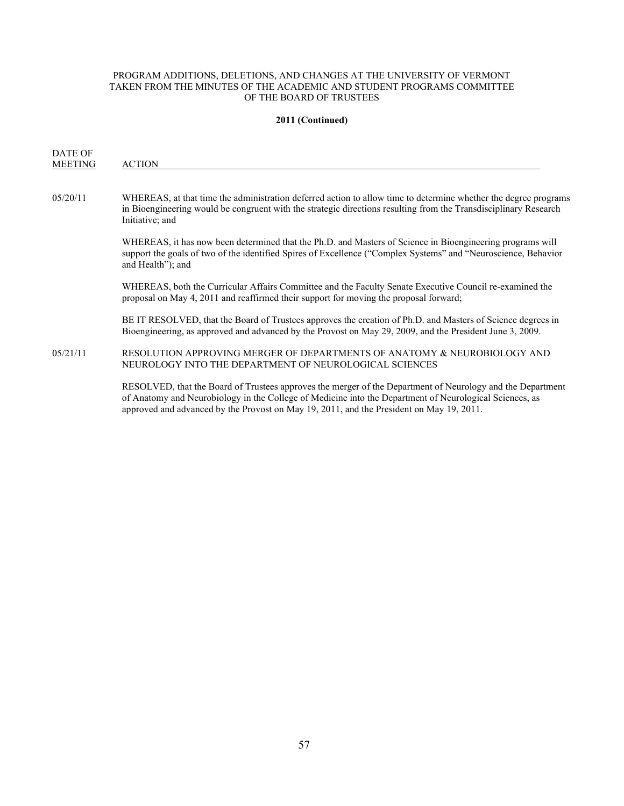#### **2011 (Continued)**

DATE OF MEETING ACTION

### 05/20/11 WHEREAS, at that time the administration deferred action to allow time to determine whether the degree programs in Bioengineering would be congruent with the strategic directions resulting from the Transdisciplinary Research Initiative; and

WHEREAS, it has now been determined that the Ph.D. and Masters of Science in Bioengineering programs will support the goals of two of the identified Spires of Excellence ("Complex Systems" and "Neuroscience, Behavior and Health"); and

WHEREAS, both the Curricular Affairs Committee and the Faculty Senate Executive Council re-examined the proposal on May 4, 2011 and reaffirmed their support for moving the proposal forward;

BE IT RESOLVED, that the Board of Trustees approves the creation of Ph.D. and Masters of Science degrees in Bioengineering, as approved and advanced by the Provost on May 29, 2009, and the President June 3, 2009.

### 05/21/11 RESOLUTION APPROVING MERGER OF DEPARTMENTS OF ANATOMY & NEUROBIOLOGY AND NEUROLOGY INTO THE DEPARTMENT OF NEUROLOGICAL SCIENCES

RESOLVED, that the Board of Trustees approves the merger of the Department of Neurology and the Department of Anatomy and Neurobiology in the College of Medicine into the Department of Neurological Sciences, as approved and advanced by the Provost on May 19, 2011, and the President on May 19, 2011.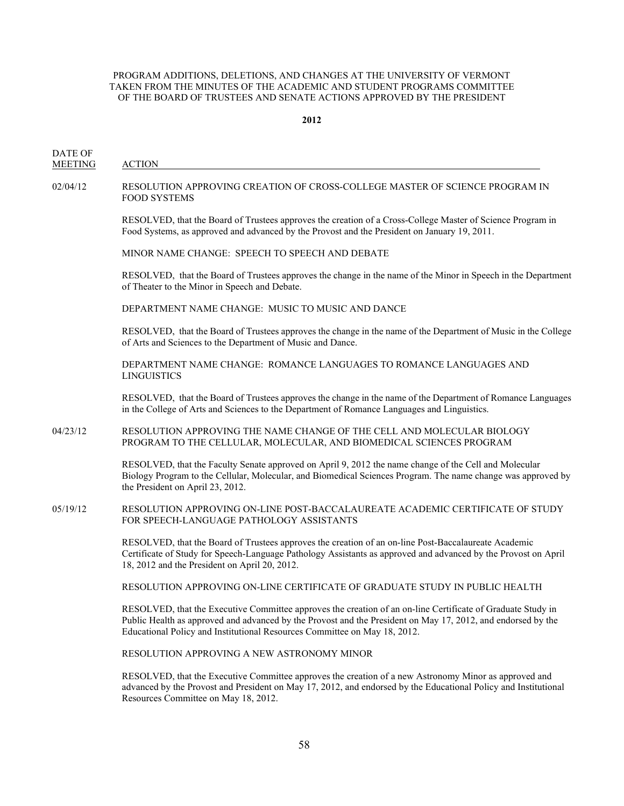**2012**

DATE OF MEETING ACTION

### 02/04/12 RESOLUTION APPROVING CREATION OF CROSS-COLLEGE MASTER OF SCIENCE PROGRAM IN FOOD SYSTEMS

RESOLVED, that the Board of Trustees approves the creation of a Cross-College Master of Science Program in Food Systems, as approved and advanced by the Provost and the President on January 19, 2011.

MINOR NAME CHANGE: SPEECH TO SPEECH AND DEBATE

RESOLVED, that the Board of Trustees approves the change in the name of the Minor in Speech in the Department of Theater to the Minor in Speech and Debate.

DEPARTMENT NAME CHANGE: MUSIC TO MUSIC AND DANCE

RESOLVED, that the Board of Trustees approves the change in the name of the Department of Music in the College of Arts and Sciences to the Department of Music and Dance.

DEPARTMENT NAME CHANGE: ROMANCE LANGUAGES TO ROMANCE LANGUAGES AND **LINGUISTICS** 

RESOLVED, that the Board of Trustees approves the change in the name of the Department of Romance Languages in the College of Arts and Sciences to the Department of Romance Languages and Linguistics.

### 04/23/12 RESOLUTION APPROVING THE NAME CHANGE OF THE CELL AND MOLECULAR BIOLOGY PROGRAM TO THE CELLULAR, MOLECULAR, AND BIOMEDICAL SCIENCES PROGRAM

RESOLVED, that the Faculty Senate approved on April 9, 2012 the name change of the Cell and Molecular Biology Program to the Cellular, Molecular, and Biomedical Sciences Program. The name change was approved by the President on April 23, 2012.

### 05/19/12 RESOLUTION APPROVING ON-LINE POST-BACCALAUREATE ACADEMIC CERTIFICATE OF STUDY FOR SPEECH-LANGUAGE PATHOLOGY ASSISTANTS

RESOLVED, that the Board of Trustees approves the creation of an on-line Post-Baccalaureate Academic Certificate of Study for Speech-Language Pathology Assistants as approved and advanced by the Provost on April 18, 2012 and the President on April 20, 2012.

RESOLUTION APPROVING ON-LINE CERTIFICATE OF GRADUATE STUDY IN PUBLIC HEALTH

RESOLVED, that the Executive Committee approves the creation of an on-line Certificate of Graduate Study in Public Health as approved and advanced by the Provost and the President on May 17, 2012, and endorsed by the Educational Policy and Institutional Resources Committee on May 18, 2012.

RESOLUTION APPROVING A NEW ASTRONOMY MINOR

RESOLVED, that the Executive Committee approves the creation of a new Astronomy Minor as approved and advanced by the Provost and President on May 17, 2012, and endorsed by the Educational Policy and Institutional Resources Committee on May 18, 2012.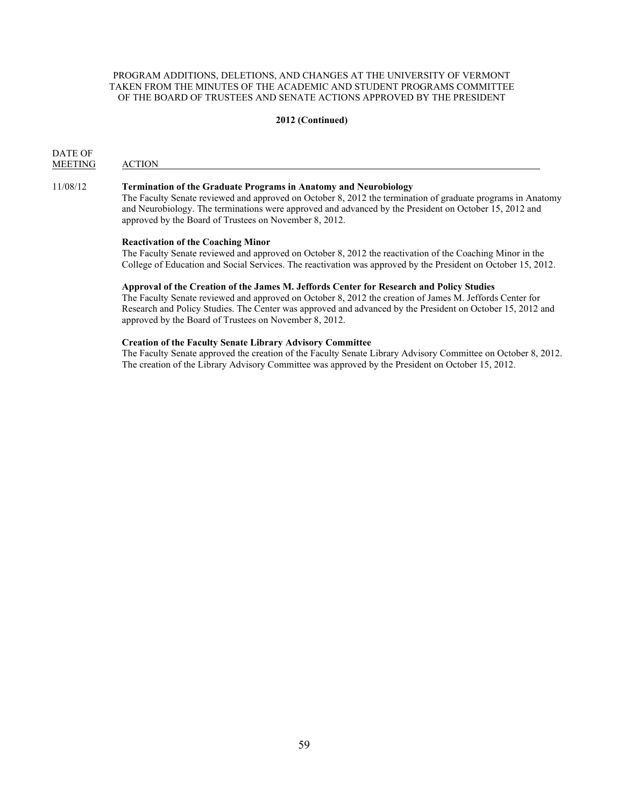#### **2012 (Continued)**

DATE OF MEETING ACTION

#### 11/08/12 **Termination of the Graduate Programs in Anatomy and Neurobiology**

The Faculty Senate reviewed and approved on October 8, 2012 the termination of graduate programs in Anatomy and Neurobiology. The terminations were approved and advanced by the President on October 15, 2012 and approved by the Board of Trustees on November 8, 2012.

#### **Reactivation of the Coaching Minor**

The Faculty Senate reviewed and approved on October 8, 2012 the reactivation of the Coaching Minor in the College of Education and Social Services. The reactivation was approved by the President on October 15, 2012.

#### **Approval of the Creation of the James M. Jeffords Center for Research and Policy Studies**

The Faculty Senate reviewed and approved on October 8, 2012 the creation of James M. Jeffords Center for Research and Policy Studies. The Center was approved and advanced by the President on October 15, 2012 and approved by the Board of Trustees on November 8, 2012.

#### **Creation of the Faculty Senate Library Advisory Committee**

The Faculty Senate approved the creation of the Faculty Senate Library Advisory Committee on October 8, 2012. The creation of the Library Advisory Committee was approved by the President on October 15, 2012.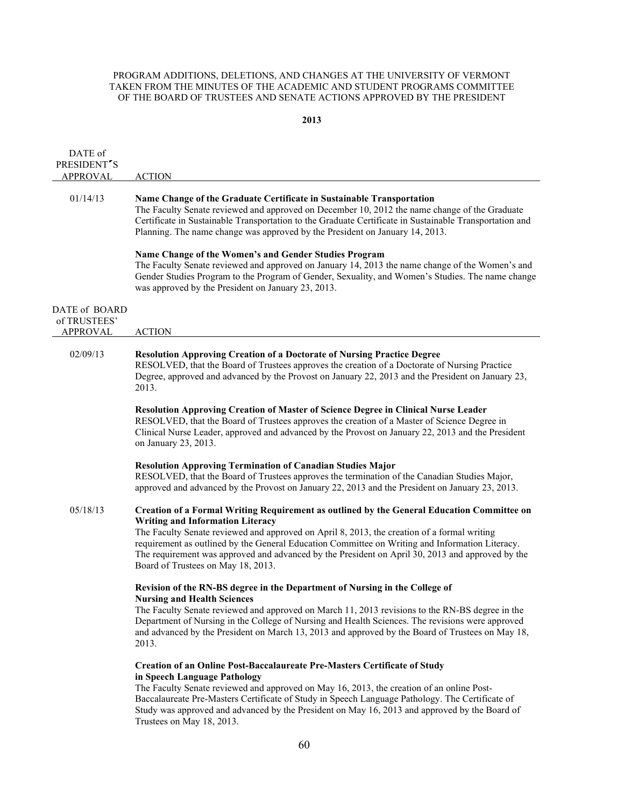## **2013**

| DATE of<br>PRESIDENT'S                           |                                                                                                                                                                                                                                                                                                                                                                   |
|--------------------------------------------------|-------------------------------------------------------------------------------------------------------------------------------------------------------------------------------------------------------------------------------------------------------------------------------------------------------------------------------------------------------------------|
| <b>APPROVAL</b>                                  | <b>ACTION</b>                                                                                                                                                                                                                                                                                                                                                     |
| 01/14/13                                         | Name Change of the Graduate Certificate in Sustainable Transportation<br>The Faculty Senate reviewed and approved on December 10, 2012 the name change of the Graduate<br>Certificate in Sustainable Transportation to the Graduate Certificate in Sustainable Transportation and<br>Planning. The name change was approved by the President on January 14, 2013. |
|                                                  | Name Change of the Women's and Gender Studies Program<br>The Faculty Senate reviewed and approved on January 14, 2013 the name change of the Women's and<br>Gender Studies Program to the Program of Gender, Sexuality, and Women's Studies. The name change<br>was approved by the President on January 23, 2013.                                                |
| DATE of BOARD<br>of TRUSTEES'<br><b>APPROVAL</b> | <b>ACTION</b>                                                                                                                                                                                                                                                                                                                                                     |
|                                                  |                                                                                                                                                                                                                                                                                                                                                                   |
| 02/09/13                                         | <b>Resolution Approving Creation of a Doctorate of Nursing Practice Degree</b><br>RESOLVED, that the Board of Trustees approves the creation of a Doctorate of Nursing Practice<br>Degree, approved and advanced by the Provost on January 22, 2013 and the President on January 23,<br>2013.                                                                     |
|                                                  | Resolution Approving Creation of Master of Science Degree in Clinical Nurse Leader<br>RESOLVED, that the Board of Trustees approves the creation of a Master of Science Degree in<br>Clinical Nurse Leader, approved and advanced by the Provost on January 22, 2013 and the President<br>on January 23, 2013.                                                    |
|                                                  | <b>Resolution Approving Termination of Canadian Studies Major</b><br>RESOLVED, that the Board of Trustees approves the termination of the Canadian Studies Major,<br>approved and advanced by the Provost on January 22, 2013 and the President on January 23, 2013.                                                                                              |
| 05/18/13                                         | <b>Creation of a Formal Writing Requirement as outlined by the General Education Committee on</b><br><b>Writing and Information Literacy</b>                                                                                                                                                                                                                      |
|                                                  | The Faculty Senate reviewed and approved on April 8, 2013, the creation of a formal writing<br>requirement as outlined by the General Education Committee on Writing and Information Literacy.<br>The requirement was approved and advanced by the President on April 30, 2013 and approved by the<br>Board of Trustees on May 18, 2013.                          |
|                                                  | Revision of the RN-BS degree in the Department of Nursing in the College of<br><b>Nursing and Health Sciences</b>                                                                                                                                                                                                                                                 |
|                                                  | The Faculty Senate reviewed and approved on March 11, 2013 revisions to the RN-BS degree in the<br>Department of Nursing in the College of Nursing and Health Sciences. The revisions were approved<br>and advanced by the President on March 13, 2013 and approved by the Board of Trustees on May 18,<br>2013.                                                  |
|                                                  | <b>Creation of an Online Post-Baccalaureate Pre-Masters Certificate of Study</b><br>in Speech Language Pathology                                                                                                                                                                                                                                                  |
|                                                  | The Faculty Senate reviewed and approved on May 16, 2013, the creation of an online Post-<br>Baccalaureate Pre-Masters Certificate of Study in Speech Language Pathology. The Certificate of<br>Study was approved and advanced by the President on May 16, 2013 and approved by the Board of<br>Trustees on May 18, 2013.                                        |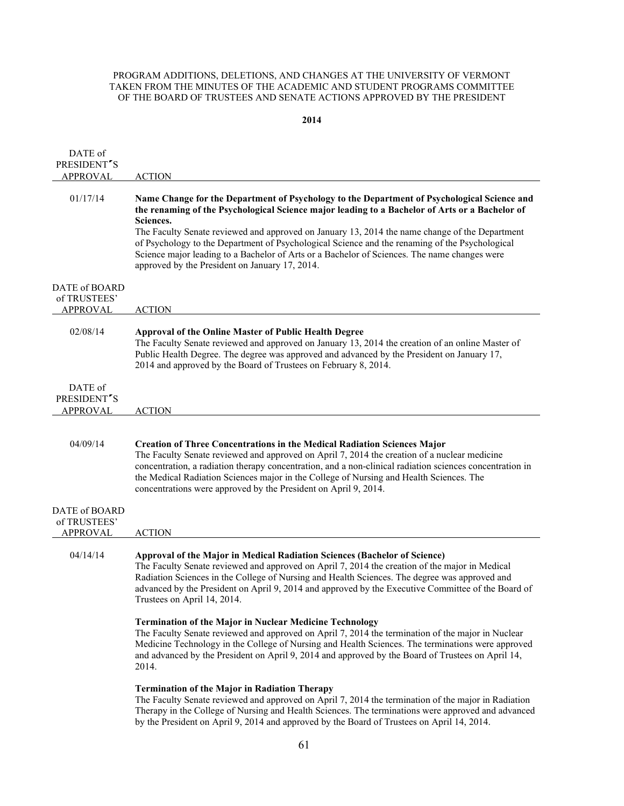## **2014**

| DATE of<br>PRESIDENT'S        |                                                                                                                                                                                                                                                                                                                                                                                                                                                                                                                                                                  |
|-------------------------------|------------------------------------------------------------------------------------------------------------------------------------------------------------------------------------------------------------------------------------------------------------------------------------------------------------------------------------------------------------------------------------------------------------------------------------------------------------------------------------------------------------------------------------------------------------------|
| <b>APPROVAL</b>               | <b>ACTION</b>                                                                                                                                                                                                                                                                                                                                                                                                                                                                                                                                                    |
| 01/17/14                      | Name Change for the Department of Psychology to the Department of Psychological Science and<br>the renaming of the Psychological Science major leading to a Bachelor of Arts or a Bachelor of<br>Sciences.<br>The Faculty Senate reviewed and approved on January 13, 2014 the name change of the Department<br>of Psychology to the Department of Psychological Science and the renaming of the Psychological<br>Science major leading to a Bachelor of Arts or a Bachelor of Sciences. The name changes were<br>approved by the President on January 17, 2014. |
| DATE of BOARD<br>of TRUSTEES' |                                                                                                                                                                                                                                                                                                                                                                                                                                                                                                                                                                  |
| <b>APPROVAL</b>               | <b>ACTION</b>                                                                                                                                                                                                                                                                                                                                                                                                                                                                                                                                                    |
| 02/08/14                      | <b>Approval of the Online Master of Public Health Degree</b><br>The Faculty Senate reviewed and approved on January 13, 2014 the creation of an online Master of<br>Public Health Degree. The degree was approved and advanced by the President on January 17,<br>2014 and approved by the Board of Trustees on February 8, 2014.                                                                                                                                                                                                                                |
| DATE of<br>PRESIDENT'S        |                                                                                                                                                                                                                                                                                                                                                                                                                                                                                                                                                                  |
| <b>APPROVAL</b>               | <b>ACTION</b>                                                                                                                                                                                                                                                                                                                                                                                                                                                                                                                                                    |
|                               |                                                                                                                                                                                                                                                                                                                                                                                                                                                                                                                                                                  |
| 04/09/14                      | <b>Creation of Three Concentrations in the Medical Radiation Sciences Major</b><br>The Faculty Senate reviewed and approved on April 7, 2014 the creation of a nuclear medicine<br>concentration, a radiation therapy concentration, and a non-clinical radiation sciences concentration in<br>the Medical Radiation Sciences major in the College of Nursing and Health Sciences. The<br>concentrations were approved by the President on April 9, 2014.                                                                                                        |
| DATE of BOARD<br>of TRUSTEES' |                                                                                                                                                                                                                                                                                                                                                                                                                                                                                                                                                                  |
| <b>APPROVAL</b>               | <b>ACTION</b>                                                                                                                                                                                                                                                                                                                                                                                                                                                                                                                                                    |
| 04/14/14                      | Approval of the Major in Medical Radiation Sciences (Bachelor of Science)<br>The Faculty Senate reviewed and approved on April 7, 2014 the creation of the major in Medical<br>Radiation Sciences in the College of Nursing and Health Sciences. The degree was approved and<br>advanced by the President on April 9, 2014 and approved by the Executive Committee of the Board of<br>Trustees on April 14, 2014.                                                                                                                                                |
|                               | <b>Termination of the Major in Nuclear Medicine Technology</b><br>The Faculty Senate reviewed and approved on April 7, 2014 the termination of the major in Nuclear<br>Medicine Technology in the College of Nursing and Health Sciences. The terminations were approved<br>and advanced by the President on April 9, 2014 and approved by the Board of Trustees on April 14,<br>2014.                                                                                                                                                                           |
|                               | <b>Termination of the Major in Radiation Therapy</b><br>The Faculty Senate reviewed and approved on April 7, 2014 the termination of the major in Radiation<br>Therapy in the College of Nursing and Health Sciences. The terminations were approved and advanced<br>by the President on April 9, 2014 and approved by the Board of Trustees on April 14, 2014.                                                                                                                                                                                                  |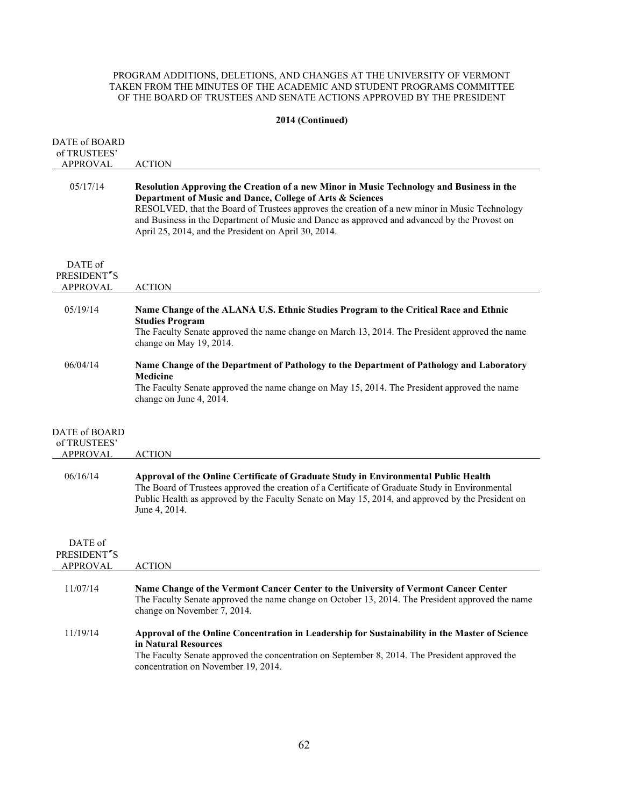## **2014 (Continued)**

| DATE of BOARD                                    |                                                                                                                                                                                                                                                                                                                                                                                                                |
|--------------------------------------------------|----------------------------------------------------------------------------------------------------------------------------------------------------------------------------------------------------------------------------------------------------------------------------------------------------------------------------------------------------------------------------------------------------------------|
| of TRUSTEES'<br><b>APPROVAL</b>                  | <b>ACTION</b>                                                                                                                                                                                                                                                                                                                                                                                                  |
| 05/17/14                                         | Resolution Approving the Creation of a new Minor in Music Technology and Business in the<br>Department of Music and Dance, College of Arts & Sciences<br>RESOLVED, that the Board of Trustees approves the creation of a new minor in Music Technology<br>and Business in the Department of Music and Dance as approved and advanced by the Provost on<br>April 25, 2014, and the President on April 30, 2014. |
| DATE of<br>PRESIDENT'S<br><b>APPROVAL</b>        | <b>ACTION</b>                                                                                                                                                                                                                                                                                                                                                                                                  |
| 05/19/14                                         | Name Change of the ALANA U.S. Ethnic Studies Program to the Critical Race and Ethnic<br><b>Studies Program</b><br>The Faculty Senate approved the name change on March 13, 2014. The President approved the name<br>change on May 19, 2014.                                                                                                                                                                    |
| 06/04/14                                         | Name Change of the Department of Pathology to the Department of Pathology and Laboratory<br><b>Medicine</b><br>The Faculty Senate approved the name change on May 15, 2014. The President approved the name<br>change on June 4, 2014.                                                                                                                                                                         |
| DATE of BOARD<br>of TRUSTEES'<br><b>APPROVAL</b> | <b>ACTION</b>                                                                                                                                                                                                                                                                                                                                                                                                  |
| 06/16/14                                         | Approval of the Online Certificate of Graduate Study in Environmental Public Health<br>The Board of Trustees approved the creation of a Certificate of Graduate Study in Environmental<br>Public Health as approved by the Faculty Senate on May 15, 2014, and approved by the President on<br>June 4, 2014.                                                                                                   |
| DATE of<br>PRESIDENT'S<br>APPROVAL               | <b>ACTION</b>                                                                                                                                                                                                                                                                                                                                                                                                  |
| 11/07/14                                         | Name Change of the Vermont Cancer Center to the University of Vermont Cancer Center<br>The Faculty Senate approved the name change on October 13, 2014. The President approved the name<br>change on November 7, 2014.                                                                                                                                                                                         |
| 11/19/14                                         | Approval of the Online Concentration in Leadership for Sustainability in the Master of Science<br>in Natural Resources<br>The Faculty Senate approved the concentration on September 8, 2014. The President approved the<br>concentration on November 19, 2014.                                                                                                                                                |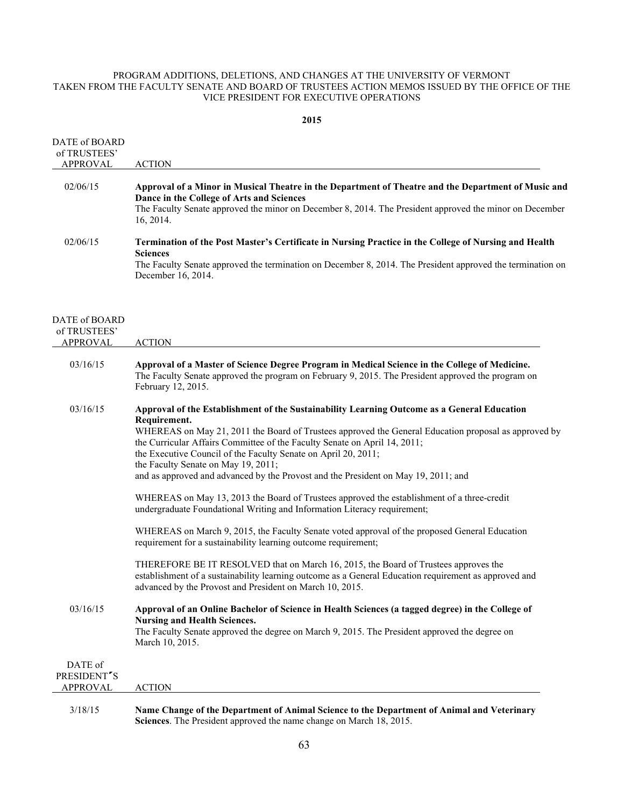**2015**

| DATE of BOARD<br>of TRUSTEES'                    |                                                                                                                                                                                                                                                                                                                                                                                                                                                                                                 |
|--------------------------------------------------|-------------------------------------------------------------------------------------------------------------------------------------------------------------------------------------------------------------------------------------------------------------------------------------------------------------------------------------------------------------------------------------------------------------------------------------------------------------------------------------------------|
| <b>APPROVAL</b>                                  | <b>ACTION</b>                                                                                                                                                                                                                                                                                                                                                                                                                                                                                   |
| 02/06/15                                         | Approval of a Minor in Musical Theatre in the Department of Theatre and the Department of Music and<br>Dance in the College of Arts and Sciences<br>The Faculty Senate approved the minor on December 8, 2014. The President approved the minor on December<br>16, 2014.                                                                                                                                                                                                                        |
| 02/06/15                                         | Termination of the Post Master's Certificate in Nursing Practice in the College of Nursing and Health<br><b>Sciences</b><br>The Faculty Senate approved the termination on December 8, 2014. The President approved the termination on<br>December 16, 2014.                                                                                                                                                                                                                                    |
| DATE of BOARD<br>of TRUSTEES'<br><b>APPROVAL</b> | <b>ACTION</b>                                                                                                                                                                                                                                                                                                                                                                                                                                                                                   |
| 03/16/15                                         | Approval of a Master of Science Degree Program in Medical Science in the College of Medicine.<br>The Faculty Senate approved the program on February 9, 2015. The President approved the program on<br>February 12, 2015.                                                                                                                                                                                                                                                                       |
| 03/16/15                                         | Approval of the Establishment of the Sustainability Learning Outcome as a General Education<br>Requirement.<br>WHEREAS on May 21, 2011 the Board of Trustees approved the General Education proposal as approved by<br>the Curricular Affairs Committee of the Faculty Senate on April 14, 2011;<br>the Executive Council of the Faculty Senate on April 20, 2011;<br>the Faculty Senate on May 19, 2011;<br>and as approved and advanced by the Provost and the President on May 19, 2011; and |
|                                                  | WHEREAS on May 13, 2013 the Board of Trustees approved the establishment of a three-credit<br>undergraduate Foundational Writing and Information Literacy requirement;                                                                                                                                                                                                                                                                                                                          |
|                                                  | WHEREAS on March 9, 2015, the Faculty Senate voted approval of the proposed General Education<br>requirement for a sustainability learning outcome requirement;                                                                                                                                                                                                                                                                                                                                 |
|                                                  | THEREFORE BE IT RESOLVED that on March 16, 2015, the Board of Trustees approves the<br>establishment of a sustainability learning outcome as a General Education requirement as approved and<br>advanced by the Provost and President on March 10, 2015.                                                                                                                                                                                                                                        |
| 03/16/15                                         | Approval of an Online Bachelor of Science in Health Sciences (a tagged degree) in the College of<br><b>Nursing and Health Sciences.</b><br>The Faculty Senate approved the degree on March 9, 2015. The President approved the degree on<br>March 10, 2015.                                                                                                                                                                                                                                     |
| DATE of<br>PRESIDENT'S<br><u>APPROVAL</u>        | <b>ACTION</b>                                                                                                                                                                                                                                                                                                                                                                                                                                                                                   |
| 3/18/15                                          | Name Change of the Department of Animal Science to the Department of Animal and Veterinary                                                                                                                                                                                                                                                                                                                                                                                                      |

**Sciences**. The President approved the name change on March 18, 2015.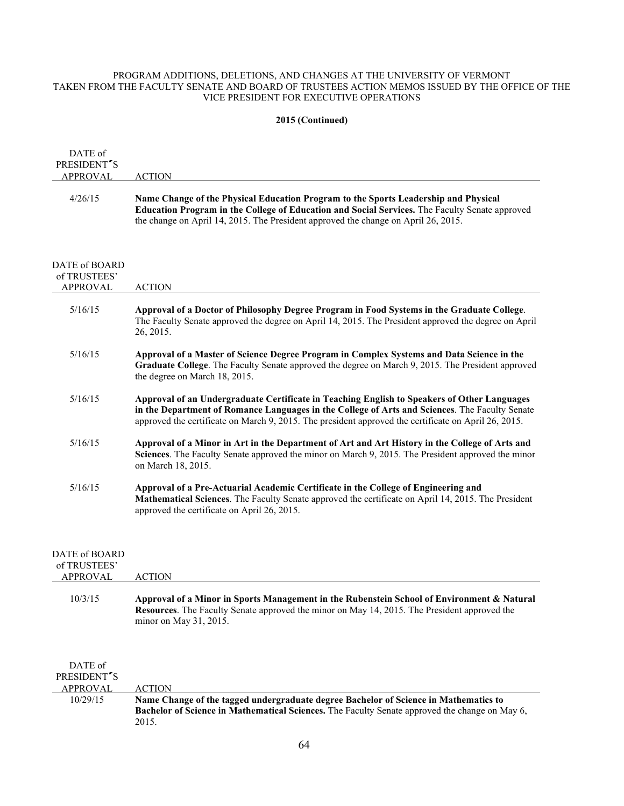## **2015 (Continued)**

| DATE of<br>PRESIDENT'S                           |                                                                                                                                                                                                                                                                                                       |
|--------------------------------------------------|-------------------------------------------------------------------------------------------------------------------------------------------------------------------------------------------------------------------------------------------------------------------------------------------------------|
| <b>APPROVAL</b>                                  | <b>ACTION</b>                                                                                                                                                                                                                                                                                         |
| 4/26/15                                          | Name Change of the Physical Education Program to the Sports Leadership and Physical<br>Education Program in the College of Education and Social Services. The Faculty Senate approved<br>the change on April 14, 2015. The President approved the change on April 26, 2015.                           |
| DATE of BOARD<br>of TRUSTEES'<br><b>APPROVAL</b> | <b>ACTION</b>                                                                                                                                                                                                                                                                                         |
| 5/16/15                                          | Approval of a Doctor of Philosophy Degree Program in Food Systems in the Graduate College.<br>The Faculty Senate approved the degree on April 14, 2015. The President approved the degree on April<br>26, 2015.                                                                                       |
| 5/16/15                                          | Approval of a Master of Science Degree Program in Complex Systems and Data Science in the<br>Graduate College. The Faculty Senate approved the degree on March 9, 2015. The President approved<br>the degree on March 18, 2015.                                                                       |
| 5/16/15                                          | Approval of an Undergraduate Certificate in Teaching English to Speakers of Other Languages<br>in the Department of Romance Languages in the College of Arts and Sciences. The Faculty Senate<br>approved the certificate on March 9, 2015. The president approved the certificate on April 26, 2015. |
| 5/16/15                                          | Approval of a Minor in Art in the Department of Art and Art History in the College of Arts and<br>Sciences. The Faculty Senate approved the minor on March 9, 2015. The President approved the minor<br>on March 18, 2015.                                                                            |
| 5/16/15                                          | Approval of a Pre-Actuarial Academic Certificate in the College of Engineering and<br>Mathematical Sciences. The Faculty Senate approved the certificate on April 14, 2015. The President<br>approved the certificate on April 26, 2015.                                                              |

| DATE of BOARD<br>of TRUSTEES'<br><b>APPROVAL</b> | <b>ACTION</b>                                                                                                                                                                                                               |
|--------------------------------------------------|-----------------------------------------------------------------------------------------------------------------------------------------------------------------------------------------------------------------------------|
| 10/3/15                                          | Approval of a Minor in Sports Management in the Rubenstein School of Environment & Natural<br><b>Resources.</b> The Faculty Senate approved the minor on May 14, 2015. The President approved the<br>minor on May 31, 2015. |
| DATE of<br>PRESIDENT'S<br><b>APPROVAL</b>        | <b>ACTION</b>                                                                                                                                                                                                               |
| 10/29/15                                         | Name Change of the tagged undergraduate degree Bachelor of Science in Mathematics to<br>Bachelor of Science in Mathematical Sciences. The Faculty Senate approved the change on May 6,<br>2015.                             |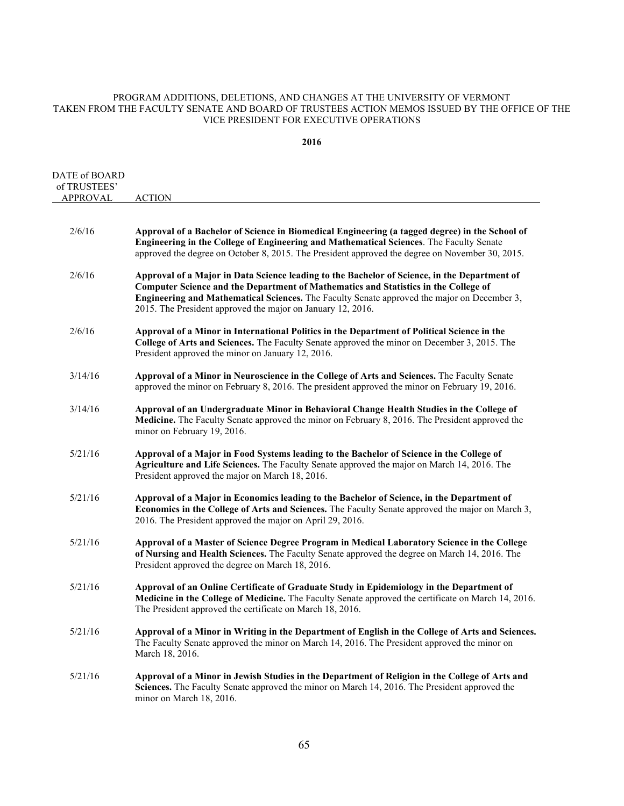### **2016**

| DATE of BOARD<br>of TRUSTEES'<br><b>APPROVAL</b> | <b>ACTION</b>                                                                                                                                                                                                                                                                                                                                     |
|--------------------------------------------------|---------------------------------------------------------------------------------------------------------------------------------------------------------------------------------------------------------------------------------------------------------------------------------------------------------------------------------------------------|
|                                                  |                                                                                                                                                                                                                                                                                                                                                   |
| 2/6/16                                           | Approval of a Bachelor of Science in Biomedical Engineering (a tagged degree) in the School of<br>Engineering in the College of Engineering and Mathematical Sciences. The Faculty Senate<br>approved the degree on October 8, 2015. The President approved the degree on November 30, 2015.                                                      |
| 2/6/16                                           | Approval of a Major in Data Science leading to the Bachelor of Science, in the Department of<br>Computer Science and the Department of Mathematics and Statistics in the College of<br>Engineering and Mathematical Sciences. The Faculty Senate approved the major on December 3,<br>2015. The President approved the major on January 12, 2016. |
| 2/6/16                                           | Approval of a Minor in International Politics in the Department of Political Science in the<br>College of Arts and Sciences. The Faculty Senate approved the minor on December 3, 2015. The<br>President approved the minor on January 12, 2016.                                                                                                  |
| 3/14/16                                          | Approval of a Minor in Neuroscience in the College of Arts and Sciences. The Faculty Senate<br>approved the minor on February 8, 2016. The president approved the minor on February 19, 2016.                                                                                                                                                     |
| 3/14/16                                          | Approval of an Undergraduate Minor in Behavioral Change Health Studies in the College of<br>Medicine. The Faculty Senate approved the minor on February 8, 2016. The President approved the<br>minor on February 19, 2016.                                                                                                                        |
| 5/21/16                                          | Approval of a Major in Food Systems leading to the Bachelor of Science in the College of<br>Agriculture and Life Sciences. The Faculty Senate approved the major on March 14, 2016. The<br>President approved the major on March 18, 2016.                                                                                                        |
| 5/21/16                                          | Approval of a Major in Economics leading to the Bachelor of Science, in the Department of<br>Economics in the College of Arts and Sciences. The Faculty Senate approved the major on March 3,<br>2016. The President approved the major on April 29, 2016.                                                                                        |
| 5/21/16                                          | Approval of a Master of Science Degree Program in Medical Laboratory Science in the College<br>of Nursing and Health Sciences. The Faculty Senate approved the degree on March 14, 2016. The<br>President approved the degree on March 18, 2016.                                                                                                  |
| 5/21/16                                          | Approval of an Online Certificate of Graduate Study in Epidemiology in the Department of<br>Medicine in the College of Medicine. The Faculty Senate approved the certificate on March 14, 2016.<br>The President approved the certificate on March 18, 2016.                                                                                      |
| 5/21/16                                          | Approval of a Minor in Writing in the Department of English in the College of Arts and Sciences.<br>The Faculty Senate approved the minor on March 14, 2016. The President approved the minor on<br>March 18, 2016.                                                                                                                               |
| 5/21/16                                          | Approval of a Minor in Jewish Studies in the Department of Religion in the College of Arts and<br>Sciences. The Faculty Senate approved the minor on March 14, 2016. The President approved the<br>minor on March 18, 2016.                                                                                                                       |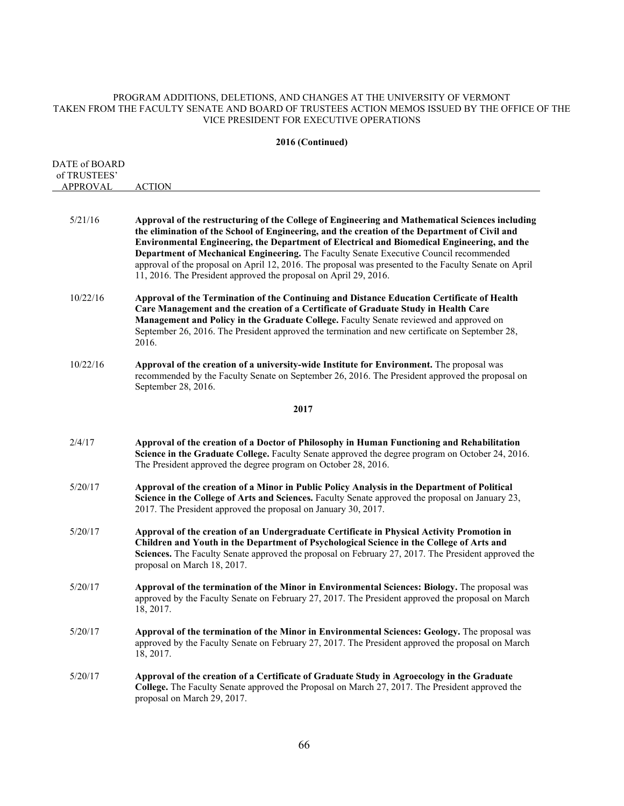## **2016 (Continued)**

| DATE of BOARD<br>of TRUSTEES'<br><b>APPROVAL</b> | <b>ACTION</b>                                                                                                                                                                                                                                                                                                                                                                                                                                                                                                                                                          |
|--------------------------------------------------|------------------------------------------------------------------------------------------------------------------------------------------------------------------------------------------------------------------------------------------------------------------------------------------------------------------------------------------------------------------------------------------------------------------------------------------------------------------------------------------------------------------------------------------------------------------------|
| 5/21/16                                          | Approval of the restructuring of the College of Engineering and Mathematical Sciences including<br>the elimination of the School of Engineering, and the creation of the Department of Civil and<br>Environmental Engineering, the Department of Electrical and Biomedical Engineering, and the<br>Department of Mechanical Engineering. The Faculty Senate Executive Council recommended<br>approval of the proposal on April 12, 2016. The proposal was presented to the Faculty Senate on April<br>11, 2016. The President approved the proposal on April 29, 2016. |
| 10/22/16                                         | Approval of the Termination of the Continuing and Distance Education Certificate of Health<br>Care Management and the creation of a Certificate of Graduate Study in Health Care<br>Management and Policy in the Graduate College. Faculty Senate reviewed and approved on<br>September 26, 2016. The President approved the termination and new certificate on September 28,<br>2016.                                                                                                                                                                                 |
| 10/22/16                                         | Approval of the creation of a university-wide Institute for Environment. The proposal was<br>recommended by the Faculty Senate on September 26, 2016. The President approved the proposal on<br>September 28, 2016.                                                                                                                                                                                                                                                                                                                                                    |
|                                                  | 2017                                                                                                                                                                                                                                                                                                                                                                                                                                                                                                                                                                   |
| 2/4/17                                           | Approval of the creation of a Doctor of Philosophy in Human Functioning and Rehabilitation<br>Science in the Graduate College. Faculty Senate approved the degree program on October 24, 2016.<br>The President approved the degree program on October 28, 2016.                                                                                                                                                                                                                                                                                                       |
| 5/20/17                                          | Approval of the creation of a Minor in Public Policy Analysis in the Department of Political<br>Science in the College of Arts and Sciences. Faculty Senate approved the proposal on January 23,<br>2017. The President approved the proposal on January 30, 2017.                                                                                                                                                                                                                                                                                                     |
| 5/20/17                                          | Approval of the creation of an Undergraduate Certificate in Physical Activity Promotion in<br>Children and Youth in the Department of Psychological Science in the College of Arts and<br>Sciences. The Faculty Senate approved the proposal on February 27, 2017. The President approved the<br>proposal on March 18, 2017.                                                                                                                                                                                                                                           |
| 5/20/17                                          | Approval of the termination of the Minor in Environmental Sciences: Biology. The proposal was<br>approved by the Faculty Senate on February 27, 2017. The President approved the proposal on March<br>18, 2017.                                                                                                                                                                                                                                                                                                                                                        |
| 5/20/17                                          | Approval of the termination of the Minor in Environmental Sciences: Geology. The proposal was<br>approved by the Faculty Senate on February 27, 2017. The President approved the proposal on March<br>18, 2017.                                                                                                                                                                                                                                                                                                                                                        |
| 5/20/17                                          | Approval of the creation of a Certificate of Graduate Study in Agroecology in the Graduate<br>College. The Faculty Senate approved the Proposal on March 27, 2017. The President approved the<br>proposal on March 29, 2017.                                                                                                                                                                                                                                                                                                                                           |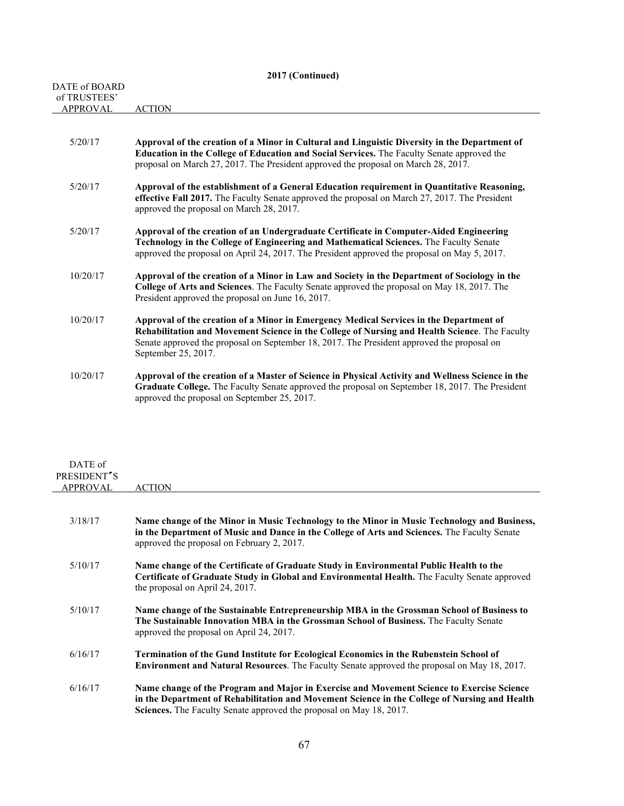# **2017 (Continued)**

| DATE of BOARD |               |
|---------------|---------------|
| of TRUSTEES'  |               |
| APPROVAL      | <b>ACTION</b> |
|               |               |

| 5/20/17  | Approval of the creation of a Minor in Cultural and Linguistic Diversity in the Department of<br>Education in the College of Education and Social Services. The Faculty Senate approved the<br>proposal on March 27, 2017. The President approved the proposal on March 28, 2017.                            |
|----------|--------------------------------------------------------------------------------------------------------------------------------------------------------------------------------------------------------------------------------------------------------------------------------------------------------------|
| 5/20/17  | Approval of the establishment of a General Education requirement in Quantitative Reasoning,<br>effective Fall 2017. The Faculty Senate approved the proposal on March 27, 2017. The President<br>approved the proposal on March 28, 2017.                                                                    |
| 5/20/17  | Approval of the creation of an Undergraduate Certificate in Computer-Aided Engineering<br>Technology in the College of Engineering and Mathematical Sciences. The Faculty Senate<br>approved the proposal on April 24, 2017. The President approved the proposal on May 5, 2017.                             |
| 10/20/17 | Approval of the creation of a Minor in Law and Society in the Department of Sociology in the<br>College of Arts and Sciences. The Faculty Senate approved the proposal on May 18, 2017. The<br>President approved the proposal on June 16, 2017.                                                             |
| 10/20/17 | Approval of the creation of a Minor in Emergency Medical Services in the Department of<br>Rehabilitation and Movement Science in the College of Nursing and Health Science. The Faculty<br>Senate approved the proposal on September 18, 2017. The President approved the proposal on<br>September 25, 2017. |
| 10/20/17 | Approval of the creation of a Master of Science in Physical Activity and Wellness Science in the<br>Graduate College. The Faculty Senate approved the proposal on September 18, 2017. The President<br>approved the proposal on September 25, 2017.                                                          |

| DATE of<br>PRESIDENT'S |                                                                                                                                                                                                                                                                   |
|------------------------|-------------------------------------------------------------------------------------------------------------------------------------------------------------------------------------------------------------------------------------------------------------------|
| <b>APPROVAL</b>        | <b>ACTION</b>                                                                                                                                                                                                                                                     |
| 3/18/17                | Name change of the Minor in Music Technology to the Minor in Music Technology and Business,<br>in the Department of Music and Dance in the College of Arts and Sciences. The Faculty Senate<br>approved the proposal on February 2, 2017.                         |
| 5/10/17                | Name change of the Certificate of Graduate Study in Environmental Public Health to the<br>Certificate of Graduate Study in Global and Environmental Health. The Faculty Senate approved<br>the proposal on April 24, 2017.                                        |
| 5/10/17                | Name change of the Sustainable Entrepreneurship MBA in the Grossman School of Business to<br>The Sustainable Innovation MBA in the Grossman School of Business. The Faculty Senate<br>approved the proposal on April 24, 2017.                                    |
| 6/16/17                | <b>Termination of the Gund Institute for Ecological Economics in the Rubenstein School of</b><br><b>Environment and Natural Resources</b> . The Faculty Senate approved the proposal on May 18, 2017.                                                             |
| 6/16/17                | Name change of the Program and Major in Exercise and Movement Science to Exercise Science<br>in the Department of Rehabilitation and Movement Science in the College of Nursing and Health<br>Sciences. The Faculty Senate approved the proposal on May 18, 2017. |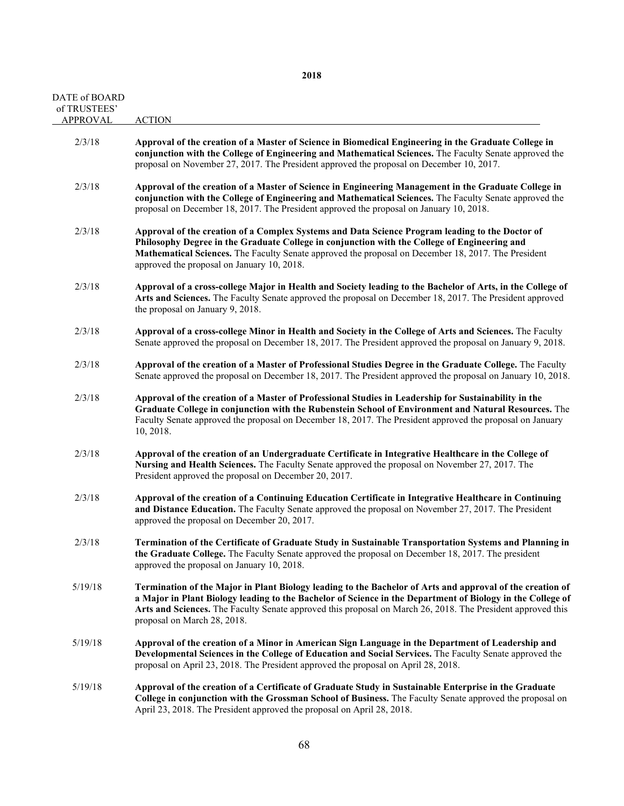| A LL VL DOARD<br>of TRUSTEES' |                                                                                                                                                                                                                                                                                                                                                                       |
|-------------------------------|-----------------------------------------------------------------------------------------------------------------------------------------------------------------------------------------------------------------------------------------------------------------------------------------------------------------------------------------------------------------------|
| <b>APPROVAL</b>               | <b>ACTION</b>                                                                                                                                                                                                                                                                                                                                                         |
| 2/3/18                        | Approval of the creation of a Master of Science in Biomedical Engineering in the Graduate College in<br>conjunction with the College of Engineering and Mathematical Sciences. The Faculty Senate approved the<br>proposal on November 27, 2017. The President approved the proposal on December 10, 2017.                                                            |
| 2/3/18                        | Approval of the creation of a Master of Science in Engineering Management in the Graduate College in<br>conjunction with the College of Engineering and Mathematical Sciences. The Faculty Senate approved the<br>proposal on December 18, 2017. The President approved the proposal on January 10, 2018.                                                             |
| 2/3/18                        | Approval of the creation of a Complex Systems and Data Science Program leading to the Doctor of<br>Philosophy Degree in the Graduate College in conjunction with the College of Engineering and<br>Mathematical Sciences. The Faculty Senate approved the proposal on December 18, 2017. The President<br>approved the proposal on January 10, 2018.                  |
| 2/3/18                        | Approval of a cross-college Major in Health and Society leading to the Bachelor of Arts, in the College of<br>Arts and Sciences. The Faculty Senate approved the proposal on December 18, 2017. The President approved<br>the proposal on January 9, 2018.                                                                                                            |
| 2/3/18                        | Approval of a cross-college Minor in Health and Society in the College of Arts and Sciences. The Faculty<br>Senate approved the proposal on December 18, 2017. The President approved the proposal on January 9, 2018.                                                                                                                                                |
| 2/3/18                        | Approval of the creation of a Master of Professional Studies Degree in the Graduate College. The Faculty<br>Senate approved the proposal on December 18, 2017. The President approved the proposal on January 10, 2018.                                                                                                                                               |
| 2/3/18                        | Approval of the creation of a Master of Professional Studies in Leadership for Sustainability in the<br>Graduate College in conjunction with the Rubenstein School of Environment and Natural Resources. The<br>Faculty Senate approved the proposal on December 18, 2017. The President approved the proposal on January<br>10, 2018.                                |
| 2/3/18                        | Approval of the creation of an Undergraduate Certificate in Integrative Healthcare in the College of<br>Nursing and Health Sciences. The Faculty Senate approved the proposal on November 27, 2017. The<br>President approved the proposal on December 20, 2017.                                                                                                      |
| 2/3/18                        | Approval of the creation of a Continuing Education Certificate in Integrative Healthcare in Continuing<br>and Distance Education. The Faculty Senate approved the proposal on November 27, 2017. The President<br>approved the proposal on December 20, 2017.                                                                                                         |
| 2/3/18                        | Termination of the Certificate of Graduate Study in Sustainable Transportation Systems and Planning in<br>the Graduate College. The Faculty Senate approved the proposal on December 18, 2017. The president<br>approved the proposal on January 10, 2018.                                                                                                            |
| 5/19/18                       | Termination of the Major in Plant Biology leading to the Bachelor of Arts and approval of the creation of<br>a Major in Plant Biology leading to the Bachelor of Science in the Department of Biology in the College of<br>Arts and Sciences. The Faculty Senate approved this proposal on March 26, 2018. The President approved this<br>proposal on March 28, 2018. |
| 5/19/18                       | Approval of the creation of a Minor in American Sign Language in the Department of Leadership and<br>Developmental Sciences in the College of Education and Social Services. The Faculty Senate approved the<br>proposal on April 23, 2018. The President approved the proposal on April 28, 2018.                                                                    |
| 5/19/18                       | Approval of the creation of a Certificate of Graduate Study in Sustainable Enterprise in the Graduate<br>College in conjunction with the Grossman School of Business. The Faculty Senate approved the proposal on<br>April 23, 2018. The President approved the proposal on April 28, 2018.                                                                           |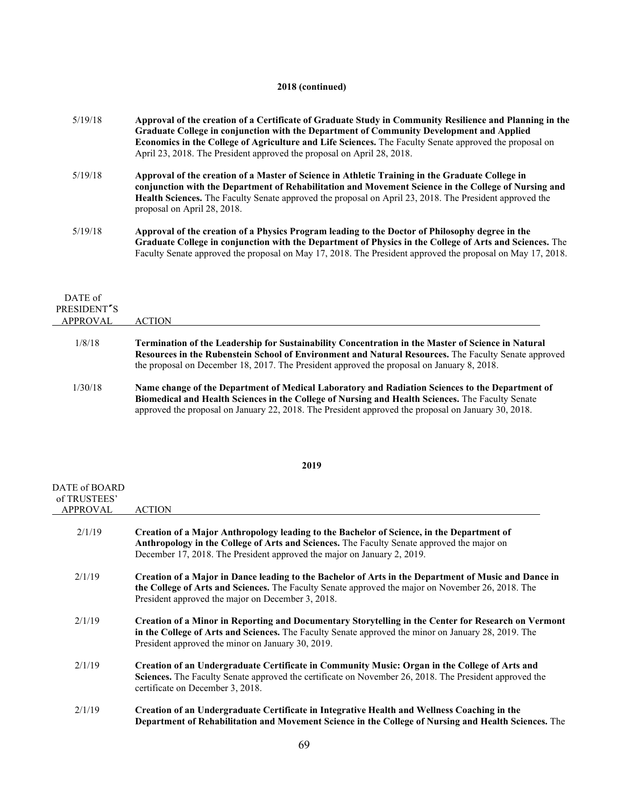### **2018 (continued)**

5/19/18 **Approval of the creation of a Certificate of Graduate Study in Community Resilience and Planning in the Graduate College in conjunction with the Department of Community Development and Applied Economics in the College of Agriculture and Life Sciences.** The Faculty Senate approved the proposal on April 23, 2018. The President approved the proposal on April 28, 2018. 5/19/18 **Approval of the creation of a Master of Science in Athletic Training in the Graduate College in conjunction with the Department of Rehabilitation and Movement Science in the College of Nursing and Health Sciences.** The Faculty Senate approved the proposal on April 23, 2018. The President approved the proposal on April 28, 2018. 5/19/18 **Approval of the creation of a Physics Program leading to the Doctor of Philosophy degree in the Graduate College in conjunction with the Department of Physics in the College of Arts and Sciences.** The Faculty Senate approved the proposal on May 17, 2018. The President approved the proposal on May 17, 2018.

| DATE of<br>PRESIDENT'S<br>APPROVAL | <b>ACTION</b>                                                                                                                                                                                                                                                                                              |
|------------------------------------|------------------------------------------------------------------------------------------------------------------------------------------------------------------------------------------------------------------------------------------------------------------------------------------------------------|
| 1/8/18                             | Termination of the Leadership for Sustainability Concentration in the Master of Science in Natural<br>Resources in the Rubenstein School of Environment and Natural Resources. The Faculty Senate approved<br>the proposal on December 18, 2017. The President approved the proposal on January 8, 2018.   |
| 1/30/18                            | Name change of the Department of Medical Laboratory and Radiation Sciences to the Department of<br>Biomedical and Health Sciences in the College of Nursing and Health Sciences. The Faculty Senate<br>approved the proposal on January 22, 2018. The President approved the proposal on January 30, 2018. |

### **2019**

| DATE of BOARD   |                                                                                                                                                                                                                                                                    |
|-----------------|--------------------------------------------------------------------------------------------------------------------------------------------------------------------------------------------------------------------------------------------------------------------|
| of TRUSTEES'    |                                                                                                                                                                                                                                                                    |
| <b>APPROVAL</b> | <b>ACTION</b>                                                                                                                                                                                                                                                      |
| 2/1/19          | Creation of a Major Anthropology leading to the Bachelor of Science, in the Department of<br>Anthropology in the College of Arts and Sciences. The Faculty Senate approved the major on<br>December 17, 2018. The President approved the major on January 2, 2019. |
| 2/1/19          | Creation of a Major in Dance leading to the Bachelor of Arts in the Department of Music and Dance in<br>the College of Arts and Sciences. The Faculty Senate approved the major on November 26, 2018. The<br>President approved the major on December 3, 2018.     |
| 2/1/19          | Creation of a Minor in Reporting and Documentary Storytelling in the Center for Research on Vermont<br>in the College of Arts and Sciences. The Faculty Senate approved the minor on January 28, 2019. The<br>President approved the minor on January 30, 2019.    |
| 2/1/19          | Creation of an Undergraduate Certificate in Community Music: Organ in the College of Arts and<br>Sciences. The Faculty Senate approved the certificate on November 26, 2018. The President approved the<br>certificate on December 3, 2018.                        |
| 2/1/19          | Creation of an Undergraduate Certificate in Integrative Health and Wellness Coaching in the<br>Department of Rehabilitation and Movement Science in the College of Nursing and Health Sciences. The                                                                |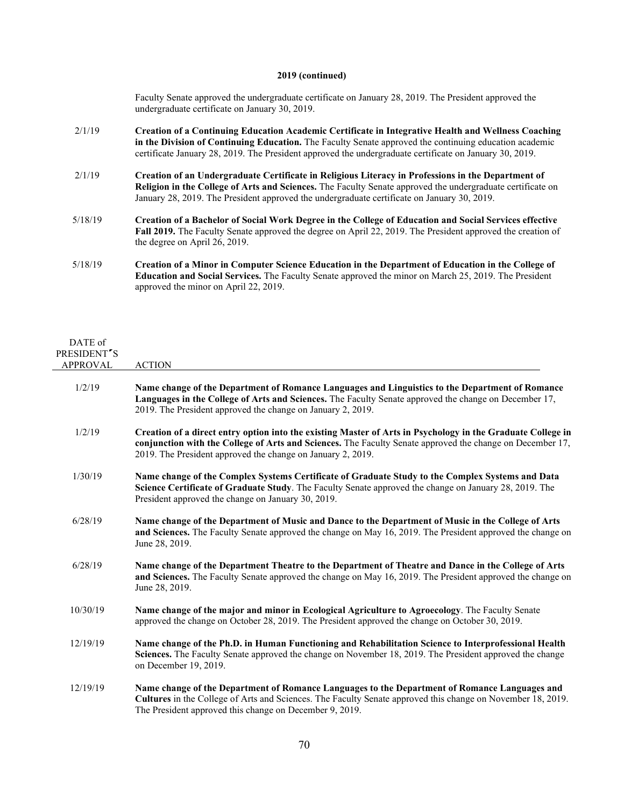#### **2019 (continued)**

Faculty Senate approved the undergraduate certificate on January 28, 2019. The President approved the undergraduate certificate on January 30, 2019.

- 2/1/19 **Creation of a Continuing Education Academic Certificate in Integrative Health and Wellness Coaching in the Division of Continuing Education.** The Faculty Senate approved the continuing education academic certificate January 28, 2019. The President approved the undergraduate certificate on January 30, 2019. 2/1/19 **Creation of an Undergraduate Certificate in Religious Literacy in Professions in the Department of Religion in the College of Arts and Sciences.** The Faculty Senate approved the undergraduate certificate on January 28, 2019. The President approved the undergraduate certificate on January 30, 2019. 5/18/19 **Creation of a Bachelor of Social Work Degree in the College of Education and Social Services effective**
- **Fall 2019.** The Faculty Senate approved the degree on April 22, 2019. The President approved the creation of the degree on April 26, 2019.
- 5/18/19 **Creation of a Minor in Computer Science Education in the Department of Education in the College of Education and Social Services.** The Faculty Senate approved the minor on March 25, 2019. The President approved the minor on April 22, 2019.

| DATE of<br>PRESIDENT'S<br><b>APPROVAL</b> | <b>ACTION</b>                                                                                                                                                                                                                                                                           |
|-------------------------------------------|-----------------------------------------------------------------------------------------------------------------------------------------------------------------------------------------------------------------------------------------------------------------------------------------|
| 1/2/19                                    | Name change of the Department of Romance Languages and Linguistics to the Department of Romance<br>Languages in the College of Arts and Sciences. The Faculty Senate approved the change on December 17,<br>2019. The President approved the change on January 2, 2019.                 |
| 1/2/19                                    | Creation of a direct entry option into the existing Master of Arts in Psychology in the Graduate College in<br>conjunction with the College of Arts and Sciences. The Faculty Senate approved the change on December 17,<br>2019. The President approved the change on January 2, 2019. |
| 1/30/19                                   | Name change of the Complex Systems Certificate of Graduate Study to the Complex Systems and Data<br>Science Certificate of Graduate Study. The Faculty Senate approved the change on January 28, 2019. The<br>President approved the change on January 30, 2019.                        |
| 6/28/19                                   | Name change of the Department of Music and Dance to the Department of Music in the College of Arts<br>and Sciences. The Faculty Senate approved the change on May 16, 2019. The President approved the change on<br>June 28, 2019.                                                      |
| 6/28/19                                   | Name change of the Department Theatre to the Department of Theatre and Dance in the College of Arts<br>and Sciences. The Faculty Senate approved the change on May 16, 2019. The President approved the change on<br>June 28, 2019.                                                     |
| 10/30/19                                  | Name change of the major and minor in Ecological Agriculture to Agroecology. The Faculty Senate<br>approved the change on October 28, 2019. The President approved the change on October 30, 2019.                                                                                      |
| 12/19/19                                  | Name change of the Ph.D. in Human Functioning and Rehabilitation Science to Interprofessional Health<br>Sciences. The Faculty Senate approved the change on November 18, 2019. The President approved the change<br>on December 19, 2019.                                               |
| 12/19/19                                  | Name change of the Department of Romance Languages to the Department of Romance Languages and<br>Cultures in the College of Arts and Sciences. The Faculty Senate approved this change on November 18, 2019.<br>The President approved this change on December 9, 2019.                 |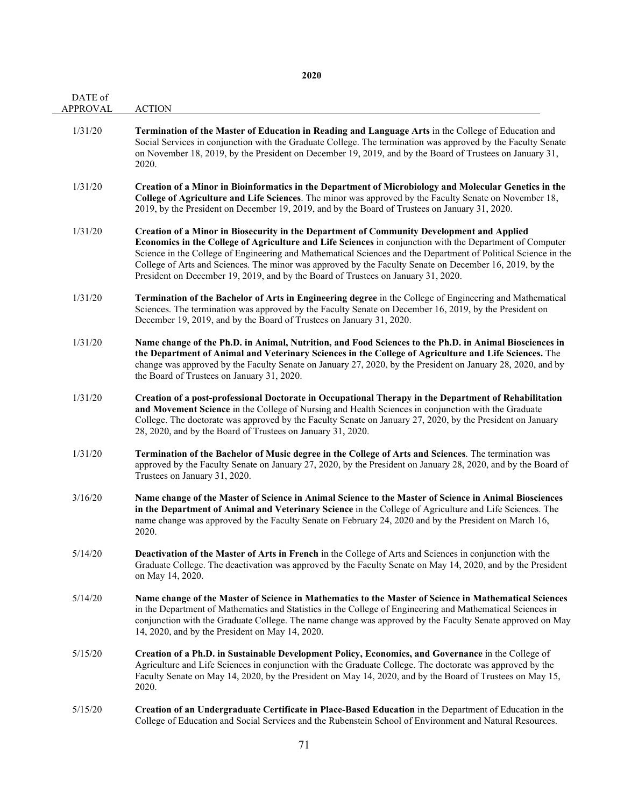| DATE of<br><b>APPROVAL</b> | <b>ACTION</b>                                                                                                                                                                                                                                                                                                                                                                                                                                                                                                           |
|----------------------------|-------------------------------------------------------------------------------------------------------------------------------------------------------------------------------------------------------------------------------------------------------------------------------------------------------------------------------------------------------------------------------------------------------------------------------------------------------------------------------------------------------------------------|
| 1/31/20                    | Termination of the Master of Education in Reading and Language Arts in the College of Education and<br>Social Services in conjunction with the Graduate College. The termination was approved by the Faculty Senate<br>on November 18, 2019, by the President on December 19, 2019, and by the Board of Trustees on January 31,<br>2020.                                                                                                                                                                                |
| 1/31/20                    | Creation of a Minor in Bioinformatics in the Department of Microbiology and Molecular Genetics in the<br>College of Agriculture and Life Sciences. The minor was approved by the Faculty Senate on November 18,<br>2019, by the President on December 19, 2019, and by the Board of Trustees on January 31, 2020.                                                                                                                                                                                                       |
| 1/31/20                    | Creation of a Minor in Biosecurity in the Department of Community Development and Applied<br>Economics in the College of Agriculture and Life Sciences in conjunction with the Department of Computer<br>Science in the College of Engineering and Mathematical Sciences and the Department of Political Science in the<br>College of Arts and Sciences. The minor was approved by the Faculty Senate on December 16, 2019, by the<br>President on December 19, 2019, and by the Board of Trustees on January 31, 2020. |
| 1/31/20                    | Termination of the Bachelor of Arts in Engineering degree in the College of Engineering and Mathematical<br>Sciences. The termination was approved by the Faculty Senate on December 16, 2019, by the President on<br>December 19, 2019, and by the Board of Trustees on January 31, 2020.                                                                                                                                                                                                                              |
| 1/31/20                    | Name change of the Ph.D. in Animal, Nutrition, and Food Sciences to the Ph.D. in Animal Biosciences in<br>the Department of Animal and Veterinary Sciences in the College of Agriculture and Life Sciences. The<br>change was approved by the Faculty Senate on January 27, 2020, by the President on January 28, 2020, and by<br>the Board of Trustees on January 31, 2020.                                                                                                                                            |
| 1/31/20                    | Creation of a post-professional Doctorate in Occupational Therapy in the Department of Rehabilitation<br>and Movement Science in the College of Nursing and Health Sciences in conjunction with the Graduate<br>College. The doctorate was approved by the Faculty Senate on January 27, 2020, by the President on January<br>28, 2020, and by the Board of Trustees on January 31, 2020.                                                                                                                               |
| 1/31/20                    | Termination of the Bachelor of Music degree in the College of Arts and Sciences. The termination was<br>approved by the Faculty Senate on January 27, 2020, by the President on January 28, 2020, and by the Board of<br>Trustees on January 31, 2020.                                                                                                                                                                                                                                                                  |
| 3/16/20                    | Name change of the Master of Science in Animal Science to the Master of Science in Animal Biosciences<br>in the Department of Animal and Veterinary Science in the College of Agriculture and Life Sciences. The<br>name change was approved by the Faculty Senate on February 24, 2020 and by the President on March 16,<br>2020.                                                                                                                                                                                      |
| 5/14/20                    | <b>Deactivation of the Master of Arts in French</b> in the College of Arts and Sciences in conjunction with the<br>Graduate College. The deactivation was approved by the Faculty Senate on May 14, 2020, and by the President<br>on May 14, 2020.                                                                                                                                                                                                                                                                      |
| 5/14/20                    | Name change of the Master of Science in Mathematics to the Master of Science in Mathematical Sciences<br>in the Department of Mathematics and Statistics in the College of Engineering and Mathematical Sciences in<br>conjunction with the Graduate College. The name change was approved by the Faculty Senate approved on May<br>14, 2020, and by the President on May 14, 2020.                                                                                                                                     |
| 5/15/20                    | Creation of a Ph.D. in Sustainable Development Policy, Economics, and Governance in the College of<br>Agriculture and Life Sciences in conjunction with the Graduate College. The doctorate was approved by the<br>Faculty Senate on May 14, 2020, by the President on May 14, 2020, and by the Board of Trustees on May 15,<br>2020.                                                                                                                                                                                   |
| 5/15/20                    | Creation of an Undergraduate Certificate in Place-Based Education in the Department of Education in the<br>College of Education and Social Services and the Rubenstein School of Environment and Natural Resources.                                                                                                                                                                                                                                                                                                     |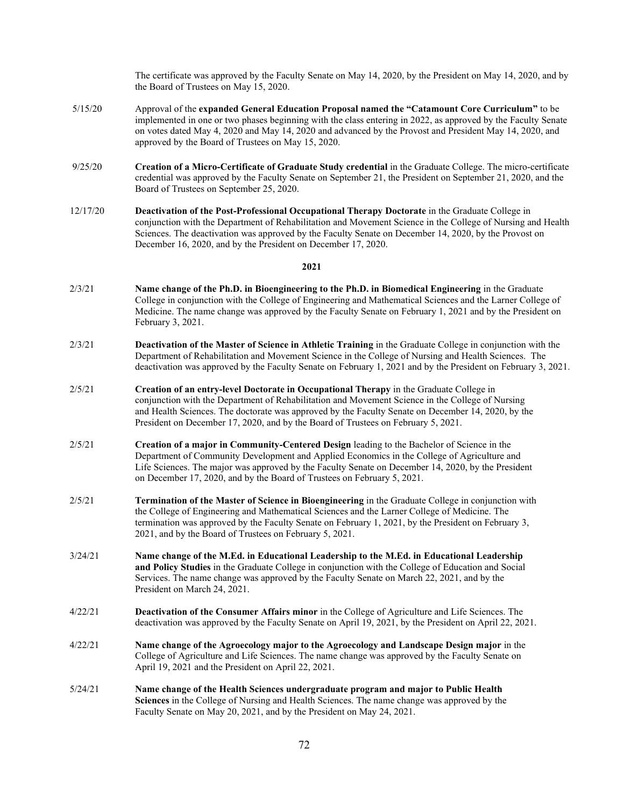The certificate was approved by the Faculty Senate on May 14, 2020, by the President on May 14, 2020, and by the Board of Trustees on May 15, 2020.

- 5/15/20 Approval of the **expanded General Education Proposal named the "Catamount Core Curriculum"** to be implemented in one or two phases beginning with the class entering in 2022, as approved by the Faculty Senate on votes dated May 4, 2020 and May 14, 2020 and advanced by the Provost and President May 14, 2020, and approved by the Board of Trustees on May 15, 2020.
- 9/25/20 **Creation of a Micro-Certificate of Graduate Study credential** in the Graduate College. The micro-certificate credential was approved by the Faculty Senate on September 21, the President on September 21, 2020, and the Board of Trustees on September 25, 2020.
- 12/17/20 **Deactivation of the Post-Professional Occupational Therapy Doctorate** in the Graduate College in conjunction with the Department of Rehabilitation and Movement Science in the College of Nursing and Health Sciences. The deactivation was approved by the Faculty Senate on December 14, 2020, by the Provost on December 16, 2020, and by the President on December 17, 2020.

#### **2021**

- 2/3/21 **Name change of the Ph.D. in Bioengineering to the Ph.D. in Biomedical Engineering** in the Graduate College in conjunction with the College of Engineering and Mathematical Sciences and the Larner College of Medicine. The name change was approved by the Faculty Senate on February 1, 2021 and by the President on February 3, 2021.
- 2/3/21 **Deactivation of the Master of Science in Athletic Training** in the Graduate College in conjunction with the Department of Rehabilitation and Movement Science in the College of Nursing and Health Sciences. The deactivation was approved by the Faculty Senate on February 1, 2021 and by the President on February 3, 2021.
- 2/5/21 **Creation of an entry-level Doctorate in Occupational Therapy** in the Graduate College in conjunction with the Department of Rehabilitation and Movement Science in the College of Nursing and Health Sciences. The doctorate was approved by the Faculty Senate on December 14, 2020, by the President on December 17, 2020, and by the Board of Trustees on February 5, 2021.
- 2/5/21 **Creation of a major in Community-Centered Design** leading to the Bachelor of Science in the Department of Community Development and Applied Economics in the College of Agriculture and Life Sciences. The major was approved by the Faculty Senate on December 14, 2020, by the President on December 17, 2020, and by the Board of Trustees on February 5, 2021.
- 2/5/21 **Termination of the Master of Science in Bioengineering** in the Graduate College in conjunction with the College of Engineering and Mathematical Sciences and the Larner College of Medicine. The termination was approved by the Faculty Senate on February 1, 2021, by the President on February 3, 2021, and by the Board of Trustees on February 5, 2021.
- 3/24/21 **Name change of the M.Ed. in Educational Leadership to the M.Ed. in Educational Leadership and Policy Studies** in the Graduate College in conjunction with the College of Education and Social Services. The name change was approved by the Faculty Senate on March 22, 2021, and by the President on March 24, 2021.
- 4/22/21 **Deactivation of the Consumer Affairs minor** in the College of Agriculture and Life Sciences. The deactivation was approved by the Faculty Senate on April 19, 2021, by the President on April 22, 2021.
- 4/22/21 **Name change of the Agroecology major to the Agroecology and Landscape Design major** in the College of Agriculture and Life Sciences. The name change was approved by the Faculty Senate on April 19, 2021 and the President on April 22, 2021.
- 5/24/21 **Name change of the Health Sciences undergraduate program and major to Public Health Sciences** in the College of Nursing and Health Sciences. The name change was approved by the Faculty Senate on May 20, 2021, and by the President on May 24, 2021.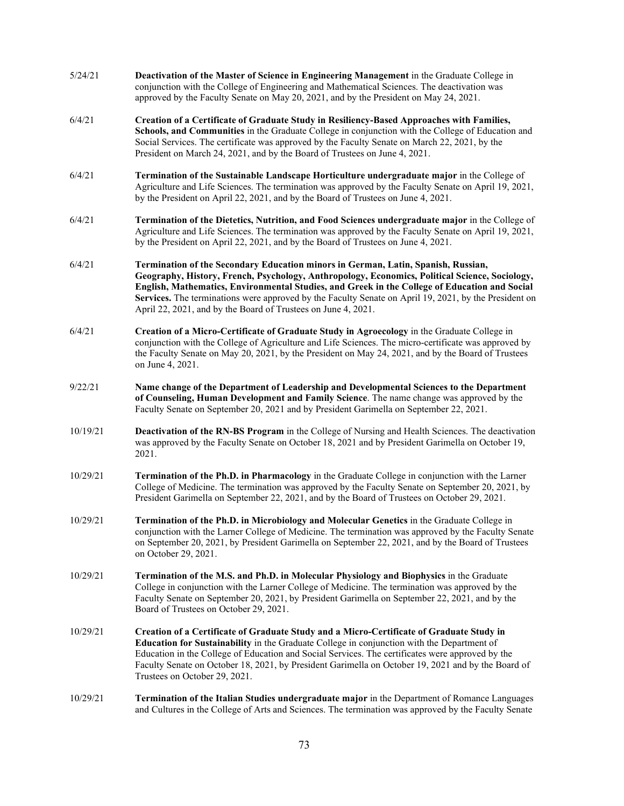- 5/24/21 **Deactivation of the Master of Science in Engineering Management** in the Graduate College in conjunction with the College of Engineering and Mathematical Sciences. The deactivation was approved by the Faculty Senate on May 20, 2021, and by the President on May 24, 2021.
- 6/4/21 **Creation of a Certificate of Graduate Study in Resiliency-Based Approaches with Families, Schools, and Communities** in the Graduate College in conjunction with the College of Education and Social Services. The certificate was approved by the Faculty Senate on March 22, 2021, by the President on March 24, 2021, and by the Board of Trustees on June 4, 2021.
- 6/4/21 **Termination of the Sustainable Landscape Horticulture undergraduate major** in the College of Agriculture and Life Sciences. The termination was approved by the Faculty Senate on April 19, 2021, by the President on April 22, 2021, and by the Board of Trustees on June 4, 2021.
- 6/4/21 **Termination of the Dietetics, Nutrition, and Food Sciences undergraduate major** in the College of Agriculture and Life Sciences. The termination was approved by the Faculty Senate on April 19, 2021, by the President on April 22, 2021, and by the Board of Trustees on June 4, 2021.
- 6/4/21 **Termination of the Secondary Education minors in German, Latin, Spanish, Russian, Geography, History, French, Psychology, Anthropology, Economics, Political Science, Sociology, English, Mathematics, Environmental Studies, and Greek in the College of Education and Social Services.** The terminations were approved by the Faculty Senate on April 19, 2021, by the President on April 22, 2021, and by the Board of Trustees on June 4, 2021.
- 6/4/21 **Creation of a Micro-Certificate of Graduate Study in Agroecology** in the Graduate College in conjunction with the College of Agriculture and Life Sciences. The micro-certificate was approved by the Faculty Senate on May 20, 2021, by the President on May 24, 2021, and by the Board of Trustees on June 4, 2021.
- 9/22/21 **Name change of the Department of Leadership and Developmental Sciences to the Department of Counseling, Human Development and Family Science**. The name change was approved by the Faculty Senate on September 20, 2021 and by President Garimella on September 22, 2021.
- 10/19/21 **Deactivation of the RN-BS Program** in the College of Nursing and Health Sciences. The deactivation was approved by the Faculty Senate on October 18, 2021 and by President Garimella on October 19, 2021.
- 10/29/21 **Termination of the Ph.D. in Pharmacology** in the Graduate College in conjunction with the Larner College of Medicine. The termination was approved by the Faculty Senate on September 20, 2021, by President Garimella on September 22, 2021, and by the Board of Trustees on October 29, 2021.
- 10/29/21 **Termination of the Ph.D. in Microbiology and Molecular Genetics** in the Graduate College in conjunction with the Larner College of Medicine. The termination was approved by the Faculty Senate on September 20, 2021, by President Garimella on September 22, 2021, and by the Board of Trustees on October 29, 2021.
- 10/29/21 **Termination of the M.S. and Ph.D. in Molecular Physiology and Biophysics** in the Graduate College in conjunction with the Larner College of Medicine. The termination was approved by the Faculty Senate on September 20, 2021, by President Garimella on September 22, 2021, and by the Board of Trustees on October 29, 2021.
- 10/29/21 **Creation of a Certificate of Graduate Study and a Micro-Certificate of Graduate Study in Education for Sustainability** in the Graduate College in conjunction with the Department of Education in the College of Education and Social Services. The certificates were approved by the Faculty Senate on October 18, 2021, by President Garimella on October 19, 2021 and by the Board of Trustees on October 29, 2021.
- 10/29/21 **Termination of the Italian Studies undergraduate major** in the Department of Romance Languages and Cultures in the College of Arts and Sciences. The termination was approved by the Faculty Senate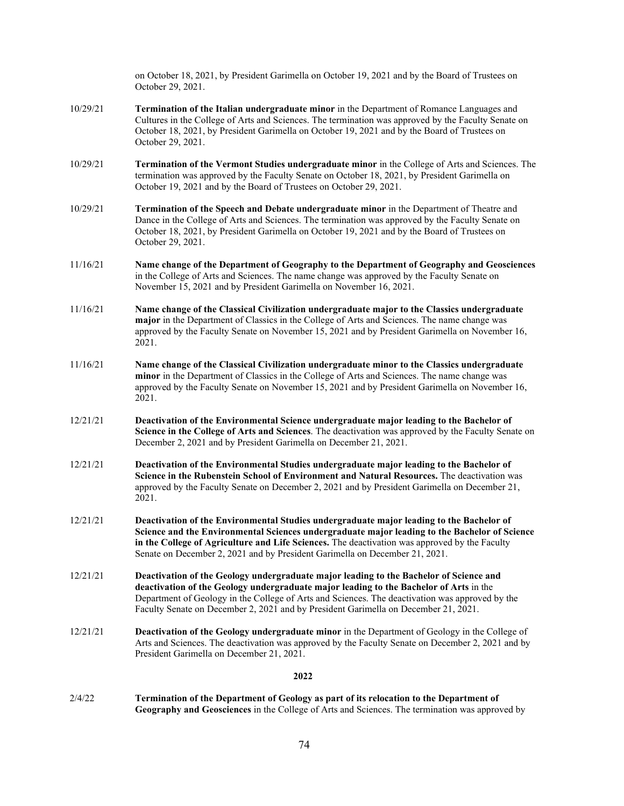on October 18, 2021, by President Garimella on October 19, 2021 and by the Board of Trustees on October 29, 2021.

- 10/29/21 **Termination of the Italian undergraduate minor** in the Department of Romance Languages and Cultures in the College of Arts and Sciences. The termination was approved by the Faculty Senate on October 18, 2021, by President Garimella on October 19, 2021 and by the Board of Trustees on October 29, 2021.
- 10/29/21 **Termination of the Vermont Studies undergraduate minor** in the College of Arts and Sciences. The termination was approved by the Faculty Senate on October 18, 2021, by President Garimella on October 19, 2021 and by the Board of Trustees on October 29, 2021.
- 10/29/21 **Termination of the Speech and Debate undergraduate minor** in the Department of Theatre and Dance in the College of Arts and Sciences. The termination was approved by the Faculty Senate on October 18, 2021, by President Garimella on October 19, 2021 and by the Board of Trustees on October 29, 2021.
- 11/16/21 **Name change of the Department of Geography to the Department of Geography and Geosciences** in the College of Arts and Sciences. The name change was approved by the Faculty Senate on November 15, 2021 and by President Garimella on November 16, 2021.
- 11/16/21 **Name change of the Classical Civilization undergraduate major to the Classics undergraduate major** in the Department of Classics in the College of Arts and Sciences. The name change was approved by the Faculty Senate on November 15, 2021 and by President Garimella on November 16, 2021.
- 11/16/21 **Name change of the Classical Civilization undergraduate minor to the Classics undergraduate minor** in the Department of Classics in the College of Arts and Sciences. The name change was approved by the Faculty Senate on November 15, 2021 and by President Garimella on November 16, 2021.
- 12/21/21 **Deactivation of the Environmental Science undergraduate major leading to the Bachelor of Science in the College of Arts and Sciences**. The deactivation was approved by the Faculty Senate on December 2, 2021 and by President Garimella on December 21, 2021.
- 12/21/21 **Deactivation of the Environmental Studies undergraduate major leading to the Bachelor of Science in the Rubenstein School of Environment and Natural Resources.** The deactivation was approved by the Faculty Senate on December 2, 2021 and by President Garimella on December 21, 2021.
- 12/21/21 **Deactivation of the Environmental Studies undergraduate major leading to the Bachelor of Science and the Environmental Sciences undergraduate major leading to the Bachelor of Science in the College of Agriculture and Life Sciences.** The deactivation was approved by the Faculty Senate on December 2, 2021 and by President Garimella on December 21, 2021.
- 12/21/21 **Deactivation of the Geology undergraduate major leading to the Bachelor of Science and deactivation of the Geology undergraduate major leading to the Bachelor of Arts** in the Department of Geology in the College of Arts and Sciences. The deactivation was approved by the Faculty Senate on December 2, 2021 and by President Garimella on December 21, 2021.
- 12/21/21 **Deactivation of the Geology undergraduate minor** in the Department of Geology in the College of Arts and Sciences. The deactivation was approved by the Faculty Senate on December 2, 2021 and by President Garimella on December 21, 2021.

## **2022**

2/4/22 **Termination of the Department of Geology as part of its relocation to the Department of Geography and Geosciences** in the College of Arts and Sciences. The termination was approved by